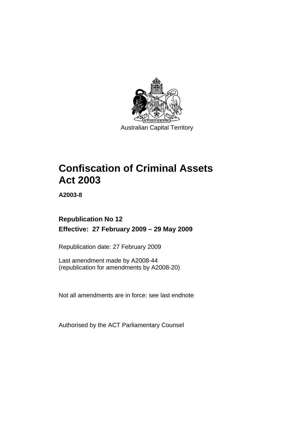

Australian Capital Territory

# **[Confiscation of Criminal Assets](#page-14-0)  [Act 2003](#page-14-0)**

**A2003-8** 

# **Republication No 12 Effective: 27 February 2009 – 29 May 2009**

Republication date: 27 February 2009

Last amendment made by A2008-44 (republication for amendments by A2008-20)

Not all amendments are in force: see last endnote

Authorised by the ACT Parliamentary Counsel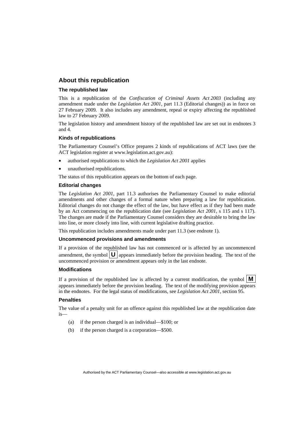### **About this republication**

### **The republished law**

This is a republication of the *Confiscation of Criminal Assets Act 2003* (including any amendment made under the *Legislation Act 2001*, part 11.3 (Editorial changes)) as in force on 27 February 2009*.* It also includes any amendment, repeal or expiry affecting the republished law to 27 February 2009.

The legislation history and amendment history of the republished law are set out in endnotes 3 and 4.

### **Kinds of republications**

The Parliamentary Counsel's Office prepares 2 kinds of republications of ACT laws (see the ACT legislation register at www.legislation.act.gov.au):

- authorised republications to which the *Legislation Act 2001* applies
- unauthorised republications.

The status of this republication appears on the bottom of each page.

### **Editorial changes**

The *Legislation Act 2001*, part 11.3 authorises the Parliamentary Counsel to make editorial amendments and other changes of a formal nature when preparing a law for republication. Editorial changes do not change the effect of the law, but have effect as if they had been made by an Act commencing on the republication date (see *Legislation Act 2001*, s 115 and s 117). The changes are made if the Parliamentary Counsel considers they are desirable to bring the law into line, or more closely into line, with current legislative drafting practice.

This republication includes amendments made under part 11.3 (see endnote 1).

### **Uncommenced provisions and amendments**

If a provision of the republished law has not commenced or is affected by an uncommenced amendment, the symbol  $\mathbf{U}$  appears immediately before the provision heading. The text of the uncommenced provision  $\overline{or}$  amendment appears only in the last endnote.

### **Modifications**

If a provision of the republished law is affected by a current modification, the symbol  $\mathbf{M}$ appears immediately before the provision heading. The text of the modifying provision appears in the endnotes. For the legal status of modifications, see *Legislation Act 2001*, section 95.

### **Penalties**

The value of a penalty unit for an offence against this republished law at the republication date is—

- (a) if the person charged is an individual—\$100; or
- (b) if the person charged is a corporation—\$500.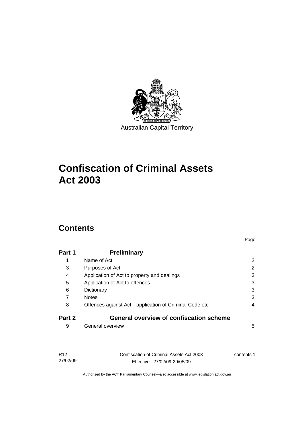

# **[Confiscation of Criminal Assets](#page-14-0)  [Act 2003](#page-14-0)**

# **Contents**

| Part 1 | <b>Preliminary</b>                                    |   |
|--------|-------------------------------------------------------|---|
| 1      | Name of Act                                           | 2 |
| 3      | Purposes of Act                                       | 2 |
| 4      | Application of Act to property and dealings           | 3 |
| 5      | Application of Act to offences                        | 3 |
| 6      | Dictionary                                            | 3 |
| 7      | <b>Notes</b>                                          | 3 |
| 8      | Offences against Act—application of Criminal Code etc | 4 |
| Part 2 | <b>General overview of confiscation scheme</b>        |   |
| 9      | General overview                                      | 5 |

Page

| R12      | Confiscation of Criminal Assets Act 2003 | contents 1 |
|----------|------------------------------------------|------------|
| 27/02/09 | Effective: 27/02/09-29/05/09             |            |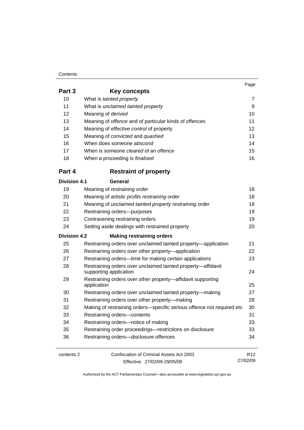### **Contents**

**Part** 

|             |                                                               | Page |
|-------------|---------------------------------------------------------------|------|
| Part 3      | Key concepts                                                  |      |
| 10          | What is tainted property                                      |      |
| 11          | What is unclaimed tainted property                            | 9    |
| 12          | Meaning of <i>derived</i>                                     | 10   |
| 13          | Meaning of <i>offence</i> and of particular kinds of offences | 11   |
| 14          | Meaning of <i>effective control</i> of property               | 12   |
| 15          | Meaning of <i>convicted</i> and <i>quashed</i>                | 13   |
| 16          | When does someone abscond                                     | 14   |
| 17          | When is someone <i>cleared</i> of an offence                  | 15   |
| 18          | When a proceeding is <i>finalised</i>                         | 16   |
| <b>B.W.</b> | a a tualmit a finance a antos                                 |      |

# **Part 4 Restraint of property**

| <b>Division 4.1</b> | General                                                                                |                 |
|---------------------|----------------------------------------------------------------------------------------|-----------------|
| 19                  | Meaning of restraining order                                                           | 18              |
| 20                  | Meaning of artistic profits restraining order                                          | 18              |
| 21                  | Meaning of unclaimed tainted property restraining order                                | 18              |
| 22                  | Restraining orders--purposes                                                           | 19              |
| 23                  | Contravening restraining orders                                                        | 19              |
| 24                  | Setting aside dealings with restrained property                                        | 20              |
| <b>Division 4.2</b> | <b>Making restraining orders</b>                                                       |                 |
| 25                  | Restraining orders over unclaimed tainted property—application                         | 21              |
| 26                  | Restraining orders over other property-application                                     | 22              |
| 27                  | Restraining orders—time for making certain applications                                | 23              |
| 28                  | Restraining orders over unclaimed tainted property-affidavit<br>supporting application | 24              |
| 29                  | Restraining orders over other property—affidavit supporting<br>application             | 25              |
| 30                  | Restraining orders over unclaimed tainted property-making                              | 27              |
| 31                  | Restraining orders over other property-making                                          | 28              |
| 32                  | Making of restraining orders-specific serious offence not required etc                 | 30              |
| 33                  | Restraining orders-contents                                                            | 31              |
| 34                  | Restraining orders-notice of making                                                    | 33              |
| 35                  | Restraining order proceedings-restrictions on disclosure                               | 33              |
| 36                  | Restraining orders-disclosure offences                                                 | 34              |
| contents 2          | Confiscation of Criminal Assets Act 2003                                               | R <sub>12</sub> |

Effective: 27/02/09-29/05/09

27/02/09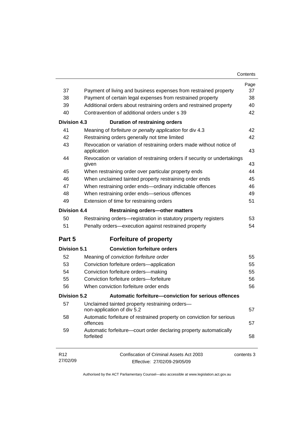| Contents |  |
|----------|--|
|----------|--|

|                             |                                                                                     | Page       |
|-----------------------------|-------------------------------------------------------------------------------------|------------|
| 37                          | Payment of living and business expenses from restrained property                    | 37         |
| 38                          | Payment of certain legal expenses from restrained property                          | 38         |
| 39                          | Additional orders about restraining orders and restrained property                  | 40         |
| 40                          | Contravention of additional orders under s 39                                       | 42         |
| <b>Division 4.3</b>         | <b>Duration of restraining orders</b>                                               |            |
| 41                          | Meaning of forfeiture or penalty application for div 4.3                            | 42         |
| 42                          | Restraining orders generally not time limited                                       | 42         |
| 43                          | Revocation or variation of restraining orders made without notice of<br>application | 43         |
| 44                          | Revocation or variation of restraining orders if security or undertakings<br>given  | 43         |
| 45                          | When restraining order over particular property ends                                | 44         |
| 46                          | When unclaimed tainted property restraining order ends                              | 45         |
| 47                          | When restraining order ends-ordinary indictable offences                            | 46         |
| 48                          | When restraining order ends-serious offences                                        | 49         |
| 49                          | Extension of time for restraining orders                                            | 51         |
| <b>Division 4.4</b>         | <b>Restraining orders-other matters</b>                                             |            |
| 50                          | Restraining orders—registration in statutory property registers                     | 53         |
| 51                          | Penalty orders—execution against restrained property                                | 54         |
| Part 5                      | <b>Forfeiture of property</b>                                                       |            |
| <b>Division 5.1</b>         | <b>Conviction forfeiture orders</b>                                                 |            |
| 52                          | Meaning of conviction forfeiture order                                              | 55         |
| 53                          | Conviction forfeiture orders-application                                            | 55         |
| 54                          | Conviction forfeiture orders-making                                                 | 55         |
| 55                          | Conviction forfeiture orders-forfeiture                                             | 56         |
| 56                          | When conviction forfeiture order ends                                               | 56         |
| <b>Division 5.2</b>         | Automatic forfeiture-conviction for serious offences                                |            |
| 57                          | Unclaimed tainted property restraining orders-<br>non-application of div 5.2        | 57         |
| 58                          | Automatic forfeiture of restrained property on conviction for serious<br>offences   | 57         |
| 59                          | Automatic forfeiture-court order declaring property automatically<br>forfeited      | 58         |
| R <sub>12</sub><br>27/02/09 | Confiscation of Criminal Assets Act 2003<br>Effective: 27/02/09-29/05/09            | contents 3 |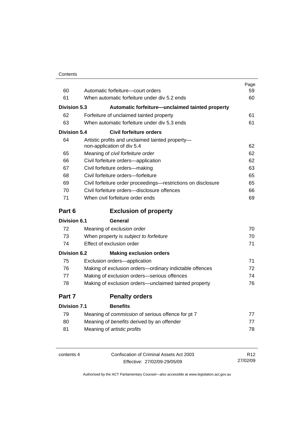| Contents |
|----------|
|----------|

| 60                  | Automatic forfeiture-court orders                                              | Page<br>59 |
|---------------------|--------------------------------------------------------------------------------|------------|
| 61                  | When automatic forfeiture under div 5.2 ends                                   | 60         |
|                     |                                                                                |            |
| <b>Division 5.3</b> | Automatic forfeiture—unclaimed tainted property                                |            |
| 62                  | Forfeiture of unclaimed tainted property                                       | 61         |
| 63                  | When automatic forfeiture under div 5.3 ends                                   | 61         |
| <b>Division 5.4</b> | Civil forfeiture orders                                                        |            |
| 64                  | Artistic profits and unclaimed tainted property-<br>non-application of div 5.4 | 62         |
| 65                  | Meaning of civil forfeiture order                                              | 62         |
| 66                  | Civil forfeiture orders-application                                            | 62         |
| 67                  | Civil forfeiture orders-making                                                 | 63         |
| 68                  | Civil forfeiture orders-forfeiture                                             | 65         |
| 69                  | Civil forfeiture order proceedings-restrictions on disclosure                  | 65         |
| 70                  | Civil forfeiture orders-disclosure offences                                    | 66         |
| 71                  | When civil forfeiture order ends                                               | 69         |
| Part 6              | <b>Exclusion of property</b>                                                   |            |
| Division 6.1        | General                                                                        |            |
| 72                  | Meaning of exclusion order                                                     | 70         |
| 73                  | When property is subject to forfeiture                                         | 70         |
| 74                  | Effect of exclusion order                                                      | 71         |
| <b>Division 6.2</b> | <b>Making exclusion orders</b>                                                 |            |
| 75                  | Exclusion orders-application                                                   | 71         |
| 76                  | Making of exclusion orders-ordinary indictable offences                        | 72         |
| 77                  | Making of exclusion orders-serious offences                                    | 74         |
| 78                  | Making of exclusion orders-unclaimed tainted property                          | 76         |
| Part 7              | <b>Penalty orders</b>                                                          |            |
| <b>Division 7.1</b> | <b>Benefits</b>                                                                |            |

| 79 | Meaning of <i>commission</i> of serious offence for pt 7 |     |
|----|----------------------------------------------------------|-----|
| 80 | Meaning of benefits derived by an offender               |     |
| 81 | Meaning of <i>artistic profits</i>                       | 78. |

| contents 4 | Confiscation of Criminal Assets Act 2003 | R12      |
|------------|------------------------------------------|----------|
|            | Effective: 27/02/09-29/05/09             | 27/02/09 |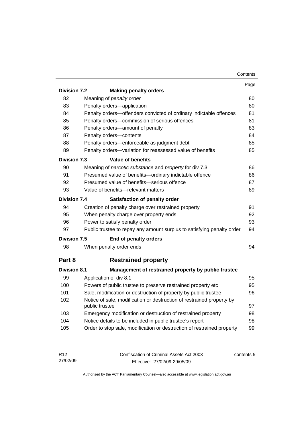|                     |                                                                                         | Contents |
|---------------------|-----------------------------------------------------------------------------------------|----------|
|                     |                                                                                         | Page     |
| <b>Division 7.2</b> | <b>Making penalty orders</b>                                                            |          |
| 82                  | Meaning of penalty order                                                                | 80       |
| 83                  | Penalty orders-application                                                              | 80       |
| 84                  | Penalty orders-offenders convicted of ordinary indictable offences                      | 81       |
| 85                  | Penalty orders-commission of serious offences                                           | 81       |
| 86                  | Penalty orders-amount of penalty                                                        | 83       |
| 87                  | Penalty orders-contents                                                                 | 84       |
| 88                  | Penalty orders-enforceable as judgment debt                                             | 85       |
| 89                  | Penalty orders-variation for reassessed value of benefits                               | 85       |
| <b>Division 7.3</b> | <b>Value of benefits</b>                                                                |          |
| 90                  | Meaning of narcotic substance and property for div 7.3                                  | 86       |
| 91                  | Presumed value of benefits-ordinary indictable offence                                  | 86       |
| 92                  | Presumed value of benefits-serious offence                                              |          |
| 93                  | Value of benefits-relevant matters                                                      |          |
| Division 7.4        | Satisfaction of penalty order                                                           |          |
| 94                  | Creation of penalty charge over restrained property                                     | 91       |
| 95                  | When penalty charge over property ends                                                  | 92       |
| 96                  | Power to satisfy penalty order                                                          |          |
| 97                  | Public trustee to repay any amount surplus to satisfying penalty order                  | 94       |
| <b>Division 7.5</b> | End of penalty orders                                                                   |          |
| 98                  | When penalty order ends                                                                 | 94       |
| Part 8              | <b>Restrained property</b>                                                              |          |
| <b>Division 8.1</b> | Management of restrained property by public trustee                                     |          |
| 99                  | Application of div 8.1                                                                  | 95       |
| 100                 | Powers of public trustee to preserve restrained property etc                            | 95       |
| 101                 | Sale, modification or destruction of property by public trustee<br>96                   |          |
| 102                 | Notice of sale, modification or destruction of restrained property by<br>public trustee |          |
| 103                 | Emergency modification or destruction of restrained property                            | 98       |
| 104                 | Notice details to be included in public trustee's report                                | 98       |
| 105                 | Order to stop sale, modification or destruction of restrained property                  | 99       |
|                     |                                                                                         |          |

| R <sub>12</sub> | Confiscation of Criminal Assets Act 2003 | contents 5 |
|-----------------|------------------------------------------|------------|
| 27/02/09        | Effective: 27/02/09-29/05/09             |            |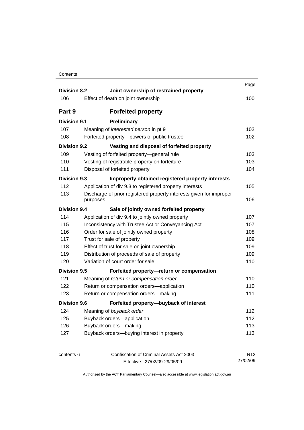| Contents |
|----------|
|----------|

| <b>Division 8.2</b> | Joint ownership of restrained property                                          | Page            |
|---------------------|---------------------------------------------------------------------------------|-----------------|
| 106                 | Effect of death on joint ownership                                              | 100             |
| Part 9              | <b>Forfeited property</b>                                                       |                 |
| <b>Division 9.1</b> | Preliminary                                                                     |                 |
| 107                 | Meaning of interested person in pt 9                                            | 102             |
| 108                 | Forfeited property-powers of public trustee                                     | 102             |
| <b>Division 9.2</b> | Vesting and disposal of forfeited property                                      |                 |
| 109                 | Vesting of forfeited property-general rule                                      | 103             |
| 110                 | Vesting of registrable property on forfeiture                                   | 103             |
| 111                 | Disposal of forfeited property                                                  | 104             |
| <b>Division 9.3</b> | Improperly obtained registered property interests                               |                 |
| 112                 | Application of div 9.3 to registered property interests                         | 105             |
| 113                 | Discharge of prior registered property interests given for improper<br>purposes | 106             |
| <b>Division 9.4</b> | Sale of jointly owned forfeited property                                        |                 |
| 114                 | Application of div 9.4 to jointly owned property                                | 107             |
| 115                 | Inconsistency with Trustee Act or Conveyancing Act                              | 107             |
| 116                 | Order for sale of jointly owned property                                        | 108             |
| 117                 | Trust for sale of property                                                      | 109             |
| 118                 | Effect of trust for sale on joint ownership                                     | 109             |
| 119                 | Distribution of proceeds of sale of property                                    | 109             |
| 120                 | Variation of court order for sale                                               | 110             |
| <b>Division 9.5</b> | Forfeited property-return or compensation                                       |                 |
| 121                 | Meaning of return or compensation order                                         | 110             |
| 122                 | Return or compensation orders-application                                       | 110             |
| 123                 | Return or compensation orders-making                                            | 111             |
| <b>Division 9.6</b> | Forfeited property-buyback of interest                                          |                 |
| 124                 | Meaning of buyback order                                                        | 112             |
| 125                 | Buyback orders-application                                                      | 112             |
| 126                 | Buyback orders-making                                                           | 113             |
| 127                 | Buyback orders-buying interest in property                                      | 113             |
| contents 6          | Confiscation of Criminal Assets Act 2003                                        | R <sub>12</sub> |
|                     | Effective: 27/02/09-29/05/09                                                    | 27/02/09        |

Effective: 27/02/09-29/05/09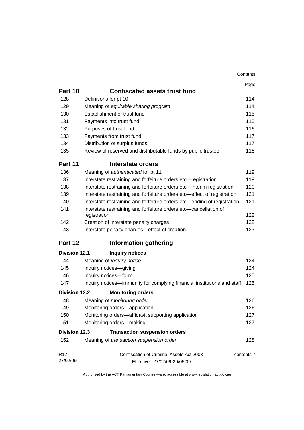|                      |                                                                                  | Contents   |
|----------------------|----------------------------------------------------------------------------------|------------|
|                      |                                                                                  | Page       |
| Part 10              | <b>Confiscated assets trust fund</b>                                             |            |
| 128                  | Definitions for pt 10                                                            | 114        |
| 129                  | Meaning of equitable sharing program                                             | 114        |
| 130                  | Establishment of trust fund                                                      | 115        |
| 131                  | Payments into trust fund                                                         | 115        |
| 132                  | Purposes of trust fund                                                           | 116        |
| 133                  | Payments from trust fund                                                         | 117        |
| 134                  | Distribution of surplus funds                                                    | 117        |
| 135                  | Review of reserved and distributable funds by public trustee                     | 118        |
| Part 11              | Interstate orders                                                                |            |
| 136                  | Meaning of authenticated for pt 11                                               | 119        |
| 137                  | Interstate restraining and forfeiture orders etc-registration                    | 119        |
| 138                  | Interstate restraining and forfeiture orders etc-interim registration            | 120        |
| 139                  | Interstate restraining and forfeiture orders etc-effect of registration          | 121        |
| 140                  | Interstate restraining and forfeiture orders etc—ending of registration          | 121        |
| 141                  | Interstate restraining and forfeiture orders etc-cancellation of<br>registration | 122        |
| 142                  | Creation of interstate penalty charges                                           | 122        |
| 143                  | Interstate penalty charges-effect of creation                                    | 123        |
| Part 12              | <b>Information gathering</b>                                                     |            |
| <b>Division 12.1</b> | <b>Inquiry notices</b>                                                           |            |
| 144                  | Meaning of <i>inquiry notice</i>                                                 | 124        |
| 145                  | Inquiry notices-giving                                                           | 124        |
| 146                  | Inquiry notices-form                                                             | 125        |
| 147                  | Inquiry notices—immunity for complying financial institutions and staff          | 125        |
| <b>Division 12.2</b> | <b>Monitoring orders</b>                                                         |            |
| 148                  | Meaning of <i>monitoring order</i>                                               | 126        |
| 149                  | Monitoring orders-application                                                    | 126        |
| 150                  | Monitoring orders-affidavit supporting application                               | 127        |
| 151                  | Monitoring orders-making                                                         | 127        |
| <b>Division 12.3</b> | <b>Transaction suspension orders</b>                                             |            |
| 152                  | Meaning of transaction suspension order                                          | 128        |
| R <sub>12</sub>      | Confiscation of Criminal Assets Act 2003                                         | contents 7 |
| 27/02/09             | Effective: 27/02/09-29/05/09                                                     |            |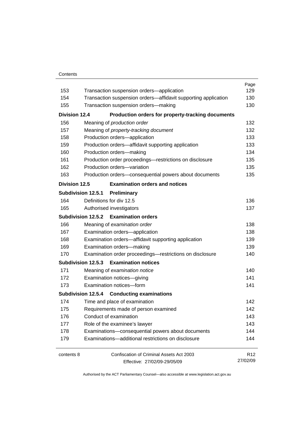### **Contents**

|                      |                                                                | Page            |
|----------------------|----------------------------------------------------------------|-----------------|
| 153                  | Transaction suspension orders-application                      | 129             |
| 154                  | Transaction suspension orders-affidavit supporting application | 130             |
| 155                  | Transaction suspension orders-making                           | 130             |
| <b>Division 12.4</b> | Production orders for property-tracking documents              |                 |
| 156                  | Meaning of production order                                    | 132             |
| 157                  | Meaning of property-tracking document                          | 132             |
| 158                  | Production orders-application                                  | 133             |
| 159                  | Production orders-affidavit supporting application             | 133             |
| 160                  | Production orders-making                                       | 134             |
| 161                  | Production order proceedings-restrictions on disclosure        | 135             |
| 162                  | Production orders-variation                                    | 135             |
| 163                  | Production orders-consequential powers about documents         | 135             |
| <b>Division 12.5</b> | <b>Examination orders and notices</b>                          |                 |
|                      | <b>Subdivision 12.5.1</b><br>Preliminary                       |                 |
| 164                  | Definitions for div 12.5                                       | 136             |
| 165                  | Authorised investigators                                       | 137             |
|                      | Subdivision 12.5.2 Examination orders                          |                 |
| 166                  | Meaning of examination order                                   | 138             |
| 167                  | Examination orders-application                                 | 138             |
| 168                  | Examination orders-affidavit supporting application            | 139             |
| 169                  | Examination orders-making                                      | 139             |
| 170                  | Examination order proceedings-restrictions on disclosure       | 140             |
|                      | <b>Examination notices</b><br>Subdivision 12.5.3               |                 |
| 171                  | Meaning of examination notice                                  | 140             |
| 172                  | Examination notices-giving                                     | 141             |
| 173                  | Examination notices-form                                       | 141             |
|                      | Subdivision 12.5.4 Conducting examinations                     |                 |
| 174                  | Time and place of examination                                  | 142             |
| 175                  | Requirements made of person examined                           | 142             |
| 176                  | Conduct of examination                                         | 143             |
| 177                  | Role of the examinee's lawyer                                  | 143             |
| 178                  | Examinations-consequential powers about documents              | 144             |
| 179                  | Examinations-additional restrictions on disclosure             | 144             |
| contents 8           | Confiscation of Criminal Assets Act 2003                       | R <sub>12</sub> |
|                      | Effective: 27/02/09-29/05/09                                   | 27/02/09        |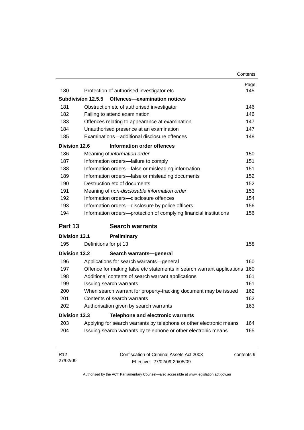|                      |                                                                        | Contents   |
|----------------------|------------------------------------------------------------------------|------------|
|                      |                                                                        | Page       |
| 180                  | Protection of authorised investigator etc                              | 145        |
|                      | Offences-examination notices<br><b>Subdivision 12.5.5</b>              |            |
| 181                  | Obstruction etc of authorised investigator                             | 146        |
| 182                  | Failing to attend examination                                          | 146        |
| 183                  | Offences relating to appearance at examination                         | 147        |
| 184                  | Unauthorised presence at an examination                                | 147        |
| 185                  | Examinations-additional disclosure offences                            | 148        |
| <b>Division 12.6</b> | Information order offences                                             |            |
| 186                  | Meaning of information order                                           | 150        |
| 187                  | Information orders-failure to comply                                   | 151        |
| 188                  | Information orders-false or misleading information                     | 151        |
| 189                  | Information orders-false or misleading documents                       | 152        |
| 190                  | Destruction etc of documents                                           | 152        |
| 191                  | Meaning of non-disclosable information order                           | 153        |
| 192                  | Information orders-disclosure offences                                 | 154        |
| 193                  | Information orders-disclosure by police officers                       | 156        |
| 194                  | Information orders-protection of complying financial institutions      | 156        |
| Part 13              | <b>Search warrants</b>                                                 |            |
| <b>Division 13.1</b> | Preliminary                                                            |            |
| 195                  | Definitions for pt 13                                                  | 158        |
| <b>Division 13.2</b> | Search warrants-general                                                |            |
| 196                  | Applications for search warrants-general                               | 160        |
| 197                  | Offence for making false etc statements in search warrant applications | 160        |
| 198                  | Additional contents of search warrant applications                     | 161        |
| 199                  | Issuing search warrants                                                | 161        |
| 200                  | When search warrant for property-tracking document may be issued       | 162        |
|                      |                                                                        | 162        |
| 201                  | Contents of search warrants                                            |            |
| 202                  | Authorisation given by search warrants                                 |            |
| <b>Division 13.3</b> | <b>Telephone and electronic warrants</b>                               |            |
| 203                  | Applying for search warrants by telephone or other electronic means    | 163<br>164 |

| R <sub>12</sub> | Confiscation of Criminal Assets Act 2003 | contents 9 |
|-----------------|------------------------------------------|------------|
| 27/02/09        | Effective: 27/02/09-29/05/09             |            |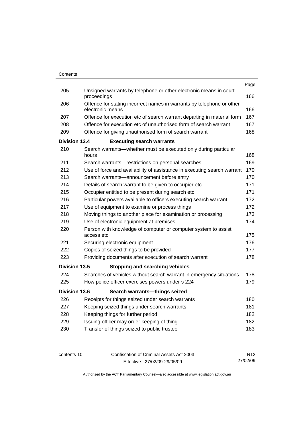|                      |                                                                                           | Page |
|----------------------|-------------------------------------------------------------------------------------------|------|
| 205                  | Unsigned warrants by telephone or other electronic means in court<br>proceedings          | 166  |
| 206                  | Offence for stating incorrect names in warrants by telephone or other<br>electronic means | 166  |
| 207                  | Offence for execution etc of search warrant departing in material form                    | 167  |
| 208                  | Offence for execution etc of unauthorised form of search warrant                          | 167  |
| 209                  | Offence for giving unauthorised form of search warrant                                    | 168  |
| <b>Division 13.4</b> | <b>Executing search warrants</b>                                                          |      |
| 210                  | Search warrants-whether must be executed only during particular<br>hours                  | 168  |
| 211                  | Search warrants-restrictions on personal searches                                         | 169  |
| 212                  | Use of force and availability of assistance in executing search warrant                   | 170  |
| 213                  | Search warrants—announcement before entry                                                 | 170  |
| 214                  | Details of search warrant to be given to occupier etc                                     | 171  |
| 215                  | Occupier entitled to be present during search etc                                         | 171  |
| 216                  | Particular powers available to officers executing search warrant                          | 172  |
| 217                  | Use of equipment to examine or process things                                             | 172  |
| 218                  | Moving things to another place for examination or processing                              | 173  |
| 219                  | Use of electronic equipment at premises                                                   | 174  |
| 220                  | Person with knowledge of computer or computer system to assist<br>access etc              | 175  |
| 221                  | Securing electronic equipment                                                             | 176  |
| 222                  | Copies of seized things to be provided                                                    | 177  |
| 223                  | Providing documents after execution of search warrant                                     | 178  |
| <b>Division 13.5</b> | <b>Stopping and searching vehicles</b>                                                    |      |
| 224                  | Searches of vehicles without search warrant in emergency situations                       | 178  |
| 225                  | How police officer exercises powers under s 224                                           | 179  |
| <b>Division 13.6</b> | Search warrants-things seized                                                             |      |
| 226                  | Receipts for things seized under search warrants                                          | 180  |
| 227                  | Keeping seized things under search warrants                                               | 181  |
| 228                  | Keeping things for further period                                                         | 182  |
| 229                  | Issuing officer may order keeping of thing                                                | 182  |
| 230                  | Transfer of things seized to public trustee                                               | 183  |
|                      |                                                                                           |      |

| contents 10 | Confiscation of Criminal Assets Act 2003 | R <sub>12</sub> |
|-------------|------------------------------------------|-----------------|
|             | Effective: 27/02/09-29/05/09             | 27/02/09        |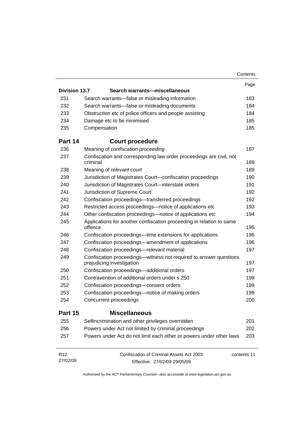|                      |                                                                                                | Contents |
|----------------------|------------------------------------------------------------------------------------------------|----------|
|                      |                                                                                                | Page     |
| <b>Division 13.7</b> | Search warrants-miscellaneous                                                                  |          |
| 231                  | Search warrants—false or misleading information                                                | 183      |
| 232                  | Search warrants-false or misleading documents                                                  | 184      |
| 233                  | Obstruction etc of police officers and people assisting                                        | 184      |
| 234                  | Damage etc to be minimised                                                                     | 185      |
| 235                  | Compensation                                                                                   | 185      |
| Part 14              | <b>Court procedure</b>                                                                         |          |
| 236                  | Meaning of confiscation proceeding                                                             | 187      |
| 237                  | Confiscation and corresponding law order proceedings are civil, not<br>criminal                | 189      |
| 238                  | Meaning of relevant court                                                                      |          |
| 239                  | Jurisdiction of Magistrates Court-confiscation proceedings                                     | 190      |
| 240                  | Jurisdiction of Magistrates Court-interstate orders                                            | 191      |
| 241                  | Jurisdiction of Supreme Court                                                                  | 192      |
| 242                  | Confiscation proceedings-transferred proceedings                                               | 192      |
| 243                  | Restricted access proceedings—notice of applications etc                                       |          |
| 244                  | Other confiscation proceedings—notice of applications etc                                      |          |
| 245                  | Applications for another confiscation proceeding in relation to same<br>offence                | 195      |
| 246                  | Confiscation proceedings—time extensions for applications                                      | 196      |
| 247                  | Confiscation proceedings—amendment of applications                                             | 196      |
| 248                  | Confiscation proceedings-relevant material                                                     | 197      |
| 249                  | Confiscation proceedings-witness not required to answer questions<br>prejudicing investigation | 197      |
| 250                  | Confiscation proceedings-additional orders                                                     | 197      |
| 251                  | Contravention of additional orders under s 250                                                 | 199      |
| 252                  | Confiscation proceedings-consent orders                                                        | 199      |
| 253                  | Confiscation proceedings—notice of making orders                                               | 199      |
| 254                  | Concurrent proceedings                                                                         | 200      |
| Part 15              | <b>Miscellaneous</b>                                                                           |          |
| 255                  | Selfincrimination and other privileges overridden                                              | 201      |
| 256                  | Powers under Act not limited by criminal proceedings                                           | 202      |
| 257                  | Powers under Act do not limit each other or powers under other laws                            | 203      |
| R <sub>12</sub>      | Confiscation of Criminal Assets Act 2003<br>contents 11                                        |          |
| 27/02/09             | Effective: 27/02/09-29/05/09                                                                   |          |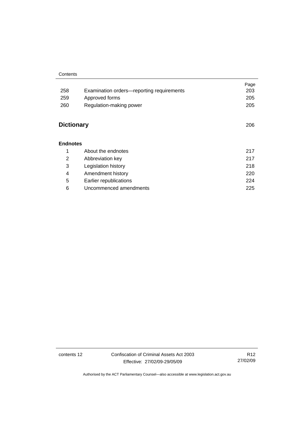#### **Contents**

|                   |                                           | Page |
|-------------------|-------------------------------------------|------|
| 258               | Examination orders-reporting requirements | 203  |
| 259               | Approved forms                            | 205  |
| 260               | Regulation-making power                   | 205  |
|                   |                                           |      |
| <b>Dictionary</b> |                                           | 206  |
|                   |                                           |      |
| <b>Endnotes</b>   |                                           |      |
| 1                 | About the endnotes                        | 217  |
| 2                 | Abbreviation key                          | 217  |
| 3                 | Legislation history                       | 218  |
| 4                 | Amendment history                         | 220  |
| 5                 | Earlier republications                    | 224  |
| 6                 | Uncommenced amendments                    | 225  |

contents 12 Confiscation of Criminal Assets Act 2003 Effective: 27/02/09-29/05/09

R12 27/02/09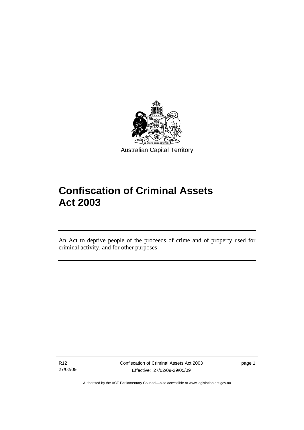<span id="page-14-0"></span>

# **Confiscation of Criminal Assets Act 2003**

An Act to deprive people of the proceeds of crime and of property used for criminal activity, and for other purposes

R12 27/02/09

ׇ֡֬֡

Confiscation of Criminal Assets Act 2003 Effective: 27/02/09-29/05/09

page 1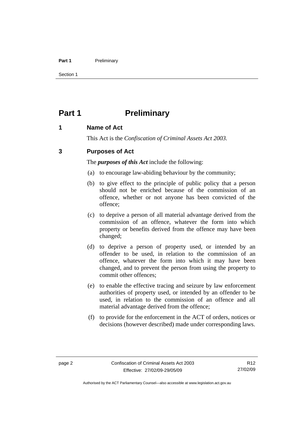### <span id="page-15-0"></span>Part 1 **Preliminary**

Section 1

# **Part 1** Preliminary

### **1 Name of Act**

This Act is the *Confiscation of Criminal Assets Act 2003.*

# **3 Purposes of Act**

The *purposes of this Act* include the following:

- (a) to encourage law-abiding behaviour by the community;
- (b) to give effect to the principle of public policy that a person should not be enriched because of the commission of an offence, whether or not anyone has been convicted of the offence;
- (c) to deprive a person of all material advantage derived from the commission of an offence, whatever the form into which property or benefits derived from the offence may have been changed;
- (d) to deprive a person of property used, or intended by an offender to be used, in relation to the commission of an offence, whatever the form into which it may have been changed, and to prevent the person from using the property to commit other offences;
- (e) to enable the effective tracing and seizure by law enforcement authorities of property used, or intended by an offender to be used, in relation to the commission of an offence and all material advantage derived from the offence;
- (f) to provide for the enforcement in the ACT of orders, notices or decisions (however described) made under corresponding laws.

Authorised by the ACT Parliamentary Counsel—also accessible at www.legislation.act.gov.au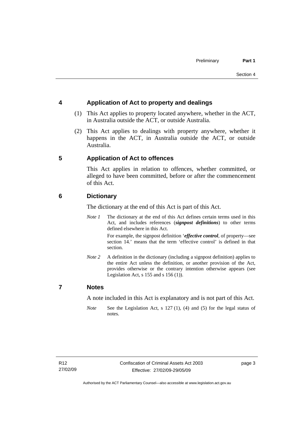# <span id="page-16-0"></span>**4 Application of Act to property and dealings**

- (1) This Act applies to property located anywhere, whether in the ACT, in Australia outside the ACT, or outside Australia.
- (2) This Act applies to dealings with property anywhere, whether it happens in the ACT, in Australia outside the ACT, or outside Australia.

# **5 Application of Act to offences**

This Act applies in relation to offences, whether committed, or alleged to have been committed, before or after the commencement of this Act.

# **6 Dictionary**

The dictionary at the end of this Act is part of this Act.

*Note 1* The dictionary at the end of this Act defines certain terms used in this Act, and includes references (*signpost definitions*) to other terms defined elsewhere in this Act.

> For example, the signpost definition '*effective control*, of property—see section 14.' means that the term 'effective control' is defined in that section.

*Note 2* A definition in the dictionary (including a signpost definition) applies to the entire Act unless the definition, or another provision of the Act, provides otherwise or the contrary intention otherwise appears (see Legislation Act,  $s$  155 and  $s$  156 (1)).

### **7 Notes**

A note included in this Act is explanatory and is not part of this Act.

*Note* See the Legislation Act, s 127 (1), (4) and (5) for the legal status of notes.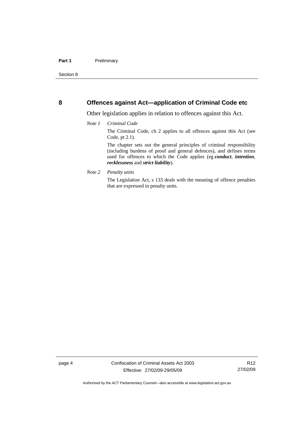### <span id="page-17-0"></span>**8 Offences against Act—application of Criminal Code etc**

Other legislation applies in relation to offences against this Act.

### *Note 1 Criminal Code*

The Criminal Code, ch 2 applies to all offences against this Act (see Code, pt 2.1).

The chapter sets out the general principles of criminal responsibility (including burdens of proof and general defences), and defines terms used for offences to which the Code applies (eg *conduct*, *intention*, *recklessness* and *strict liability*).

*Note 2 Penalty units* 

The Legislation Act, s 133 deals with the meaning of offence penalties that are expressed in penalty units.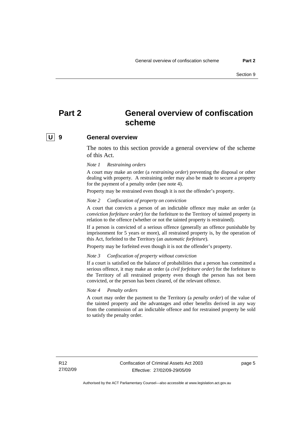# <span id="page-18-0"></span>**Part 2 General overview of confiscation scheme**

# **U 9 General overview**

The notes to this section provide a general overview of the scheme of this Act.

*Note 1 Restraining orders*

A court may make an order (a *restraining order*) preventing the disposal or other dealing with property. A restraining order may also be made to secure a property for the payment of a penalty order (see note 4).

Property may be restrained even though it is not the offender's property.

*Note 2 Confiscation of property on conviction*

A court that convicts a person of an indictable offence may make an order (a *conviction forfeiture order*) for the forfeiture to the Territory of tainted property in relation to the offence (whether or not the tainted property is restrained).

If a person is convicted of a serious offence (generally an offence punishable by imprisonment for 5 years or more), all restrained property is, by the operation of this Act, forfeited to the Territory (an *automatic forfeiture*).

Property may be forfeited even though it is not the offender's property.

### *Note 3 Confiscation of property without conviction*

If a court is satisfied on the balance of probabilities that a person has committed a serious offence, it may make an order (a *civil forfeiture order*) for the forfeiture to the Territory of all restrained property even though the person has not been convicted, or the person has been cleared, of the relevant offence.

### *Note 4 Penalty orders*

A court may order the payment to the Territory (a *penalty order*) of the value of the tainted property and the advantages and other benefits derived in any way from the commission of an indictable offence and for restrained property be sold to satisfy the penalty order.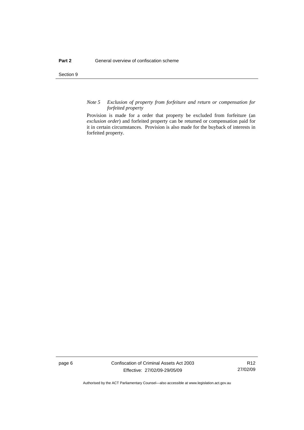Section 9

### *Note 5 Exclusion of property from forfeiture and return or compensation for forfeited property*

Provision is made for a order that property be excluded from forfeiture (an *exclusion order*) and forfeited property can be returned or compensation paid for it in certain circumstances. Provision is also made for the buyback of interests in forfeited property.

page 6 Confiscation of Criminal Assets Act 2003 Effective: 27/02/09-29/05/09

R12 27/02/09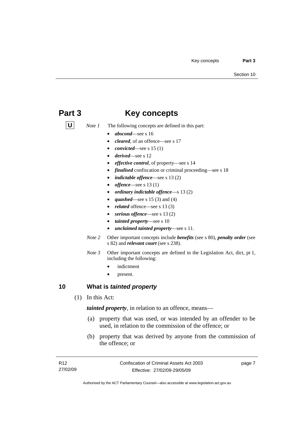# <span id="page-20-0"></span>**Part 3 Key concepts**

- **U** *Note 1* The following concepts are defined in this part:
	- *abscond*—see s 16
	- *cleared*, of an offence—see s 17
	- *convicted*—see s 15 (1)
	- *derived*—see s 12
	- *effective control*, of property—see s 14
	- *finalised* confiscation or criminal proceeding—see s 18
	- *indictable offence*—see s 13 (2)
	- *offence*—see s 13 (1)
	- *ordinary indictable offence*—s 13 (2)
	- *quashed*—see s 15 (3) and (4)
	- related offence—see s 13 (3)
	- serious offence—see s 13 (2)
	- *tainted property*—see s 10
	- *unclaimed tainted property*—see s 11.
	- *Note 2* Other important concepts include *benefits* (see s 80), *penalty order* (see s 82) and *relevant court* (see s 238).
	- *Note 3* Other important concepts are defined in the Legislation Act, dict, pt 1, including the following:
		- indictment
		- present.

## **10 What is** *tainted property*

(1) In this Act:

*tainted property*, in relation to an offence, means—

- (a) property that was used, or was intended by an offender to be used, in relation to the commission of the offence; or
- (b) property that was derived by anyone from the commission of the offence; or

page 7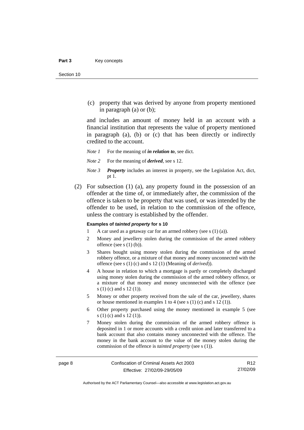(c) property that was derived by anyone from property mentioned in paragraph (a) or (b);

and includes an amount of money held in an account with a financial institution that represents the value of property mentioned in paragraph (a), (b) or (c) that has been directly or indirectly credited to the account.

- *Note 1* For the meaning of *in relation to*, see dict.
- *Note 2* For the meaning of *derived*, see s 12.
- *Note 3 Property* includes an interest in property, see the Legislation Act, dict, pt 1.
- (2) For subsection (1) (a), any property found in the possession of an offender at the time of, or immediately after, the commission of the offence is taken to be property that was used, or was intended by the offender to be used, in relation to the commission of the offence, unless the contrary is established by the offender.

#### **Examples of** *tainted property* **for s 10**

- 1 A car used as a getaway car for an armed robbery (see s (1) (a)).
- 2 Money and jewellery stolen during the commission of the armed robbery offence (see s (1) (b)).
- 3 Shares bought using money stolen during the commission of the armed robbery offence, or a mixture of that money and money unconnected with the offence (see s (1) (c) and s 12 (1) (Meaning of *derived*)).
- 4 A house in relation to which a mortgage is partly or completely discharged using money stolen during the commission of the armed robbery offence, or a mixture of that money and money unconnected with the offence (see s (1) (c) and s 12 (1)).
- 5 Money or other property received from the sale of the car, jewellery, shares or house mentioned in examples 1 to 4 (see s (1) (c) and s 12 (1)).
- 6 Other property purchased using the money mentioned in example 5 (see s (1) (c) and s 12 (1)).
- 7 Money stolen during the commission of the armed robbery offence is deposited in 1 or more accounts with a credit union and later transferred to a bank account that also contains money unconnected with the offence. The money in the bank account to the value of the money stolen during the commission of the offence is *tainted property* (see s (1)).

Authorised by the ACT Parliamentary Counsel—also accessible at www.legislation.act.gov.au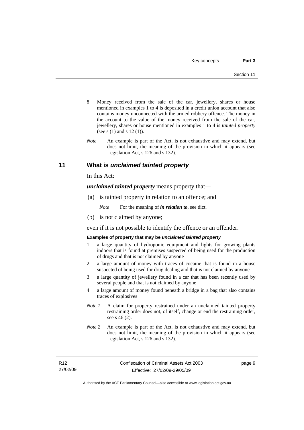- <span id="page-22-0"></span>8 Money received from the sale of the car, jewellery, shares or house mentioned in examples 1 to 4 is deposited in a credit union account that also contains money unconnected with the armed robbery offence. The money in the account to the value of the money received from the sale of the car, jewellery, shares or house mentioned in examples 1 to 4 is *tainted property* (see s (1) and s 12 (1)).
- *Note* An example is part of the Act, is not exhaustive and may extend, but does not limit, the meaning of the provision in which it appears (see Legislation Act, s 126 and s 132).

### **11 What is** *unclaimed tainted property*

In this Act:

*unclaimed tainted property* means property that—

(a) is tainted property in relation to an offence; and

*Note* For the meaning of *in relation to*, see dict.

(b) is not claimed by anyone;

even if it is not possible to identify the offence or an offender.

### **Examples of property that may be** *unclaimed tainted property*

- 1 a large quantity of hydroponic equipment and lights for growing plants indoors that is found at premises suspected of being used for the production of drugs and that is not claimed by anyone
- 2 a large amount of money with traces of cocaine that is found in a house suspected of being used for drug dealing and that is not claimed by anyone
- 3 a large quantity of jewellery found in a car that has been recently used by several people and that is not claimed by anyone
- 4 a large amount of money found beneath a bridge in a bag that also contains traces of explosives
- *Note 1* A claim for property restrained under an unclaimed tainted property restraining order does not, of itself, change or end the restraining order, see s 46 (2).
- *Note 2* An example is part of the Act, is not exhaustive and may extend, but does not limit, the meaning of the provision in which it appears (see Legislation Act, s 126 and s 132).

page 9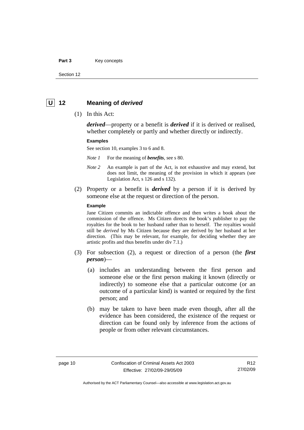### <span id="page-23-0"></span>Part 3 **Key concepts**

Section 12

## **U 12 Meaning of** *derived*

(1) In this Act:

*derived*—property or a benefit is *derived* if it is derived or realised, whether completely or partly and whether directly or indirectly.

#### **Examples**

See section 10, examples 3 to 6 and 8.

*Note 1* For the meaning of *benefits*, see s 80.

- *Note 2* An example is part of the Act, is not exhaustive and may extend, but does not limit, the meaning of the provision in which it appears (see Legislation Act, s 126 and s 132).
- (2) Property or a benefit is *derived* by a person if it is derived by someone else at the request or direction of the person.

### **Example**

Jane Citizen commits an indictable offence and then writes a book about the commission of the offence. Ms Citizen directs the book's publisher to pay the royalties for the book to her husband rather than to herself. The royalties would still be *derived* by Ms Citizen because they are derived by her husband at her direction. (This may be relevant, for example, for deciding whether they are artistic profits and thus benefits under div 7.1.)

- (3) For subsection (2), a request or direction of a person (the *first person*)—
	- (a) includes an understanding between the first person and someone else or the first person making it known (directly or indirectly) to someone else that a particular outcome (or an outcome of a particular kind) is wanted or required by the first person; and
	- (b) may be taken to have been made even though, after all the evidence has been considered, the existence of the request or direction can be found only by inference from the actions of people or from other relevant circumstances.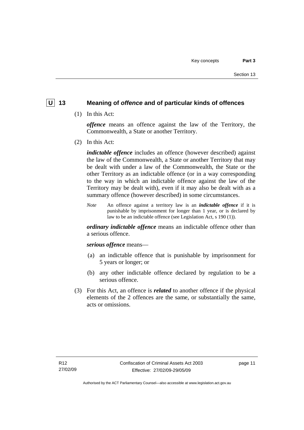# <span id="page-24-0"></span> **U 13 Meaning of** *offence* **and of particular kinds of offences**

(1) In this Act:

*offence* means an offence against the law of the Territory, the Commonwealth, a State or another Territory.

(2) In this Act:

*indictable offence* includes an offence (however described) against the law of the Commonwealth, a State or another Territory that may be dealt with under a law of the Commonwealth, the State or the other Territory as an indictable offence (or in a way corresponding to the way in which an indictable offence against the law of the Territory may be dealt with), even if it may also be dealt with as a summary offence (however described) in some circumstances.

*Note* An offence against a territory law is an *indictable offence* if it is punishable by imprisonment for longer than 1 year, or is declared by law to be an indictable offence (see Legislation Act, s 190 (1)).

*ordinary indictable offence* means an indictable offence other than a serious offence.

*serious offence* means—

- (a) an indictable offence that is punishable by imprisonment for 5 years or longer; or
- (b) any other indictable offence declared by regulation to be a serious offence.
- (3) For this Act, an offence is *related* to another offence if the physical elements of the 2 offences are the same, or substantially the same, acts or omissions.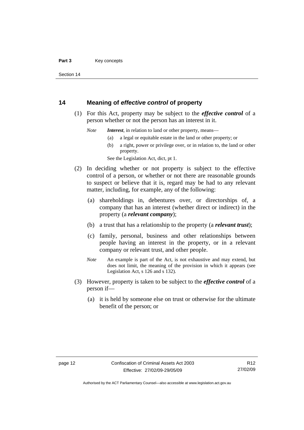<span id="page-25-0"></span>Section 14

### **14 Meaning of** *effective control* **of property**

- (1) For this Act, property may be subject to the *effective control* of a person whether or not the person has an interest in it.
	- *Note Interest*, in relation to land or other property, means—
		- (a) a legal or equitable estate in the land or other property; or
		- (b) a right, power or privilege over, or in relation to, the land or other property.

See the Legislation Act, dict, pt 1.

- (2) In deciding whether or not property is subject to the effective control of a person, or whether or not there are reasonable grounds to suspect or believe that it is, regard may be had to any relevant matter, including, for example, any of the following:
	- (a) shareholdings in, debentures over, or directorships of, a company that has an interest (whether direct or indirect) in the property (a *relevant company*);
	- (b) a trust that has a relationship to the property (a *relevant trust*);
	- (c) family, personal, business and other relationships between people having an interest in the property, or in a relevant company or relevant trust, and other people.
	- *Note* An example is part of the Act, is not exhaustive and may extend, but does not limit, the meaning of the provision in which it appears (see Legislation Act, s 126 and s 132).
- (3) However, property is taken to be subject to the *effective control* of a person if—
	- (a) it is held by someone else on trust or otherwise for the ultimate benefit of the person; or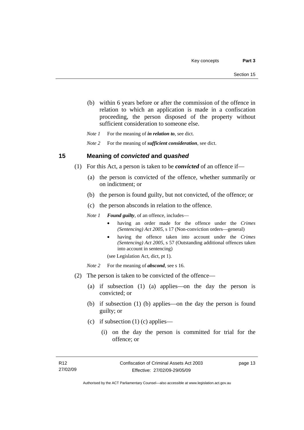- <span id="page-26-0"></span> (b) within 6 years before or after the commission of the offence in relation to which an application is made in a confiscation proceeding, the person disposed of the property without sufficient consideration to someone else.
- *Note 1* For the meaning of *in relation to*, see dict.

*Note 2* For the meaning of *sufficient consideration*, see dict.

### **15 Meaning of** *convicted* **and** *quashed*

- (1) For this Act, a person is taken to be *convicted* of an offence if—
	- (a) the person is convicted of the offence, whether summarily or on indictment; or
	- (b) the person is found guilty, but not convicted, of the offence; or
	- (c) the person absconds in relation to the offence.

*Note 1 Found guilty*, of an offence, includes—

- having an order made for the offence under the *Crimes (Sentencing) Act 2005*, s 17 (Non-conviction orders—general)
- having the offence taken into account under the *Crimes (Sentencing) Act 2005*, s 57 (Outstanding additional offences taken into account in sentencing)

(see Legislation Act, dict, pt 1).

- *Note* 2 For the meaning of *abscond*, see s 16.
- (2) The person is taken to be convicted of the offence—
	- (a) if subsection (1) (a) applies—on the day the person is convicted; or
	- (b) if subsection (1) (b) applies—on the day the person is found guilty; or
	- (c) if subsection (1) (c) applies—
		- (i) on the day the person is committed for trial for the offence; or

page 13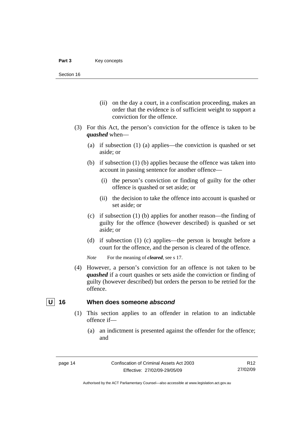- <span id="page-27-0"></span> (ii) on the day a court, in a confiscation proceeding, makes an order that the evidence is of sufficient weight to support a conviction for the offence.
- (3) For this Act, the person's conviction for the offence is taken to be *quashed* when—
	- (a) if subsection (1) (a) applies—the conviction is quashed or set aside; or
	- (b) if subsection (1) (b) applies because the offence was taken into account in passing sentence for another offence—
		- (i) the person's conviction or finding of guilty for the other offence is quashed or set aside; or
		- (ii) the decision to take the offence into account is quashed or set aside; or
	- (c) if subsection (1) (b) applies for another reason—the finding of guilty for the offence (however described) is quashed or set aside; or
	- (d) if subsection (1) (c) applies—the person is brought before a court for the offence, and the person is cleared of the offence.

*Note* For the meaning of *cleared*, see s 17.

 (4) However, a person's conviction for an offence is not taken to be *quashed* if a court quashes or sets aside the conviction or finding of guilty (however described) but orders the person to be retried for the offence.

# **U** 16 When does someone *abscond*

- (1) This section applies to an offender in relation to an indictable offence if—
	- (a) an indictment is presented against the offender for the offence; and

R12 27/02/09

Authorised by the ACT Parliamentary Counsel—also accessible at www.legislation.act.gov.au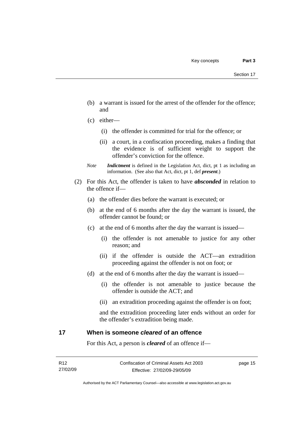- <span id="page-28-0"></span> (b) a warrant is issued for the arrest of the offender for the offence; and
- (c) either—
	- (i) the offender is committed for trial for the offence; or
	- (ii) a court, in a confiscation proceeding, makes a finding that the evidence is of sufficient weight to support the offender's conviction for the offence.
- *Note Indictment* is defined in the Legislation Act, dict, pt 1 as including an information. (See also that Act, dict, pt 1, def *present*.)
- (2) For this Act, the offender is taken to have *absconded* in relation to the offence if—
	- (a) the offender dies before the warrant is executed; or
	- (b) at the end of 6 months after the day the warrant is issued, the offender cannot be found; or
	- (c) at the end of 6 months after the day the warrant is issued—
		- (i) the offender is not amenable to justice for any other reason; and
		- (ii) if the offender is outside the ACT—an extradition proceeding against the offender is not on foot; or
	- (d) at the end of 6 months after the day the warrant is issued—
		- (i) the offender is not amenable to justice because the offender is outside the ACT; and
		- (ii) an extradition proceeding against the offender is on foot;

and the extradition proceeding later ends without an order for the offender's extradition being made.

### **17 When is someone** *cleared* **of an offence**

For this Act, a person is *cleared* of an offence if—

page 15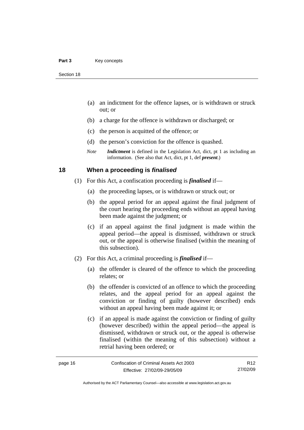- <span id="page-29-0"></span> (a) an indictment for the offence lapses, or is withdrawn or struck out; or
- (b) a charge for the offence is withdrawn or discharged; or
- (c) the person is acquitted of the offence; or
- (d) the person's conviction for the offence is quashed.
- *Note Indictment* is defined in the Legislation Act, dict, pt 1 as including an information. (See also that Act, dict, pt 1, def *present*.)

### **18 When a proceeding is** *finalised*

- (1) For this Act, a confiscation proceeding is *finalised* if—
	- (a) the proceeding lapses, or is withdrawn or struck out; or
	- (b) the appeal period for an appeal against the final judgment of the court hearing the proceeding ends without an appeal having been made against the judgment; or
	- (c) if an appeal against the final judgment is made within the appeal period—the appeal is dismissed, withdrawn or struck out, or the appeal is otherwise finalised (within the meaning of this subsection).
- (2) For this Act, a criminal proceeding is *finalised* if—
	- (a) the offender is cleared of the offence to which the proceeding relates; or
	- (b) the offender is convicted of an offence to which the proceeding relates, and the appeal period for an appeal against the conviction or finding of guilty (however described) ends without an appeal having been made against it; or
	- (c) if an appeal is made against the conviction or finding of guilty (however described) within the appeal period—the appeal is dismissed, withdrawn or struck out, or the appeal is otherwise finalised (within the meaning of this subsection) without a retrial having been ordered; or

R12 27/02/09

Authorised by the ACT Parliamentary Counsel—also accessible at www.legislation.act.gov.au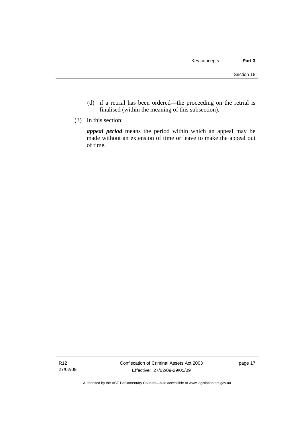- (d) if a retrial has been ordered—the proceeding on the retrial is finalised (within the meaning of this subsection).
- (3) In this section:

*appeal period* means the period within which an appeal may be made without an extension of time or leave to make the appeal out of time.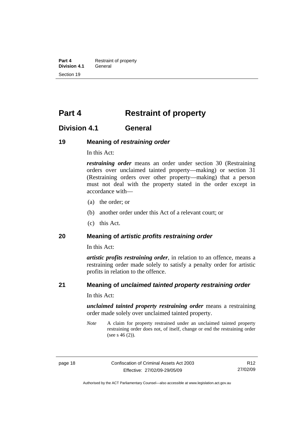<span id="page-31-0"></span>**Part 4 Restraint of property**<br>**Division 4.1 General Division 4.1** Section 19

# **Part 4 Restraint of property**

# **Division 4.1 General**

### **19 Meaning of** *restraining order*

In this Act:

*restraining order* means an order under section 30 (Restraining orders over unclaimed tainted property—making) or section 31 (Restraining orders over other property—making) that a person must not deal with the property stated in the order except in accordance with—

- (a) the order; or
- (b) another order under this Act of a relevant court; or
- (c) this Act.

### **20 Meaning of** *artistic profits restraining order*

In this Act:

*artistic profits restraining order*, in relation to an offence, means a restraining order made solely to satisfy a penalty order for artistic profits in relation to the offence.

### **21 Meaning of** *unclaimed tainted property restraining order*

In this Act:

*unclaimed tainted property restraining order* means a restraining order made solely over unclaimed tainted property.

*Note* A claim for property restrained under an unclaimed tainted property restraining order does not, of itself, change or end the restraining order (see s 46 (2)).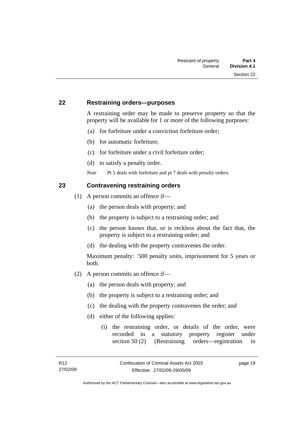## <span id="page-32-0"></span>**22 Restraining orders—purposes**

A restraining order may be made to preserve property so that the property will be available for 1 or more of the following purposes:

- (a) for forfeiture under a conviction forfeiture order;
- (b) for automatic forfeiture;
- (c) for forfeiture under a civil forfeiture order;
- (d) to satisfy a penalty order.

*Note* Pt 5 deals with forfeiture and pt 7 deals with penalty orders.

# **23 Contravening restraining orders**

- (1) A person commits an offence if—
	- (a) the person deals with property; and
	- (b) the property is subject to a restraining order; and
	- (c) the person knows that, or is reckless about the fact that, the property is subject to a restraining order; and
	- (d) the dealing with the property contravenes the order.

Maximum penalty: 500 penalty units, imprisonment for 5 years or both.

- (2) A person commits an offence if—
	- (a) the person deals with property; and
	- (b) the property is subject to a restraining order; and
	- (c) the dealing with the property contravenes the order; and
	- (d) either of the following applies:
		- (i) the restraining order, or details of the order, were recorded in a statutory property register under section 50 (2) (Restraining orders—registration in

page 19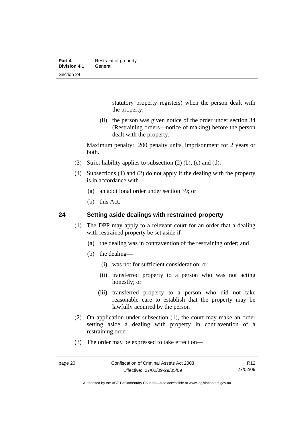<span id="page-33-0"></span>statutory property registers) when the person dealt with the property;

 (ii) the person was given notice of the order under section 34 (Restraining orders—notice of making) before the person dealt with the property.

Maximum penalty: 200 penalty units, imprisonment for 2 years or both.

- (3) Strict liability applies to subsection (2) (b), (c) and (d).
- (4) Subsections (1) and (2) do not apply if the dealing with the property is in accordance with—
	- (a) an additional order under section 39; or
	- (b) this Act.

### **24 Setting aside dealings with restrained property**

- (1) The DPP may apply to a relevant court for an order that a dealing with restrained property be set aside if—
	- (a) the dealing was in contravention of the restraining order; and
	- (b) the dealing—
		- (i) was not for sufficient consideration; or
		- (ii) transferred property to a person who was not acting honestly; or
		- (iii) transferred property to a person who did not take reasonable care to establish that the property may be lawfully acquired by the person
- (2) On application under subsection (1), the court may make an order setting aside a dealing with property in contravention of a restraining order.
- (3) The order may be expressed to take effect on—

Authorised by the ACT Parliamentary Counsel—also accessible at www.legislation.act.gov.au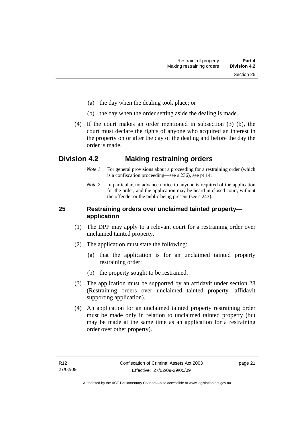- <span id="page-34-0"></span>(a) the day when the dealing took place; or
- (b) the day when the order setting aside the dealing is made.
- (4) If the court makes an order mentioned in subsection (3) (b), the court must declare the rights of anyone who acquired an interest in the property on or after the day of the dealing and before the day the order is made.

# **Division 4.2 Making restraining orders**

- *Note 1* For general provisions about a proceeding for a restraining order (which is a confiscation proceeding—see s 236), see pt 14.
- *Note* 2 In particular, no advance notice to anyone is required of the application for the order, and the application may be heard in closed court, without the offender or the public being present (see s 243).

# **25 Restraining orders over unclaimed tainted property application**

- (1) The DPP may apply to a relevant court for a restraining order over unclaimed tainted property.
- (2) The application must state the following:
	- (a) that the application is for an unclaimed tainted property restraining order;
	- (b) the property sought to be restrained.
- (3) The application must be supported by an affidavit under section 28 (Restraining orders over unclaimed tainted property—affidavit supporting application).
- (4) An application for an unclaimed tainted property restraining order must be made only in relation to unclaimed tainted property (but may be made at the same time as an application for a restraining order over other property).

page 21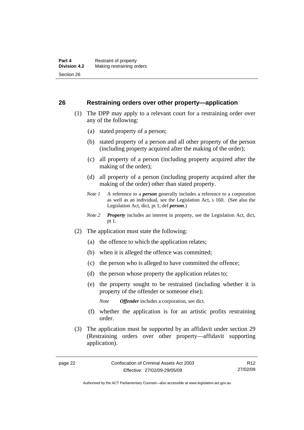### <span id="page-35-0"></span>**26 Restraining orders over other property—application**

- (1) The DPP may apply to a relevant court for a restraining order over any of the following:
	- (a) stated property of a person;
	- (b) stated property of a person and all other property of the person (including property acquired after the making of the order);
	- (c) all property of a person (including property acquired after the making of the order);
	- (d) all property of a person (including property acquired after the making of the order) other than stated property.
	- *Note 1* A reference to a *person* generally includes a reference to a corporation as well as an individual, see the Legislation Act, s 160. (See also the Legislation Act, dict, pt 1, def *person*.)
	- *Note 2 Property* includes an interest in property, see the Legislation Act, dict, pt 1.
- (2) The application must state the following:
	- (a) the offence to which the application relates;
	- (b) when it is alleged the offence was committed;
	- (c) the person who is alleged to have committed the offence;
	- (d) the person whose property the application relates to;
	- (e) the property sought to be restrained (including whether it is property of the offender or someone else);

*Note Offender* includes a corporation, see dict.

- (f) whether the application is for an artistic profits restraining order.
- (3) The application must be supported by an affidavit under section 29 (Restraining orders over other property—affidavit supporting application).

Authorised by the ACT Parliamentary Counsel—also accessible at www.legislation.act.gov.au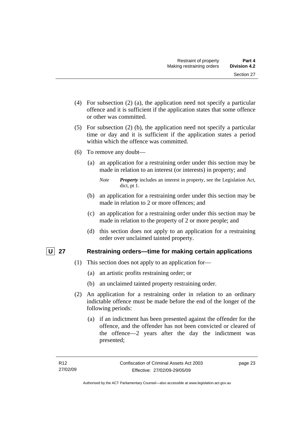- (4) For subsection (2) (a), the application need not specify a particular offence and it is sufficient if the application states that some offence or other was committed.
- (5) For subsection (2) (b), the application need not specify a particular time or day and it is sufficient if the application states a period within which the offence was committed.
- (6) To remove any doubt—
	- (a) an application for a restraining order under this section may be made in relation to an interest (or interests) in property; and
		- *Note Property* includes an interest in property, see the Legislation Act, dict, pt 1.
	- (b) an application for a restraining order under this section may be made in relation to 2 or more offences; and
	- (c) an application for a restraining order under this section may be made in relation to the property of 2 or more people; and
	- (d) this section does not apply to an application for a restraining order over unclaimed tainted property.

## **U 27 Restraining orders—time for making certain applications**

- (1) This section does not apply to an application for—
	- (a) an artistic profits restraining order; or
	- (b) an unclaimed tainted property restraining order.
- (2) An application for a restraining order in relation to an ordinary indictable offence must be made before the end of the longer of the following periods:
	- (a) if an indictment has been presented against the offender for the offence, and the offender has not been convicted or cleared of the offence—2 years after the day the indictment was presented;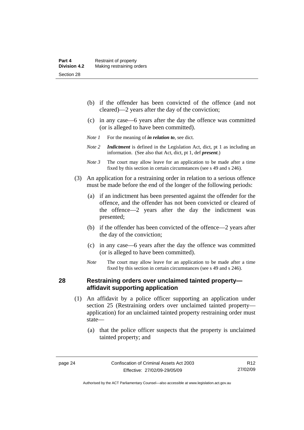- (b) if the offender has been convicted of the offence (and not cleared)—2 years after the day of the conviction;
- (c) in any case—6 years after the day the offence was committed (or is alleged to have been committed).
- *Note 1* For the meaning of *in relation to*, see dict.
- *Note 2 Indictment* is defined in the Legislation Act, dict, pt 1 as including an information. (See also that Act, dict, pt 1, def *present*.)
- *Note 3* The court may allow leave for an application to be made after a time fixed by this section in certain circumstances (see s 49 and s 246).
- (3) An application for a restraining order in relation to a serious offence must be made before the end of the longer of the following periods:
	- (a) if an indictment has been presented against the offender for the offence, and the offender has not been convicted or cleared of the offence—2 years after the day the indictment was presented;
	- (b) if the offender has been convicted of the offence—2 years after the day of the conviction;
	- (c) in any case—6 years after the day the offence was committed (or is alleged to have been committed).
	- *Note* The court may allow leave for an application to be made after a time fixed by this section in certain circumstances (see s 49 and s 246).

#### **28 Restraining orders over unclaimed tainted property affidavit supporting application**

- (1) An affidavit by a police officer supporting an application under section 25 (Restraining orders over unclaimed tainted property application) for an unclaimed tainted property restraining order must state—
	- (a) that the police officer suspects that the property is unclaimed tainted property; and

R12 27/02/09

Authorised by the ACT Parliamentary Counsel—also accessible at www.legislation.act.gov.au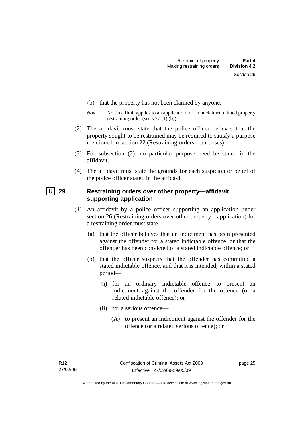- (b) that the property has not been claimed by anyone.
- *Note* No time limit applies to an application for an unclaimed tainted property restraining order (see s 27 (1) (b)).
- (2) The affidavit must state that the police officer believes that the property sought to be restrained may be required to satisfy a purpose mentioned in section 22 (Restraining orders—purposes).
- (3) For subsection (2), no particular purpose need be stated in the affidavit.
- (4) The affidavit must state the grounds for each suspicion or belief of the police officer stated in the affidavit.

## **U** 29 Restraining orders over other property—affidavit **supporting application**

- (1) An affidavit by a police officer supporting an application under section 26 (Restraining orders over other property—application) for a restraining order must state—
	- (a) that the officer believes that an indictment has been presented against the offender for a stated indictable offence, or that the offender has been convicted of a stated indictable offence; or
	- (b) that the officer suspects that the offender has committed a stated indictable offence, and that it is intended, within a stated period—
		- (i) for an ordinary indictable offence—to present an indictment against the offender for the offence (or a related indictable offence); or
		- (ii) for a serious offence—
			- (A) to present an indictment against the offender for the offence (or a related serious offence); or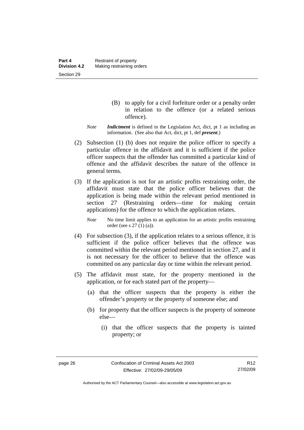- (B) to apply for a civil forfeiture order or a penalty order in relation to the offence (or a related serious offence).
- *Note Indictment* is defined in the Legislation Act, dict, pt 1 as including an information. (See also that Act, dict, pt 1, def *present*.)
- (2) Subsection (1) (b) does not require the police officer to specify a particular offence in the affidavit and it is sufficient if the police officer suspects that the offender has committed a particular kind of offence and the affidavit describes the nature of the offence in general terms.
- (3) If the application is not for an artistic profits restraining order, the affidavit must state that the police officer believes that the application is being made within the relevant period mentioned in section 27 (Restraining orders—time for making certain applications) for the offence to which the application relates.

*Note* No time limit applies to an application for an artistic profits restraining order (see s 27 (1) (a)).

- (4) For subsection (3), if the application relates to a serious offence, it is sufficient if the police officer believes that the offence was committed within the relevant period mentioned in section 27, and it is not necessary for the officer to believe that the offence was committed on any particular day or time within the relevant period.
- (5) The affidavit must state, for the property mentioned in the application, or for each stated part of the property—
	- (a) that the officer suspects that the property is either the offender's property or the property of someone else; and
	- (b) for property that the officer suspects is the property of someone else—
		- (i) that the officer suspects that the property is tainted property; or

Authorised by the ACT Parliamentary Counsel—also accessible at www.legislation.act.gov.au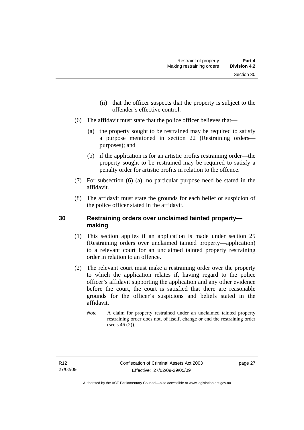- (ii) that the officer suspects that the property is subject to the offender's effective control.
- (6) The affidavit must state that the police officer believes that—
	- (a) the property sought to be restrained may be required to satisfy a purpose mentioned in section 22 (Restraining orders purposes); and
	- (b) if the application is for an artistic profits restraining order—the property sought to be restrained may be required to satisfy a penalty order for artistic profits in relation to the offence.
- (7) For subsection (6) (a), no particular purpose need be stated in the affidavit.
- (8) The affidavit must state the grounds for each belief or suspicion of the police officer stated in the affidavit.

### **30 Restraining orders over unclaimed tainted property making**

- (1) This section applies if an application is made under section 25 (Restraining orders over unclaimed tainted property—application) to a relevant court for an unclaimed tainted property restraining order in relation to an offence.
- (2) The relevant court must make a restraining order over the property to which the application relates if, having regard to the police officer's affidavit supporting the application and any other evidence before the court, the court is satisfied that there are reasonable grounds for the officer's suspicions and beliefs stated in the affidavit.
	- *Note* A claim for property restrained under an unclaimed tainted property restraining order does not, of itself, change or end the restraining order (see s  $46(2)$ ).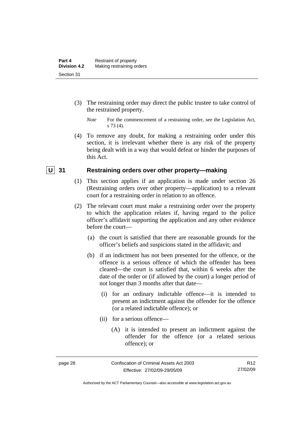- (3) The restraining order may direct the public trustee to take control of the restrained property.
	- *Note* For the commencement of a restraining order, see the Legislation Act, s 73 (4).
- (4) To remove any doubt, for making a restraining order under this section, it is irrelevant whether there is any risk of the property being dealt with in a way that would defeat or hinder the purposes of this Act.

#### **U** 31 Restraining orders over other property—making

- (1) This section applies if an application is made under section 26 (Restraining orders over other property—application) to a relevant court for a restraining order in relation to an offence.
- (2) The relevant court must make a restraining order over the property to which the application relates if, having regard to the police officer's affidavit supporting the application and any other evidence before the court—
	- (a) the court is satisfied that there are reasonable grounds for the officer's beliefs and suspicions stated in the affidavit; and
	- (b) if an indictment has not been presented for the offence, or the offence is a serious offence of which the offender has been cleared—the court is satisfied that, within 6 weeks after the date of the order or (if allowed by the court) a longer period of not longer than 3 months after that date—
		- (i) for an ordinary indictable offence—it is intended to present an indictment against the offender for the offence (or a related indictable offence); or
		- (ii) for a serious offence—
			- (A) it is intended to present an indictment against the offender for the offence (or a related serious offence); or

Authorised by the ACT Parliamentary Counsel—also accessible at www.legislation.act.gov.au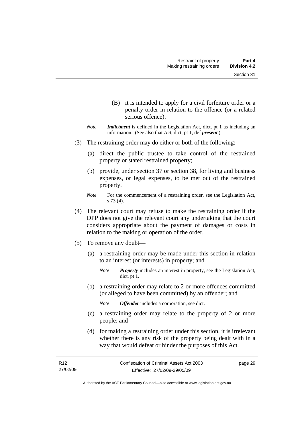- (B) it is intended to apply for a civil forfeiture order or a penalty order in relation to the offence (or a related serious offence).
- *Note Indictment* is defined in the Legislation Act, dict, pt 1 as including an information. (See also that Act, dict, pt 1, def *present*.)
- (3) The restraining order may do either or both of the following:
	- (a) direct the public trustee to take control of the restrained property or stated restrained property;
	- (b) provide, under section 37 or section 38, for living and business expenses, or legal expenses, to be met out of the restrained property.
	- *Note* For the commencement of a restraining order, see the Legislation Act, s 73 (4).
- (4) The relevant court may refuse to make the restraining order if the DPP does not give the relevant court any undertaking that the court considers appropriate about the payment of damages or costs in relation to the making or operation of the order.
- (5) To remove any doubt—
	- (a) a restraining order may be made under this section in relation to an interest (or interests) in property; and
		- *Note Property* includes an interest in property, see the Legislation Act, dict, pt 1.
	- (b) a restraining order may relate to 2 or more offences committed (or alleged to have been committed) by an offender; and

*Note Offender* includes a corporation, see dict.

- (c) a restraining order may relate to the property of 2 or more people; and
- (d) for making a restraining order under this section, it is irrelevant whether there is any risk of the property being dealt with in a way that would defeat or hinder the purposes of this Act.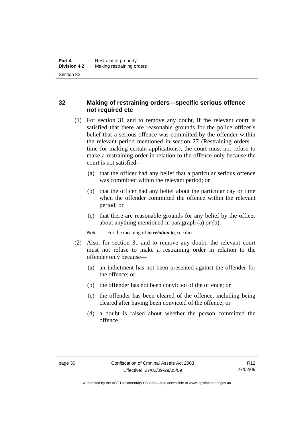## **32 Making of restraining orders—specific serious offence not required etc**

- (1) For section 31 and to remove any doubt, if the relevant court is satisfied that there are reasonable grounds for the police officer's belief that a serious offence was committed by the offender within the relevant period mentioned in section 27 (Restraining orders time for making certain applications), the court must not refuse to make a restraining order in relation to the offence only because the court is not satisfied—
	- (a) that the officer had any belief that a particular serious offence was committed within the relevant period; or
	- (b) that the officer had any belief about the particular day or time when the offender committed the offence within the relevant period; or
	- (c) that there are reasonable grounds for any belief by the officer about anything mentioned in paragraph (a) or (b).

*Note* For the meaning of *in relation to*, see dict.

- (2) Also, for section 31 and to remove any doubt, the relevant court must not refuse to make a restraining order in relation to the offender only because—
	- (a) an indictment has not been presented against the offender for the offence; or
	- (b) the offender has not been convicted of the offence; or
	- (c) the offender has been cleared of the offence, including being cleared after having been convicted of the offence; or
	- (d) a doubt is raised about whether the person committed the offence.

Authorised by the ACT Parliamentary Counsel—also accessible at www.legislation.act.gov.au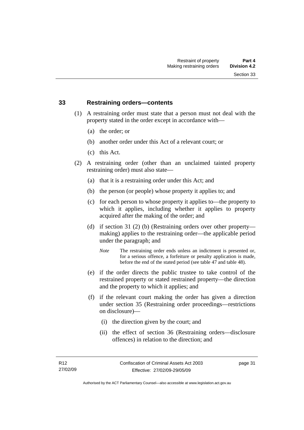#### **33 Restraining orders—contents**

- (1) A restraining order must state that a person must not deal with the property stated in the order except in accordance with—
	- (a) the order; or
	- (b) another order under this Act of a relevant court; or
	- (c) this Act.
- (2) A restraining order (other than an unclaimed tainted property restraining order) must also state—
	- (a) that it is a restraining order under this Act; and
	- (b) the person (or people) whose property it applies to; and
	- (c) for each person to whose property it applies to—the property to which it applies, including whether it applies to property acquired after the making of the order; and
	- (d) if section 31 (2) (b) (Restraining orders over other property making) applies to the restraining order—the applicable period under the paragraph; and
		- *Note* The restraining order ends unless an indictment is presented or, for a serious offence, a forfeiture or penalty application is made, before the end of the stated period (see table 47 and table 48).
	- (e) if the order directs the public trustee to take control of the restrained property or stated restrained property—the direction and the property to which it applies; and
	- (f) if the relevant court making the order has given a direction under section 35 (Restraining order proceedings—restrictions on disclosure)—
		- (i) the direction given by the court; and
		- (ii) the effect of section 36 (Restraining orders—disclosure offences) in relation to the direction; and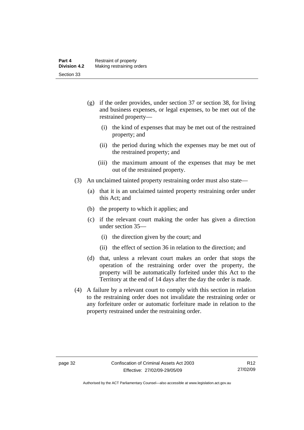- (g) if the order provides, under section 37 or section 38, for living and business expenses, or legal expenses, to be met out of the restrained property—
	- (i) the kind of expenses that may be met out of the restrained property; and
	- (ii) the period during which the expenses may be met out of the restrained property; and
	- (iii) the maximum amount of the expenses that may be met out of the restrained property.
- (3) An unclaimed tainted property restraining order must also state—
	- (a) that it is an unclaimed tainted property restraining order under this Act; and
	- (b) the property to which it applies; and
	- (c) if the relevant court making the order has given a direction under section 35—
		- (i) the direction given by the court; and
		- (ii) the effect of section 36 in relation to the direction; and
	- (d) that, unless a relevant court makes an order that stops the operation of the restraining order over the property, the property will be automatically forfeited under this Act to the Territory at the end of 14 days after the day the order is made.
- (4) A failure by a relevant court to comply with this section in relation to the restraining order does not invalidate the restraining order or any forfeiture order or automatic forfeiture made in relation to the property restrained under the restraining order.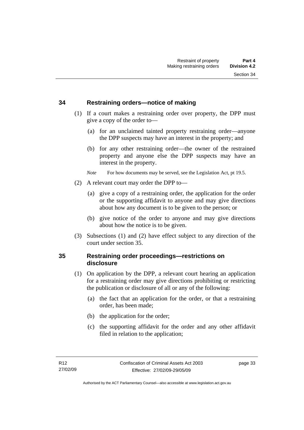#### **34 Restraining orders—notice of making**

- (1) If a court makes a restraining order over property, the DPP must give a copy of the order to—
	- (a) for an unclaimed tainted property restraining order—anyone the DPP suspects may have an interest in the property; and
	- (b) for any other restraining order—the owner of the restrained property and anyone else the DPP suspects may have an interest in the property.

*Note* For how documents may be served, see the Legislation Act, pt 19.5.

- (2) A relevant court may order the DPP to—
	- (a) give a copy of a restraining order, the application for the order or the supporting affidavit to anyone and may give directions about how any document is to be given to the person; or
	- (b) give notice of the order to anyone and may give directions about how the notice is to be given.
- (3) Subsections (1) and (2) have effect subject to any direction of the court under section 35.

### **35 Restraining order proceedings—restrictions on disclosure**

- (1) On application by the DPP, a relevant court hearing an application for a restraining order may give directions prohibiting or restricting the publication or disclosure of all or any of the following:
	- (a) the fact that an application for the order, or that a restraining order, has been made;
	- (b) the application for the order;
	- (c) the supporting affidavit for the order and any other affidavit filed in relation to the application;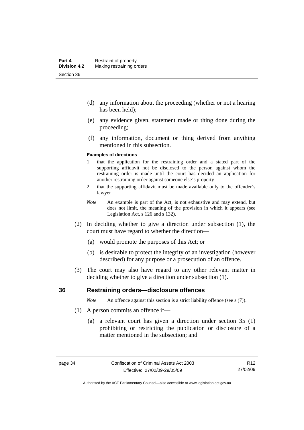- (d) any information about the proceeding (whether or not a hearing has been held);
- (e) any evidence given, statement made or thing done during the proceeding;
- (f) any information, document or thing derived from anything mentioned in this subsection.

#### **Examples of directions**

- 1 that the application for the restraining order and a stated part of the supporting affidavit not be disclosed to the person against whom the restraining order is made until the court has decided an application for another restraining order against someone else's property
- 2 that the supporting affidavit must be made available only to the offender's lawyer
- *Note* An example is part of the Act, is not exhaustive and may extend, but does not limit, the meaning of the provision in which it appears (see Legislation Act, s 126 and s 132).
- (2) In deciding whether to give a direction under subsection (1), the court must have regard to whether the direction—
	- (a) would promote the purposes of this Act; or
	- (b) is desirable to protect the integrity of an investigation (however described) for any purpose or a prosecution of an offence.
- (3) The court may also have regard to any other relevant matter in deciding whether to give a direction under subsection (1).

#### **36 Restraining orders—disclosure offences**

*Note* An offence against this section is a strict liability offence (see s (7)).

- (1) A person commits an offence if—
	- (a) a relevant court has given a direction under section 35 (1) prohibiting or restricting the publication or disclosure of a matter mentioned in the subsection; and

Authorised by the ACT Parliamentary Counsel—also accessible at www.legislation.act.gov.au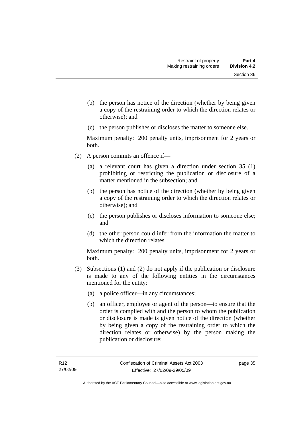- (b) the person has notice of the direction (whether by being given a copy of the restraining order to which the direction relates or otherwise); and
- (c) the person publishes or discloses the matter to someone else.

Maximum penalty: 200 penalty units, imprisonment for 2 years or both.

- (2) A person commits an offence if—
	- (a) a relevant court has given a direction under section 35 (1) prohibiting or restricting the publication or disclosure of a matter mentioned in the subsection; and
	- (b) the person has notice of the direction (whether by being given a copy of the restraining order to which the direction relates or otherwise); and
	- (c) the person publishes or discloses information to someone else; and
	- (d) the other person could infer from the information the matter to which the direction relates.

Maximum penalty: 200 penalty units, imprisonment for 2 years or both.

- (3) Subsections (1) and (2) do not apply if the publication or disclosure is made to any of the following entities in the circumstances mentioned for the entity:
	- (a) a police officer—in any circumstances;
	- (b) an officer, employee or agent of the person—to ensure that the order is complied with and the person to whom the publication or disclosure is made is given notice of the direction (whether by being given a copy of the restraining order to which the direction relates or otherwise) by the person making the publication or disclosure;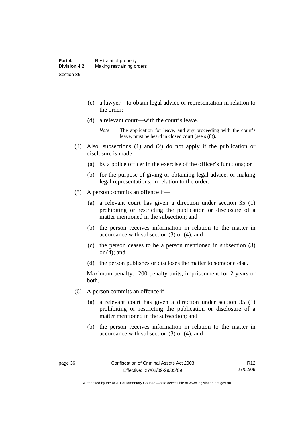- (c) a lawyer—to obtain legal advice or representation in relation to the order;
- (d) a relevant court—with the court's leave.

- (4) Also, subsections (1) and (2) do not apply if the publication or disclosure is made—
	- (a) by a police officer in the exercise of the officer's functions; or
	- (b) for the purpose of giving or obtaining legal advice, or making legal representations, in relation to the order.
- (5) A person commits an offence if—
	- (a) a relevant court has given a direction under section 35 (1) prohibiting or restricting the publication or disclosure of a matter mentioned in the subsection; and
	- (b) the person receives information in relation to the matter in accordance with subsection (3) or (4); and
	- (c) the person ceases to be a person mentioned in subsection (3) or  $(4)$ ; and
	- (d) the person publishes or discloses the matter to someone else.

Maximum penalty: 200 penalty units, imprisonment for 2 years or both.

- (6) A person commits an offence if—
	- (a) a relevant court has given a direction under section 35 (1) prohibiting or restricting the publication or disclosure of a matter mentioned in the subsection; and
	- (b) the person receives information in relation to the matter in accordance with subsection (3) or (4); and

*Note* The application for leave, and any proceeding with the court's leave, must be heard in closed court (see s (8)).

R12 27/02/09

Authorised by the ACT Parliamentary Counsel—also accessible at www.legislation.act.gov.au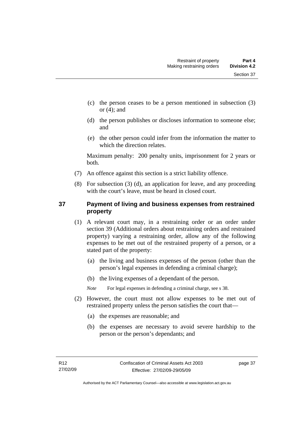- (c) the person ceases to be a person mentioned in subsection (3) or  $(4)$ ; and
- (d) the person publishes or discloses information to someone else; and
- (e) the other person could infer from the information the matter to which the direction relates.

Maximum penalty: 200 penalty units, imprisonment for 2 years or both.

- (7) An offence against this section is a strict liability offence.
- (8) For subsection (3) (d), an application for leave, and any proceeding with the court's leave, must be heard in closed court.

## **37 Payment of living and business expenses from restrained property**

- (1) A relevant court may, in a restraining order or an order under section 39 (Additional orders about restraining orders and restrained property) varying a restraining order, allow any of the following expenses to be met out of the restrained property of a person, or a stated part of the property:
	- (a) the living and business expenses of the person (other than the person's legal expenses in defending a criminal charge);
	- (b) the living expenses of a dependant of the person.

*Note* For legal expenses in defending a criminal charge, see s 38.

- (2) However, the court must not allow expenses to be met out of restrained property unless the person satisfies the court that—
	- (a) the expenses are reasonable; and
	- (b) the expenses are necessary to avoid severe hardship to the person or the person's dependants; and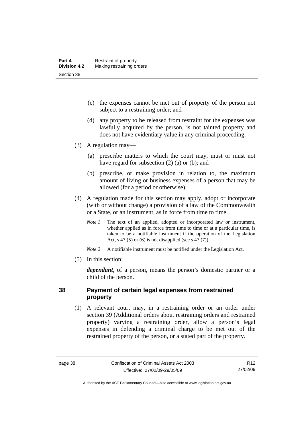- (c) the expenses cannot be met out of property of the person not subject to a restraining order; and
- (d) any property to be released from restraint for the expenses was lawfully acquired by the person, is not tainted property and does not have evidentiary value in any criminal proceeding.
- (3) A regulation may—
	- (a) prescribe matters to which the court may, must or must not have regard for subsection (2) (a) or (b); and
	- (b) prescribe, or make provision in relation to, the maximum amount of living or business expenses of a person that may be allowed (for a period or otherwise).
- (4) A regulation made for this section may apply, adopt or incorporate (with or without change) a provision of a law of the Commonwealth or a State, or an instrument, as in force from time to time.
	- *Note 1* The text of an applied, adopted or incorporated law or instrument, whether applied as in force from time to time or at a particular time, is taken to be a notifiable instrument if the operation of the Legislation Act, s 47 (5) or (6) is not disapplied (see s 47 (7)).
	- *Note 2* A notifiable instrument must be notified under the Legislation Act.
- (5) In this section:

*dependant*, of a person, means the person's domestic partner or a child of the person.

#### **38 Payment of certain legal expenses from restrained property**

 (1) A relevant court may, in a restraining order or an order under section 39 (Additional orders about restraining orders and restrained property) varying a restraining order, allow a person's legal expenses in defending a criminal charge to be met out of the restrained property of the person, or a stated part of the property.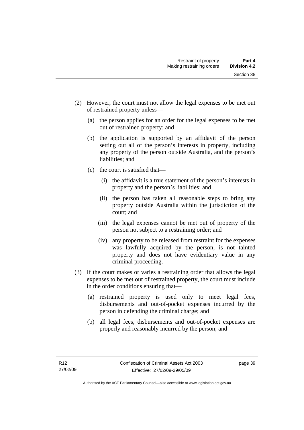- (2) However, the court must not allow the legal expenses to be met out of restrained property unless—
	- (a) the person applies for an order for the legal expenses to be met out of restrained property; and
	- (b) the application is supported by an affidavit of the person setting out all of the person's interests in property, including any property of the person outside Australia, and the person's liabilities; and
	- (c) the court is satisfied that—
		- (i) the affidavit is a true statement of the person's interests in property and the person's liabilities; and
		- (ii) the person has taken all reasonable steps to bring any property outside Australia within the jurisdiction of the court; and
		- (iii) the legal expenses cannot be met out of property of the person not subject to a restraining order; and
		- (iv) any property to be released from restraint for the expenses was lawfully acquired by the person, is not tainted property and does not have evidentiary value in any criminal proceeding.
- (3) If the court makes or varies a restraining order that allows the legal expenses to be met out of restrained property, the court must include in the order conditions ensuring that—
	- (a) restrained property is used only to meet legal fees, disbursements and out-of-pocket expenses incurred by the person in defending the criminal charge; and
	- (b) all legal fees, disbursements and out-of-pocket expenses are properly and reasonably incurred by the person; and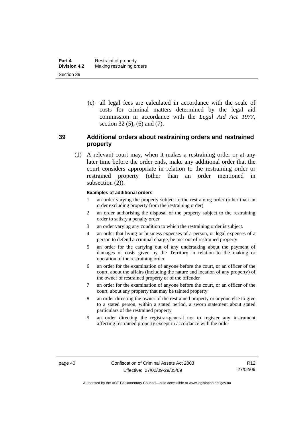(c) all legal fees are calculated in accordance with the scale of costs for criminal matters determined by the legal aid commission in accordance with the *Legal Aid Act 1977*, section 32 (5), (6) and (7).

## **39 Additional orders about restraining orders and restrained property**

 (1) A relevant court may, when it makes a restraining order or at any later time before the order ends, make any additional order that the court considers appropriate in relation to the restraining order or restrained property (other than an order mentioned in subsection  $(2)$ ).

#### **Examples of additional orders**

- 1 an order varying the property subject to the restraining order (other than an order excluding property from the restraining order)
- 2 an order authorising the disposal of the property subject to the restraining order to satisfy a penalty order
- 3 an order varying any condition to which the restraining order is subject.
- 4 an order that living or business expenses of a person, or legal expenses of a person to defend a criminal charge, be met out of restrained property
- 5 an order for the carrying out of any undertaking about the payment of damages or costs given by the Territory in relation to the making or operation of the restraining order
- 6 an order for the examination of anyone before the court, or an officer of the court, about the affairs (including the nature and location of any property) of the owner of restrained property or of the offender
- 7 an order for the examination of anyone before the court, or an officer of the court, about any property that may be tainted property
- 8 an order directing the owner of the restrained property or anyone else to give to a stated person, within a stated period, a sworn statement about stated particulars of the restrained property
- 9 an order directing the registrar-general not to register any instrument affecting restrained property except in accordance with the order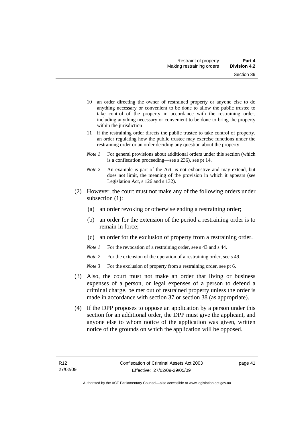- 10 an order directing the owner of restrained property or anyone else to do anything necessary or convenient to be done to allow the public trustee to take control of the property in accordance with the restraining order, including anything necessary or convenient to be done to bring the property within the jurisdiction
- 11 if the restraining order directs the public trustee to take control of property, an order regulating how the public trustee may exercise functions under the restraining order or an order deciding any question about the property
- *Note 1* For general provisions about additional orders under this section (which is a confiscation proceeding—see s 236), see pt 14.
- *Note 2* An example is part of the Act, is not exhaustive and may extend, but does not limit, the meaning of the provision in which it appears (see Legislation Act, s 126 and s 132).
- (2) However, the court must not make any of the following orders under subsection (1):
	- (a) an order revoking or otherwise ending a restraining order;
	- (b) an order for the extension of the period a restraining order is to remain in force;
	- (c) an order for the exclusion of property from a restraining order.
	- *Note 1* For the revocation of a restraining order, see s 43 and s 44.
	- *Note* 2 For the extension of the operation of a restraining order, see s 49.
	- *Note 3* For the exclusion of property from a restraining order, see pt 6.
- (3) Also, the court must not make an order that living or business expenses of a person, or legal expenses of a person to defend a criminal charge, be met out of restrained property unless the order is made in accordance with section 37 or section 38 (as appropriate).
- (4) If the DPP proposes to oppose an application by a person under this section for an additional order, the DPP must give the applicant, and anyone else to whom notice of the application was given, written notice of the grounds on which the application will be opposed.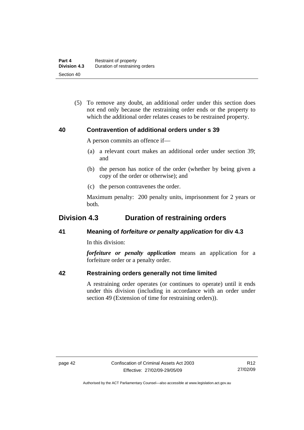(5) To remove any doubt, an additional order under this section does not end only because the restraining order ends or the property to which the additional order relates ceases to be restrained property.

#### **40 Contravention of additional orders under s 39**

A person commits an offence if—

- (a) a relevant court makes an additional order under section 39; and
- (b) the person has notice of the order (whether by being given a copy of the order or otherwise); and
- (c) the person contravenes the order.

Maximum penalty: 200 penalty units, imprisonment for 2 years or both.

# **Division 4.3 Duration of restraining orders**

## **41 Meaning of** *forfeiture or penalty application* **for div 4.3**

In this division:

*forfeiture or penalty application* means an application for a forfeiture order or a penalty order.

## **42 Restraining orders generally not time limited**

A restraining order operates (or continues to operate) until it ends under this division (including in accordance with an order under section 49 (Extension of time for restraining orders)).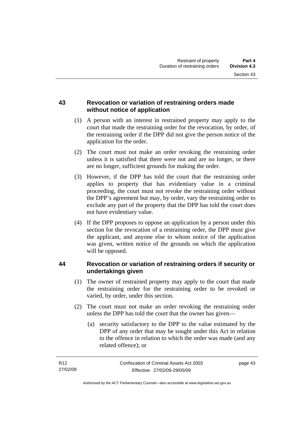### **43 Revocation or variation of restraining orders made without notice of application**

- (1) A person with an interest in restrained property may apply to the court that made the restraining order for the revocation, by order, of the restraining order if the DPP did not give the person notice of the application for the order.
- (2) The court must not make an order revoking the restraining order unless it is satisfied that there were not and are no longer, or there are no longer, sufficient grounds for making the order.
- (3) However, if the DPP has told the court that the restraining order applies to property that has evidentiary value in a criminal proceeding, the court must not revoke the restraining order without the DPP's agreement but may, by order, vary the restraining order to exclude any part of the property that the DPP has told the court does not have evidentiary value.
- (4) If the DPP proposes to oppose an application by a person under this section for the revocation of a restraining order, the DPP must give the applicant, and anyone else to whom notice of the application was given, written notice of the grounds on which the application will be opposed.

## **44 Revocation or variation of restraining orders if security or undertakings given**

- (1) The owner of restrained property may apply to the court that made the restraining order for the restraining order to be revoked or varied, by order, under this section.
- (2) The court must not make an order revoking the restraining order unless the DPP has told the court that the owner has given—
	- (a) security satisfactory to the DPP to the value estimated by the DPP of any order that may be sought under this Act in relation to the offence in relation to which the order was made (and any related offence); or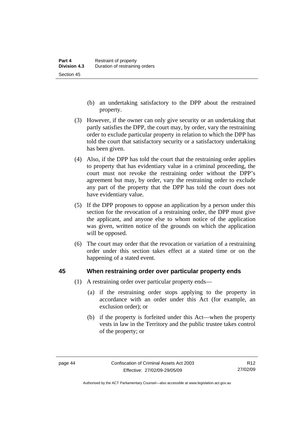- (b) an undertaking satisfactory to the DPP about the restrained property.
- (3) However, if the owner can only give security or an undertaking that partly satisfies the DPP, the court may, by order, vary the restraining order to exclude particular property in relation to which the DPP has told the court that satisfactory security or a satisfactory undertaking has been given.
- (4) Also, if the DPP has told the court that the restraining order applies to property that has evidentiary value in a criminal proceeding, the court must not revoke the restraining order without the DPP's agreement but may, by order, vary the restraining order to exclude any part of the property that the DPP has told the court does not have evidentiary value.
- (5) If the DPP proposes to oppose an application by a person under this section for the revocation of a restraining order, the DPP must give the applicant, and anyone else to whom notice of the application was given, written notice of the grounds on which the application will be opposed.
- (6) The court may order that the revocation or variation of a restraining order under this section takes effect at a stated time or on the happening of a stated event.

#### **45 When restraining order over particular property ends**

- (1) A restraining order over particular property ends—
	- (a) if the restraining order stops applying to the property in accordance with an order under this Act (for example, an exclusion order); or
	- (b) if the property is forfeited under this Act—when the property vests in law in the Territory and the public trustee takes control of the property; or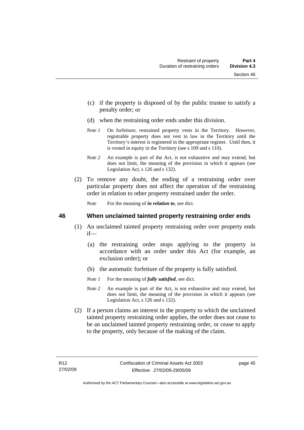- (c) if the property is disposed of by the public trustee to satisfy a penalty order; or
- (d) when the restraining order ends under this division.
- *Note 1* On forfeiture, restrained property vests in the Territory. However, registrable property does not vest in law in the Territory until the Territory's interest is registered in the appropriate register. Until then, it is vested in equity in the Territory (see s 109 and s 110).
- *Note 2* An example is part of the Act, is not exhaustive and may extend, but does not limit, the meaning of the provision in which it appears (see Legislation Act, s 126 and s 132).
- (2) To remove any doubt, the ending of a restraining order over particular property does not affect the operation of the restraining order in relation to other property restrained under the order.

*Note* For the meaning of *in relation to*, see dict.

#### **46 When unclaimed tainted property restraining order ends**

- (1) An unclaimed tainted property restraining order over property ends if—
	- (a) the restraining order stops applying to the property in accordance with an order under this Act (for example, an exclusion order); or
	- (b) the automatic forfeiture of the property is fully satisfied.
	- *Note 1* For the meaning of *fully satisfied*, see dict.
	- *Note 2* An example is part of the Act, is not exhaustive and may extend, but does not limit, the meaning of the provision in which it appears (see Legislation Act, s 126 and s 132).
- (2) If a person claims an interest in the property to which the unclaimed tainted property restraining order applies, the order does not cease to be an unclaimed tainted property restraining order, or cease to apply to the property, only because of the making of the claim.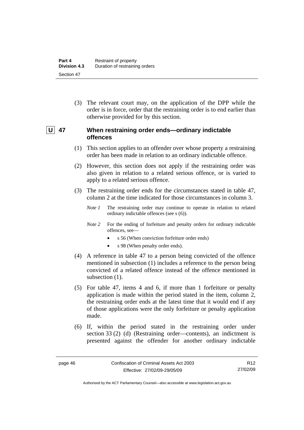(3) The relevant court may, on the application of the DPP while the order is in force, order that the restraining order is to end earlier than otherwise provided for by this section.

## **U** 47 When restraining order ends—ordinary indictable **offences**

- (1) This section applies to an offender over whose property a restraining order has been made in relation to an ordinary indictable offence.
- (2) However, this section does not apply if the restraining order was also given in relation to a related serious offence, or is varied to apply to a related serious offence.
- (3) The restraining order ends for the circumstances stated in table 47, column 2 at the time indicated for those circumstances in column 3.
	- *Note 1* The restraining order may continue to operate in relation to related ordinary indictable offences (see s (6)).
	- *Note* 2 For the ending of forfeiture and penalty orders for ordinary indictable offences, see—
		- s 56 (When conviction forfeiture order ends)
		- s 98 (When penalty order ends).
- (4) A reference in table 47 to a person being convicted of the offence mentioned in subsection (1) includes a reference to the person being convicted of a related offence instead of the offence mentioned in subsection  $(1)$ .
- (5) For table 47, items 4 and 6, if more than 1 forfeiture or penalty application is made within the period stated in the item, column 2, the restraining order ends at the latest time that it would end if any of those applications were the only forfeiture or penalty application made.
- (6) If, within the period stated in the restraining order under section 33 (2) (d) (Restraining order—contents), an indictment is presented against the offender for another ordinary indictable

R12 27/02/09

Authorised by the ACT Parliamentary Counsel—also accessible at www.legislation.act.gov.au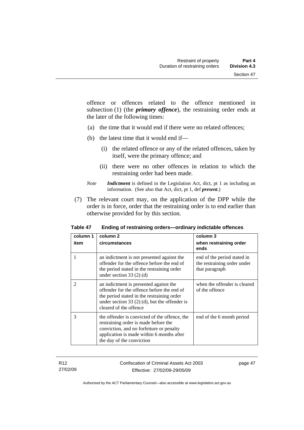offence or offences related to the offence mentioned in subsection (1) (the *primary offence*), the restraining order ends at the later of the following times:

- (a) the time that it would end if there were no related offences;
- (b) the latest time that it would end if—
	- (i) the related offence or any of the related offences, taken by itself, were the primary offence; and
	- (ii) there were no other offences in relation to which the restraining order had been made.
- *Note Indictment* is defined in the Legislation Act, dict, pt 1 as including an information. (See also that Act, dict, pt 1, def *present*.)
- (7) The relevant court may, on the application of the DPP while the order is in force, order that the restraining order is to end earlier than otherwise provided for by this section.

| column 1 | column 2                                                                                                                                                                                                        | column 3                                                                     |
|----------|-----------------------------------------------------------------------------------------------------------------------------------------------------------------------------------------------------------------|------------------------------------------------------------------------------|
| item     | circumstances                                                                                                                                                                                                   | when restraining order<br>ends                                               |
| 1        | an indictment is not presented against the<br>offender for the offence before the end of<br>the period stated in the restraining order<br>under section $33(2)(d)$                                              | end of the period stated in<br>the restraining order under<br>that paragraph |
| 2        | an indictment is presented against the<br>offender for the offence before the end of<br>the period stated in the restraining order<br>under section 33 $(2)$ (d), but the offender is<br>cleared of the offence | when the offender is cleared<br>of the offence                               |
| 3        | the offender is convicted of the offence, the<br>restraining order is made before the<br>conviction, and no forfeiture or penalty<br>application is made within 6 months after<br>the day of the conviction     | end of the 6 month period                                                    |

**Table 47 Ending of restraining orders—ordinary indictable offences**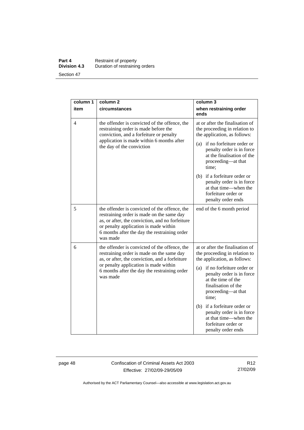#### **Part 4 Restraint of property Division 4.3** Duration of restraining orders Section 47

| column 1 | column <sub>2</sub>                                                                                                                                                                                                                                | column 3                                                                                                                               |
|----------|----------------------------------------------------------------------------------------------------------------------------------------------------------------------------------------------------------------------------------------------------|----------------------------------------------------------------------------------------------------------------------------------------|
| item     | circumstances                                                                                                                                                                                                                                      | when restraining order<br>ends                                                                                                         |
| 4        | the offender is convicted of the offence, the<br>restraining order is made before the<br>conviction, and a forfeiture or penalty<br>application is made within 6 months after<br>the day of the conviction                                         | at or after the finalisation of<br>the proceeding in relation to<br>the application, as follows:                                       |
|          |                                                                                                                                                                                                                                                    | (a) if no forfeiture order or<br>penalty order is in force<br>at the finalisation of the<br>proceeding—at that<br>time;                |
|          |                                                                                                                                                                                                                                                    | (b) if a forfeiture order or<br>penalty order is in force<br>at that time—when the<br>forfeiture order or<br>penalty order ends        |
| 5        | the offender is convicted of the offence, the<br>restraining order is made on the same day<br>as, or after, the conviction, and no forfeiture<br>or penalty application is made within<br>6 months after the day the restraining order<br>was made | end of the 6 month period                                                                                                              |
| 6        | the offender is convicted of the offence, the<br>restraining order is made on the same day<br>as, or after, the conviction, and a forfeiture<br>or penalty application is made within<br>6 months after the day the restraining order<br>was made  | at or after the finalisation of<br>the proceeding in relation to<br>the application, as follows:                                       |
|          |                                                                                                                                                                                                                                                    | (a) if no forfeiture order or<br>penalty order is in force<br>at the time of the<br>finalisation of the<br>proceeding-at that<br>time; |
|          |                                                                                                                                                                                                                                                    | (b) if a forfeiture order or<br>penalty order is in force<br>at that time—when the<br>forfeiture order or<br>penalty order ends        |

page 48 Confiscation of Criminal Assets Act 2003 Effective: 27/02/09-29/05/09

R12 27/02/09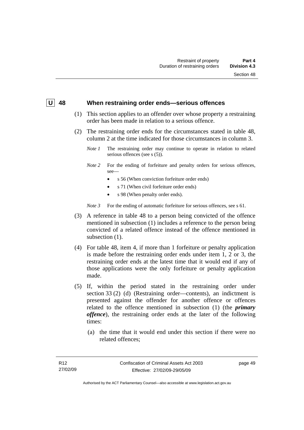#### **U 48 When restraining order ends—serious offences**

- (1) This section applies to an offender over whose property a restraining order has been made in relation to a serious offence.
- (2) The restraining order ends for the circumstances stated in table 48, column 2 at the time indicated for those circumstances in column 3.
	- *Note 1* The restraining order may continue to operate in relation to related serious offences (see s (5)).
	- *Note 2* For the ending of forfeiture and penalty orders for serious offences, see—
		- s 56 (When conviction forfeiture order ends)
		- s 71 (When civil forfeiture order ends)
		- s 98 (When penalty order ends).

*Note* 3 For the ending of automatic forfeiture for serious offences, see s 61.

- (3) A reference in table 48 to a person being convicted of the offence mentioned in subsection (1) includes a reference to the person being convicted of a related offence instead of the offence mentioned in subsection  $(1)$ .
- (4) For table 48, item 4, if more than 1 forfeiture or penalty application is made before the restraining order ends under item 1, 2 or 3, the restraining order ends at the latest time that it would end if any of those applications were the only forfeiture or penalty application made.
- (5) If, within the period stated in the restraining order under section 33 (2) (d) (Restraining order—contents), an indictment is presented against the offender for another offence or offences related to the offence mentioned in subsection (1) (the *primary offence*), the restraining order ends at the later of the following times:
	- (a) the time that it would end under this section if there were no related offences;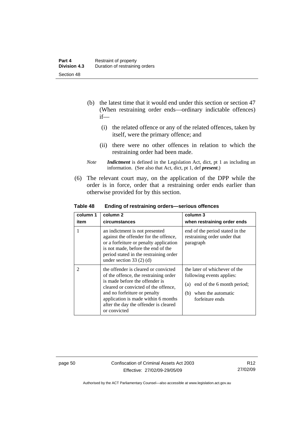- (b) the latest time that it would end under this section or section 47 (When restraining order ends—ordinary indictable offences) if—
	- (i) the related offence or any of the related offences, taken by itself, were the primary offence; and
	- (ii) there were no other offences in relation to which the restraining order had been made.
- *Note Indictment* is defined in the Legislation Act, dict, pt 1 as including an information. (See also that Act, dict, pt 1, def *present*.)
- (6) The relevant court may, on the application of the DPP while the order is in force, order that a restraining order ends earlier than otherwise provided for by this section.

| column 1       | column <sub>2</sub>                                                                                                                                                                                                                                                                     | column 3                                                                                                                                     |
|----------------|-----------------------------------------------------------------------------------------------------------------------------------------------------------------------------------------------------------------------------------------------------------------------------------------|----------------------------------------------------------------------------------------------------------------------------------------------|
| item           | circumstances                                                                                                                                                                                                                                                                           | when restraining order ends                                                                                                                  |
|                | an indictment is not presented<br>against the offender for the offence,<br>or a forfeiture or penalty application<br>is not made, before the end of the<br>period stated in the restraining order<br>under section $33(2)(d)$                                                           | end of the period stated in the<br>restraining order under that<br>paragraph                                                                 |
| $\mathfrak{D}$ | the offender is cleared or convicted<br>of the offence, the restraining order<br>is made before the offender is<br>cleared or convicted of the offence.<br>and no forfeiture or penalty<br>application is made within 6 months<br>after the day the offender is cleared<br>or convicted | the later of whichever of the<br>following events applies:<br>(a) end of the 6 month period;<br>when the automatic<br>(b)<br>forfeiture ends |

**Table 48 Ending of restraining orders—serious offences**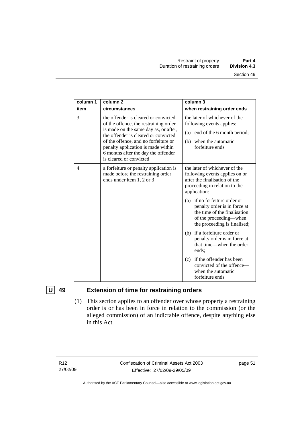| column 1<br>item | column <sub>2</sub><br>circumstances                                                                                                                                                                                                                                                                           | column $3$<br>when restraining order ends                                                                                                               |
|------------------|----------------------------------------------------------------------------------------------------------------------------------------------------------------------------------------------------------------------------------------------------------------------------------------------------------------|---------------------------------------------------------------------------------------------------------------------------------------------------------|
| 3                | the offender is cleared or convicted<br>of the offence, the restraining order<br>is made on the same day as, or after,<br>the offender is cleared or convicted<br>of the offence, and no forfeiture or<br>penalty application is made within<br>6 months after the day the offender<br>is cleared or convicted | the later of whichever of the<br>following events applies:<br>(a) end of the 6 month period;<br>when the automatic<br>(b)<br>forfeiture ends            |
| 4                | a forfeiture or penalty application is<br>made before the restraining order<br>ends under item 1, 2 or 3                                                                                                                                                                                                       | the later of whichever of the<br>following events applies on or<br>after the finalisation of the<br>proceeding in relation to the<br>application:       |
|                  |                                                                                                                                                                                                                                                                                                                | (a) if no forfeiture order or<br>penalty order is in force at<br>the time of the finalisation<br>of the proceeding—when<br>the proceeding is finalised; |
|                  |                                                                                                                                                                                                                                                                                                                | (b) if a forfeiture order or<br>penalty order is in force at<br>that time—when the order<br>ends:                                                       |
|                  |                                                                                                                                                                                                                                                                                                                | if the offender has been<br>(c)<br>convicted of the offence-<br>when the automatic<br>forfeiture ends                                                   |

# **U 49 Extension of time for restraining orders**

 (1) This section applies to an offender over whose property a restraining order is or has been in force in relation to the commission (or the alleged commission) of an indictable offence, despite anything else in this Act.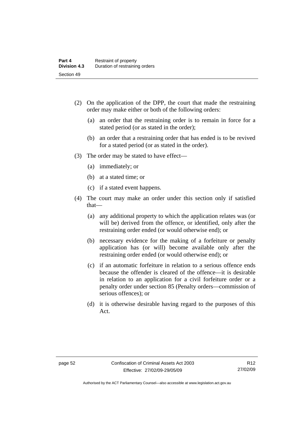- (2) On the application of the DPP, the court that made the restraining order may make either or both of the following orders:
	- (a) an order that the restraining order is to remain in force for a stated period (or as stated in the order);
	- (b) an order that a restraining order that has ended is to be revived for a stated period (or as stated in the order).
- (3) The order may be stated to have effect—
	- (a) immediately; or
	- (b) at a stated time; or
	- (c) if a stated event happens.
- (4) The court may make an order under this section only if satisfied that—
	- (a) any additional property to which the application relates was (or will be) derived from the offence, or identified, only after the restraining order ended (or would otherwise end); or
	- (b) necessary evidence for the making of a forfeiture or penalty application has (or will) become available only after the restraining order ended (or would otherwise end); or
	- (c) if an automatic forfeiture in relation to a serious offence ends because the offender is cleared of the offence—it is desirable in relation to an application for a civil forfeiture order or a penalty order under section 85 (Penalty orders—commission of serious offences); or
	- (d) it is otherwise desirable having regard to the purposes of this Act.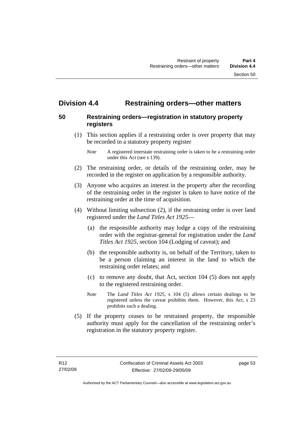# **Division 4.4 Restraining orders—other matters**

## **50 Restraining orders—registration in statutory property registers**

 (1) This section applies if a restraining order is over property that may be recorded in a statutory property register

- (2) The restraining order, or details of the restraining order, may be recorded in the register on application by a responsible authority.
- (3) Anyone who acquires an interest in the property after the recording of the restraining order in the register is taken to have notice of the restraining order at the time of acquisition.
- (4) Without limiting subsection (2), if the restraining order is over land registered under the *Land Titles Act 1925*—
	- (a) the responsible authority may lodge a copy of the restraining order with the registrar-general for registration under the *Land Titles Act 1925*, section 104 (Lodging of caveat); and
	- (b) the responsible authority is, on behalf of the Territory, taken to be a person claiming an interest in the land to which the restraining order relates; and
	- (c) to remove any doubt, that Act, section 104 (5) does not apply to the registered restraining order.
	- *Note* The *Land Titles Act 1925*, s 104 (5) allows certain dealings to be registered unless the caveat prohibits them. However, this Act, s 23 prohibits such a dealing.
- (5) If the property ceases to be restrained property, the responsible authority must apply for the cancellation of the restraining order's registration in the statutory property register.

*Note* A registered interstate restraining order is taken to be a restraining order under this Act (see s 139).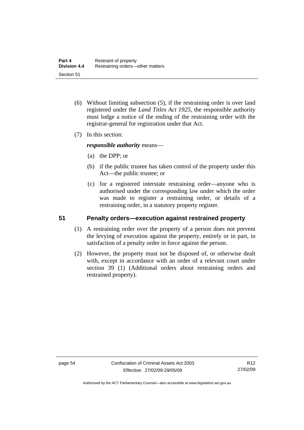- (6) Without limiting subsection (5), if the restraining order is over land registered under the *Land Titles Act 1925*, the responsible authority must lodge a notice of the ending of the restraining order with the registrar-general for registration under that Act.
- (7) In this section:

*responsible authority* means—

- (a) the DPP; or
- (b) if the public trustee has taken control of the property under this Act—the public trustee; or
- (c) for a registered interstate restraining order—anyone who is authorised under the corresponding law under which the order was made to register a restraining order, or details of a restraining order, in a statutory property register.

#### **51 Penalty orders—execution against restrained property**

- (1) A restraining order over the property of a person does not prevent the levying of execution against the property, entirely or in part, in satisfaction of a penalty order in force against the person.
- (2) However, the property must not be disposed of, or otherwise dealt with, except in accordance with an order of a relevant court under section 39 (1) (Additional orders about restraining orders and restrained property).

Authorised by the ACT Parliamentary Counsel—also accessible at www.legislation.act.gov.au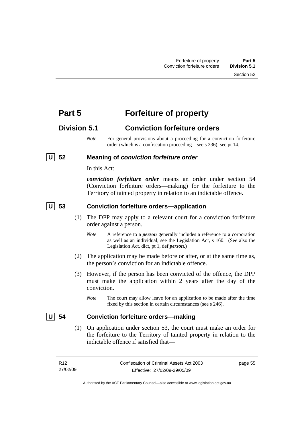# **Part 5 Forfeiture of property**

# **Division 5.1 Conviction forfeiture orders**

*Note* For general provisions about a proceeding for a conviction forfeiture order (which is a confiscation proceeding—see s 236), see pt 14.

## **U 52 Meaning of** *conviction forfeiture order*

In this Act:

*conviction forfeiture order* means an order under section 54 (Conviction forfeiture orders—making) for the forfeiture to the Territory of tainted property in relation to an indictable offence.

## **U 53 Conviction forfeiture orders—application**

- (1) The DPP may apply to a relevant court for a conviction forfeiture order against a person.
	- *Note* A reference to a *person* generally includes a reference to a corporation as well as an individual, see the Legislation Act, s 160. (See also the Legislation Act, dict, pt 1, def *person*.)
- (2) The application may be made before or after, or at the same time as, the person's conviction for an indictable offence.
- (3) However, if the person has been convicted of the offence, the DPP must make the application within 2 years after the day of the conviction.
	- *Note* The court may allow leave for an application to be made after the time fixed by this section in certain circumstances (see s 246).

## **U 54 Conviction forfeiture orders—making**

 (1) On application under section 53, the court must make an order for the forfeiture to the Territory of tainted property in relation to the indictable offence if satisfied that—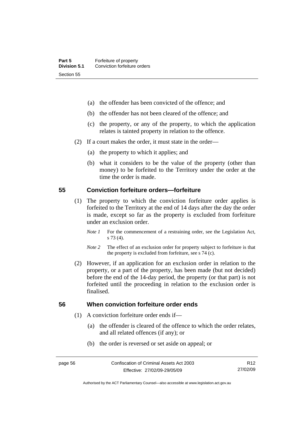- (a) the offender has been convicted of the offence; and
- (b) the offender has not been cleared of the offence; and
- (c) the property, or any of the property, to which the application relates is tainted property in relation to the offence.
- (2) If a court makes the order, it must state in the order—
	- (a) the property to which it applies; and
	- (b) what it considers to be the value of the property (other than money) to be forfeited to the Territory under the order at the time the order is made.

#### **55 Conviction forfeiture orders—forfeiture**

- (1) The property to which the conviction forfeiture order applies is forfeited to the Territory at the end of 14 days after the day the order is made, except so far as the property is excluded from forfeiture under an exclusion order.
	- *Note 1* For the commencement of a restraining order, see the Legislation Act, s 73 (4).
	- *Note 2* The effect of an exclusion order for property subject to forfeiture is that the property is excluded from forfeiture, see s 74 (c).
- (2) However, if an application for an exclusion order in relation to the property, or a part of the property, has been made (but not decided) before the end of the 14-day period, the property (or that part) is not forfeited until the proceeding in relation to the exclusion order is finalised.

## **56 When conviction forfeiture order ends**

- (1) A conviction forfeiture order ends if—
	- (a) the offender is cleared of the offence to which the order relates, and all related offences (if any); or
	- (b) the order is reversed or set aside on appeal; or

Authorised by the ACT Parliamentary Counsel—also accessible at www.legislation.act.gov.au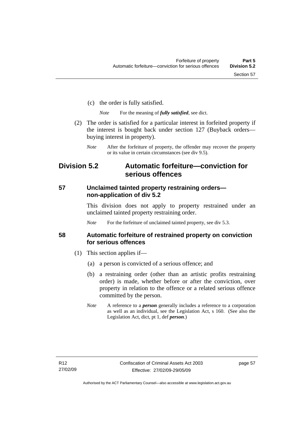- (c) the order is fully satisfied.
	- *Note* For the meaning of *fully satisfied*, see dict.
- (2) The order is satisfied for a particular interest in forfeited property if the interest is bought back under section 127 (Buyback orders buying interest in property).
	- *Note* After the forfeiture of property, the offender may recover the property or its value in certain circumstances (see div 9.5).

# **Division 5.2 Automatic forfeiture—conviction for serious offences**

### **57 Unclaimed tainted property restraining orders non-application of div 5.2**

This division does not apply to property restrained under an unclaimed tainted property restraining order.

*Note* For the forfeiture of unclaimed tainted property, see div 5.3.

#### **58 Automatic forfeiture of restrained property on conviction for serious offences**

- (1) This section applies if—
	- (a) a person is convicted of a serious offence; and
	- (b) a restraining order (other than an artistic profits restraining order) is made, whether before or after the conviction, over property in relation to the offence or a related serious offence committed by the person.
	- *Note* A reference to a *person* generally includes a reference to a corporation as well as an individual, see the Legislation Act, s 160. (See also the Legislation Act, dict, pt 1, def *person*.)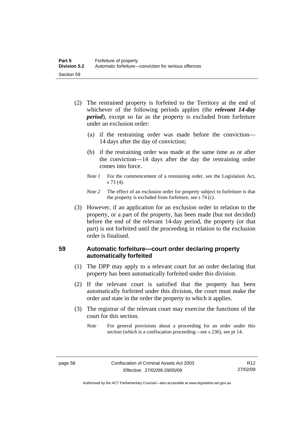- (2) The restrained property is forfeited to the Territory at the end of whichever of the following periods applies (the *relevant 14-day period*), except so far as the property is excluded from forfeiture under an exclusion order:
	- (a) if the restraining order was made before the conviction— 14 days after the day of conviction;
	- (b) if the restraining order was made at the same time as or after the conviction—14 days after the day the restraining order comes into force.
	- *Note 1* For the commencement of a restraining order, see the Legislation Act, s 73 (4).
	- *Note 2* The effect of an exclusion order for property subject to forfeiture is that the property is excluded from forfeiture, see s 74 (c).
- (3) However, if an application for an exclusion order in relation to the property, or a part of the property, has been made (but not decided) before the end of the relevant 14-day period, the property (or that part) is not forfeited until the proceeding in relation to the exclusion order is finalised.

## **59 Automatic forfeiture—court order declaring property automatically forfeited**

- (1) The DPP may apply to a relevant court for an order declaring that property has been automatically forfeited under this division.
- (2) If the relevant court is satisfied that the property has been automatically forfeited under this division, the court must make the order and state in the order the property to which it applies.
- (3) The registrar of the relevant court may exercise the functions of the court for this section.
	- *Note* For general provisions about a proceeding for an order under this section (which is a confiscation proceeding—see s 236), see pt 14.

Authorised by the ACT Parliamentary Counsel—also accessible at www.legislation.act.gov.au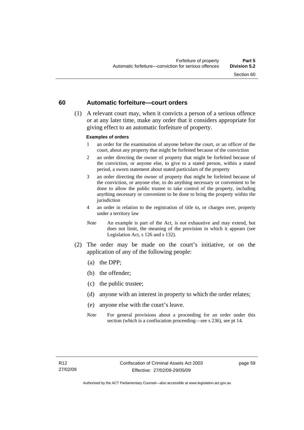#### **60 Automatic forfeiture—court orders**

 (1) A relevant court may, when it convicts a person of a serious offence or at any later time, make any order that it considers appropriate for giving effect to an automatic forfeiture of property.

#### **Examples of orders**

- 1 an order for the examination of anyone before the court, or an officer of the court, about any property that might be forfeited because of the conviction
- 2 an order directing the owner of property that might be forfeited because of the conviction, or anyone else, to give to a stated person, within a stated period, a sworn statement about stated particulars of the property
- 3 an order directing the owner of property that might be forfeited because of the conviction, or anyone else, to do anything necessary or convenient to be done to allow the public trustee to take control of the property, including anything necessary or convenient to be done to bring the property within the jurisdiction
- 4 an order in relation to the registration of title to, or charges over, property under a territory law
- *Note* An example is part of the Act, is not exhaustive and may extend, but does not limit, the meaning of the provision in which it appears (see Legislation Act, s 126 and s 132).
- (2) The order may be made on the court's initiative, or on the application of any of the following people:
	- (a) the DPP;
	- (b) the offender;
	- (c) the public trustee;
	- (d) anyone with an interest in property to which the order relates;
	- (e) anyone else with the court's leave.
	- *Note* For general provisions about a proceeding for an order under this section (which is a confiscation proceeding—see s 236), see pt 14.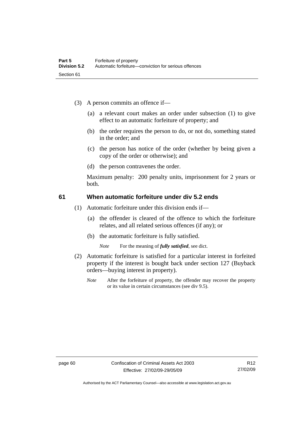- (3) A person commits an offence if—
	- (a) a relevant court makes an order under subsection (1) to give effect to an automatic forfeiture of property; and
	- (b) the order requires the person to do, or not do, something stated in the order; and
	- (c) the person has notice of the order (whether by being given a copy of the order or otherwise); and
	- (d) the person contravenes the order.

Maximum penalty: 200 penalty units, imprisonment for 2 years or both.

### **61 When automatic forfeiture under div 5.2 ends**

- (1) Automatic forfeiture under this division ends if—
	- (a) the offender is cleared of the offence to which the forfeiture relates, and all related serious offences (if any); or
	- (b) the automatic forfeiture is fully satisfied.

*Note* For the meaning of *fully satisfied*, see dict.

- (2) Automatic forfeiture is satisfied for a particular interest in forfeited property if the interest is bought back under section 127 (Buyback orders—buying interest in property).
	- *Note* After the forfeiture of property, the offender may recover the property or its value in certain circumstances (see div 9.5).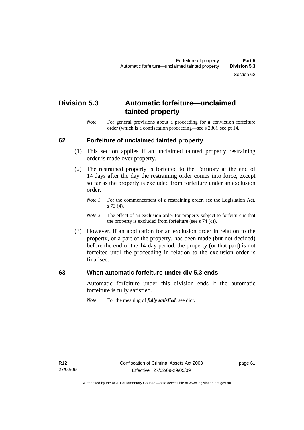# **Division 5.3 Automatic forfeiture—unclaimed tainted property**

*Note* For general provisions about a proceeding for a conviction forfeiture order (which is a confiscation proceeding—see s 236), see pt 14.

#### **62 Forfeiture of unclaimed tainted property**

- (1) This section applies if an unclaimed tainted property restraining order is made over property.
- (2) The restrained property is forfeited to the Territory at the end of 14 days after the day the restraining order comes into force, except so far as the property is excluded from forfeiture under an exclusion order.
	- *Note 1* For the commencement of a restraining order, see the Legislation Act, s 73 (4).
	- *Note 2* The effect of an exclusion order for property subject to forfeiture is that the property is excluded from forfeiture (see s 74 (c)).
- (3) However, if an application for an exclusion order in relation to the property, or a part of the property, has been made (but not decided) before the end of the 14-day period, the property (or that part) is not forfeited until the proceeding in relation to the exclusion order is finalised.

#### **63 When automatic forfeiture under div 5.3 ends**

Automatic forfeiture under this division ends if the automatic forfeiture is fully satisfied.

*Note* For the meaning of *fully satisfied*, see dict.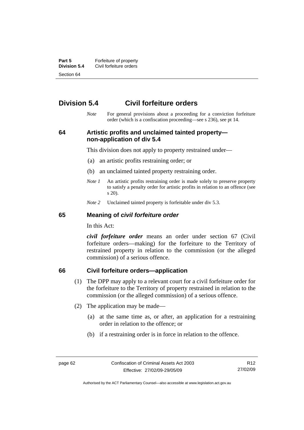**Part 5 Forfeiture of property**<br>**Division 5.4** Civil forfeiture orders **Division 5.4** Civil forfeiture orders Section 64

# **Division 5.4 Civil forfeiture orders**

*Note* For general provisions about a proceeding for a conviction forfeiture order (which is a confiscation proceeding—see s 236), see pt 14.

**64 Artistic profits and unclaimed tainted property non-application of div 5.4** 

This division does not apply to property restrained under—

- (a) an artistic profits restraining order; or
- (b) an unclaimed tainted property restraining order.
- *Note 1* An artistic profits restraining order is made solely to preserve property to satisfy a penalty order for artistic profits in relation to an offence (see s 20).
- *Note 2* Unclaimed tainted property is forfeitable under div 5.3.

#### **65 Meaning of** *civil forfeiture order*

In this Act:

*civil forfeiture order* means an order under section 67 (Civil forfeiture orders—making) for the forfeiture to the Territory of restrained property in relation to the commission (or the alleged commission) of a serious offence.

#### **66 Civil forfeiture orders—application**

- (1) The DPP may apply to a relevant court for a civil forfeiture order for the forfeiture to the Territory of property restrained in relation to the commission (or the alleged commission) of a serious offence.
- (2) The application may be made—
	- (a) at the same time as, or after, an application for a restraining order in relation to the offence; or
	- (b) if a restraining order is in force in relation to the offence.

R12 27/02/09

Authorised by the ACT Parliamentary Counsel—also accessible at www.legislation.act.gov.au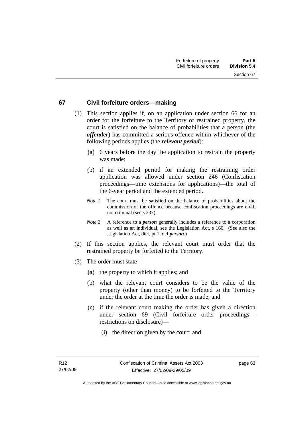#### **67 Civil forfeiture orders—making**

- (1) This section applies if, on an application under section 66 for an order for the forfeiture to the Territory of restrained property, the court is satisfied on the balance of probabilities that a person (the *offender*) has committed a serious offence within whichever of the following periods applies (the *relevant period*):
	- (a) 6 years before the day the application to restrain the property was made;
	- (b) if an extended period for making the restraining order application was allowed under section 246 (Confiscation proceedings—time extensions for applications)—the total of the 6-year period and the extended period.
	- *Note 1* The court must be satisfied on the balance of probabilities about the commission of the offence because confiscation proceedings are civil, not criminal (see s 237).
	- *Note 2* A reference to a *person* generally includes a reference to a corporation as well as an individual, see the Legislation Act, s 160. (See also the Legislation Act, dict, pt 1, def *person*.)
- (2) If this section applies, the relevant court must order that the restrained property be forfeited to the Territory.
- (3) The order must state—
	- (a) the property to which it applies; and
	- (b) what the relevant court considers to be the value of the property (other than money) to be forfeited to the Territory under the order at the time the order is made; and
	- (c) if the relevant court making the order has given a direction under section 69 (Civil forfeiture order proceedings restrictions on disclosure)—
		- (i) the direction given by the court; and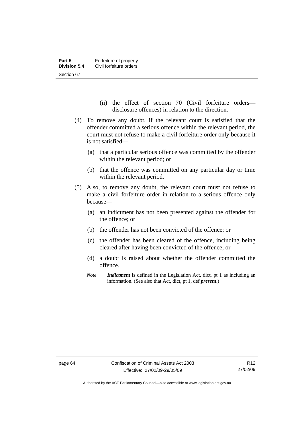- (ii) the effect of section 70 (Civil forfeiture orders disclosure offences) in relation to the direction.
- (4) To remove any doubt, if the relevant court is satisfied that the offender committed a serious offence within the relevant period, the court must not refuse to make a civil forfeiture order only because it is not satisfied—
	- (a) that a particular serious offence was committed by the offender within the relevant period; or
	- (b) that the offence was committed on any particular day or time within the relevant period.
- (5) Also, to remove any doubt, the relevant court must not refuse to make a civil forfeiture order in relation to a serious offence only because—
	- (a) an indictment has not been presented against the offender for the offence; or
	- (b) the offender has not been convicted of the offence; or
	- (c) the offender has been cleared of the offence, including being cleared after having been convicted of the offence; or
	- (d) a doubt is raised about whether the offender committed the offence.
	- *Note Indictment* is defined in the Legislation Act, dict, pt 1 as including an information. (See also that Act, dict, pt 1, def *present*.)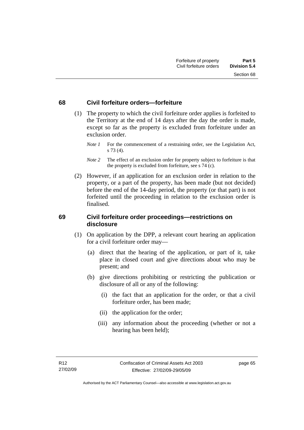#### **68 Civil forfeiture orders—forfeiture**

- (1) The property to which the civil forfeiture order applies is forfeited to the Territory at the end of 14 days after the day the order is made, except so far as the property is excluded from forfeiture under an exclusion order.
	- *Note 1* For the commencement of a restraining order, see the Legislation Act, s 73 (4).
	- *Note* 2 The effect of an exclusion order for property subject to forfeiture is that the property is excluded from forfeiture, see s 74 (c).
- (2) However, if an application for an exclusion order in relation to the property, or a part of the property, has been made (but not decided) before the end of the 14-day period, the property (or that part) is not forfeited until the proceeding in relation to the exclusion order is finalised.

#### **69 Civil forfeiture order proceedings—restrictions on disclosure**

- (1) On application by the DPP, a relevant court hearing an application for a civil forfeiture order may—
	- (a) direct that the hearing of the application, or part of it, take place in closed court and give directions about who may be present; and
	- (b) give directions prohibiting or restricting the publication or disclosure of all or any of the following:
		- (i) the fact that an application for the order, or that a civil forfeiture order, has been made;
		- (ii) the application for the order;
		- (iii) any information about the proceeding (whether or not a hearing has been held);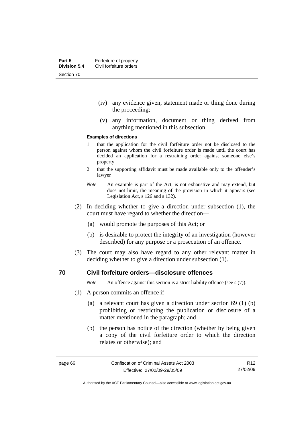- (iv) any evidence given, statement made or thing done during the proceeding;
- (v) any information, document or thing derived from anything mentioned in this subsection.

#### **Examples of directions**

- 1 that the application for the civil forfeiture order not be disclosed to the person against whom the civil forfeiture order is made until the court has decided an application for a restraining order against someone else's property
- 2 that the supporting affidavit must be made available only to the offender's lawyer
- *Note* An example is part of the Act, is not exhaustive and may extend, but does not limit, the meaning of the provision in which it appears (see Legislation Act, s 126 and s 132).
- (2) In deciding whether to give a direction under subsection (1), the court must have regard to whether the direction—
	- (a) would promote the purposes of this Act; or
	- (b) is desirable to protect the integrity of an investigation (however described) for any purpose or a prosecution of an offence.
- (3) The court may also have regard to any other relevant matter in deciding whether to give a direction under subsection (1).

#### **70 Civil forfeiture orders—disclosure offences**

*Note* An offence against this section is a strict liability offence (see s (7)).

- (1) A person commits an offence if—
	- (a) a relevant court has given a direction under section 69 (1) (b) prohibiting or restricting the publication or disclosure of a matter mentioned in the paragraph; and
	- (b) the person has notice of the direction (whether by being given a copy of the civil forfeiture order to which the direction relates or otherwise); and

R12 27/02/09

Authorised by the ACT Parliamentary Counsel—also accessible at www.legislation.act.gov.au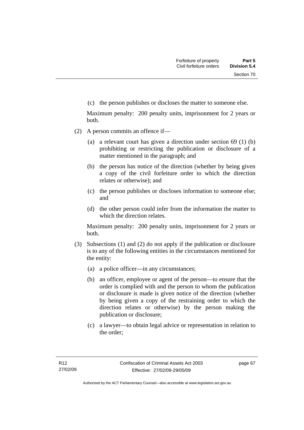(c) the person publishes or discloses the matter to someone else.

Maximum penalty: 200 penalty units, imprisonment for 2 years or both.

- (2) A person commits an offence if—
	- (a) a relevant court has given a direction under section 69 (1) (b) prohibiting or restricting the publication or disclosure of a matter mentioned in the paragraph; and
	- (b) the person has notice of the direction (whether by being given a copy of the civil forfeiture order to which the direction relates or otherwise); and
	- (c) the person publishes or discloses information to someone else; and
	- (d) the other person could infer from the information the matter to which the direction relates.

Maximum penalty: 200 penalty units, imprisonment for 2 years or both.

- (3) Subsections (1) and (2) do not apply if the publication or disclosure is to any of the following entities in the circumstances mentioned for the entity:
	- (a) a police officer—in any circumstances;
	- (b) an officer, employee or agent of the person—to ensure that the order is complied with and the person to whom the publication or disclosure is made is given notice of the direction (whether by being given a copy of the restraining order to which the direction relates or otherwise) by the person making the publication or disclosure;
	- (c) a lawyer—to obtain legal advice or representation in relation to the order;

page 67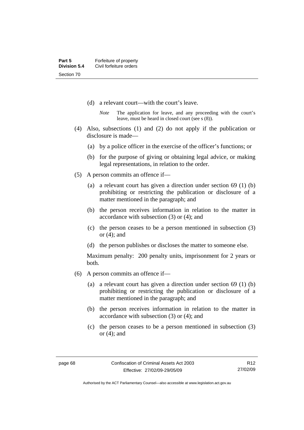- (d) a relevant court—with the court's leave.
	- *Note* The application for leave, and any proceeding with the court's leave, must be heard in closed court (see s (8)).
- (4) Also, subsections (1) and (2) do not apply if the publication or disclosure is made—
	- (a) by a police officer in the exercise of the officer's functions; or
	- (b) for the purpose of giving or obtaining legal advice, or making legal representations, in relation to the order.
- (5) A person commits an offence if—
	- (a) a relevant court has given a direction under section 69 (1) (b) prohibiting or restricting the publication or disclosure of a matter mentioned in the paragraph; and
	- (b) the person receives information in relation to the matter in accordance with subsection (3) or (4); and
	- (c) the person ceases to be a person mentioned in subsection (3) or (4); and
	- (d) the person publishes or discloses the matter to someone else.

Maximum penalty: 200 penalty units, imprisonment for 2 years or both.

- (6) A person commits an offence if—
	- (a) a relevant court has given a direction under section 69 (1) (b) prohibiting or restricting the publication or disclosure of a matter mentioned in the paragraph; and
	- (b) the person receives information in relation to the matter in accordance with subsection (3) or (4); and
	- (c) the person ceases to be a person mentioned in subsection (3) or (4); and

R12 27/02/09

Authorised by the ACT Parliamentary Counsel—also accessible at www.legislation.act.gov.au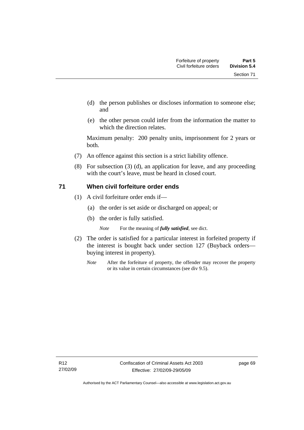- (d) the person publishes or discloses information to someone else; and
- (e) the other person could infer from the information the matter to which the direction relates.

Maximum penalty: 200 penalty units, imprisonment for 2 years or both.

- (7) An offence against this section is a strict liability offence.
- (8) For subsection (3) (d), an application for leave, and any proceeding with the court's leave, must be heard in closed court.

#### **71 When civil forfeiture order ends**

- (1) A civil forfeiture order ends if—
	- (a) the order is set aside or discharged on appeal; or
	- (b) the order is fully satisfied.

*Note* For the meaning of *fully satisfied*, see dict.

- (2) The order is satisfied for a particular interest in forfeited property if the interest is bought back under section 127 (Buyback orders buying interest in property).
	- *Note* After the forfeiture of property, the offender may recover the property or its value in certain circumstances (see div 9.5).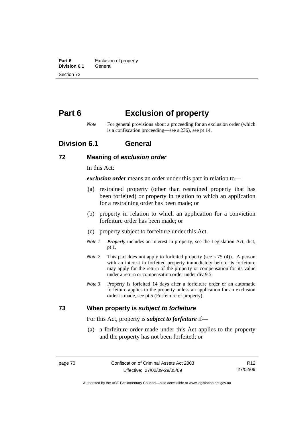**Part 6 Exclusion of property**<br>**Division 6.1 General Division 6.1** Section 72

# **Part 6 Exclusion of property**

*Note* For general provisions about a proceeding for an exclusion order (which is a confiscation proceeding—see s 236), see pt 14.

# **Division 6.1 General**

#### **72 Meaning of** *exclusion order*

In this Act:

*exclusion order* means an order under this part in relation to—

- (a) restrained property (other than restrained property that has been forfeited) or property in relation to which an application for a restraining order has been made; or
- (b) property in relation to which an application for a conviction forfeiture order has been made; or
- (c) property subject to forfeiture under this Act.
- *Note 1 Property* includes an interest in property, see the Legislation Act, dict, pt 1.
- *Note 2* This part does not apply to forfeited property (see s 75 (4)). A person with an interest in forfeited property immediately before its forfeiture may apply for the return of the property or compensation for its value under a return or compensation order under div 9.5.
- *Note 3* Property is forfeited 14 days after a forfeiture order or an automatic forfeiture applies to the property unless an application for an exclusion order is made, see pt 5 (Forfeiture of property).

#### **73 When property is** *subject to forfeiture*

For this Act, property is *subject to forfeiture* if—

 (a) a forfeiture order made under this Act applies to the property and the property has not been forfeited; or

R12 27/02/09

Authorised by the ACT Parliamentary Counsel—also accessible at www.legislation.act.gov.au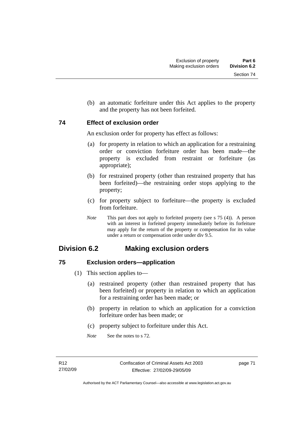Section 74

(b) an automatic forfeiture under this Act applies to the property

## **74 Effect of exclusion order**

An exclusion order for property has effect as follows:

and the property has not been forfeited.

- (a) for property in relation to which an application for a restraining order or conviction forfeiture order has been made—the property is excluded from restraint or forfeiture (as appropriate);
- (b) for restrained property (other than restrained property that has been forfeited)—the restraining order stops applying to the property;
- (c) for property subject to forfeiture—the property is excluded from forfeiture.
- *Note* This part does not apply to forfeited property (see s 75 (4)). A person with an interest in forfeited property immediately before its forfeiture may apply for the return of the property or compensation for its value under a return or compensation order under div 9.5.

# **Division 6.2 Making exclusion orders**

# **75 Exclusion orders—application**

- (1) This section applies to—
	- (a) restrained property (other than restrained property that has been forfeited) or property in relation to which an application for a restraining order has been made; or
	- (b) property in relation to which an application for a conviction forfeiture order has been made; or
	- (c) property subject to forfeiture under this Act.
	- *Note* See the notes to s 72.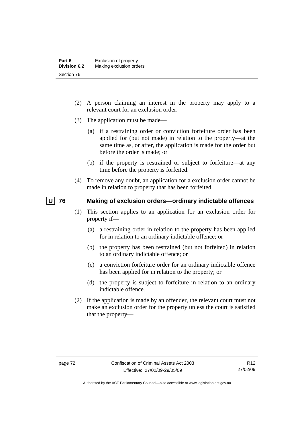- (2) A person claiming an interest in the property may apply to a relevant court for an exclusion order.
- (3) The application must be made—
	- (a) if a restraining order or conviction forfeiture order has been applied for (but not made) in relation to the property—at the same time as, or after, the application is made for the order but before the order is made; or
	- (b) if the property is restrained or subject to forfeiture—at any time before the property is forfeited.
- (4) To remove any doubt, an application for a exclusion order cannot be made in relation to property that has been forfeited.

### **U 76 Making of exclusion orders—ordinary indictable offences**

- (1) This section applies to an application for an exclusion order for property if—
	- (a) a restraining order in relation to the property has been applied for in relation to an ordinary indictable offence; or
	- (b) the property has been restrained (but not forfeited) in relation to an ordinary indictable offence; or
	- (c) a conviction forfeiture order for an ordinary indictable offence has been applied for in relation to the property; or
	- (d) the property is subject to forfeiture in relation to an ordinary indictable offence.
- (2) If the application is made by an offender, the relevant court must not make an exclusion order for the property unless the court is satisfied that the property—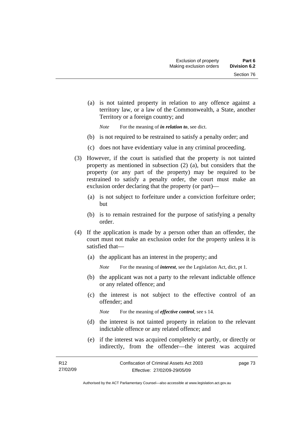(a) is not tainted property in relation to any offence against a territory law, or a law of the Commonwealth, a State, another Territory or a foreign country; and

*Note* For the meaning of *in relation to*, see dict.

- (b) is not required to be restrained to satisfy a penalty order; and
- (c) does not have evidentiary value in any criminal proceeding.
- (3) However, if the court is satisfied that the property is not tainted property as mentioned in subsection (2) (a), but considers that the property (or any part of the property) may be required to be restrained to satisfy a penalty order, the court must make an exclusion order declaring that the property (or part)—
	- (a) is not subject to forfeiture under a conviction forfeiture order; but
	- (b) is to remain restrained for the purpose of satisfying a penalty order.
- (4) If the application is made by a person other than an offender, the court must not make an exclusion order for the property unless it is satisfied that—
	- (a) the applicant has an interest in the property; and
		- *Note* For the meaning of *interest*, see the Legislation Act, dict, pt 1.
	- (b) the applicant was not a party to the relevant indictable offence or any related offence; and
	- (c) the interest is not subject to the effective control of an offender; and
		- *Note* For the meaning of *effective control*, see s 14.
	- (d) the interest is not tainted property in relation to the relevant indictable offence or any related offence; and
	- (e) if the interest was acquired completely or partly, or directly or indirectly, from the offender—the interest was acquired

Authorised by the ACT Parliamentary Counsel—also accessible at www.legislation.act.gov.au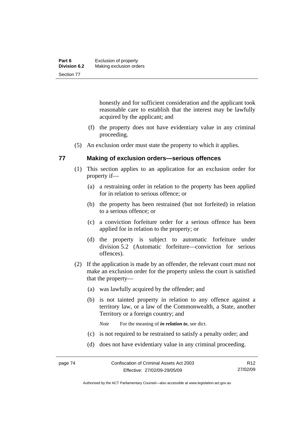| Part 6              | Exclusion of property   |
|---------------------|-------------------------|
| <b>Division 6.2</b> | Making exclusion orders |
| Section 77          |                         |

honestly and for sufficient consideration and the applicant took reasonable care to establish that the interest may be lawfully acquired by the applicant; and

- (f) the property does not have evidentiary value in any criminal proceeding.
- (5) An exclusion order must state the property to which it applies.

#### **77 Making of exclusion orders—serious offences**

- (1) This section applies to an application for an exclusion order for property if—
	- (a) a restraining order in relation to the property has been applied for in relation to serious offence; or
	- (b) the property has been restrained (but not forfeited) in relation to a serious offence; or
	- (c) a conviction forfeiture order for a serious offence has been applied for in relation to the property; or
	- (d) the property is subject to automatic forfeiture under division 5.2 (Automatic forfeiture—conviction for serious offences).
- (2) If the application is made by an offender, the relevant court must not make an exclusion order for the property unless the court is satisfied that the property—
	- (a) was lawfully acquired by the offender; and
	- (b) is not tainted property in relation to any offence against a territory law, or a law of the Commonwealth, a State, another Territory or a foreign country; and

*Note* For the meaning of *in relation to*, see dict.

- (c) is not required to be restrained to satisfy a penalty order; and
- (d) does not have evidentiary value in any criminal proceeding.

Authorised by the ACT Parliamentary Counsel—also accessible at www.legislation.act.gov.au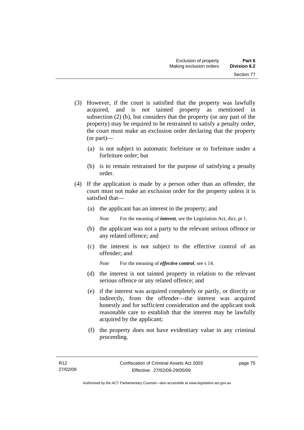- (3) However, if the court is satisfied that the property was lawfully acquired, and is not tainted property as mentioned in subsection (2) (b), but considers that the property (or any part of the property) may be required to be restrained to satisfy a penalty order, the court must make an exclusion order declaring that the property (or part)—
	- (a) is not subject to automatic forfeiture or to forfeiture under a forfeiture order; but
	- (b) is to remain restrained for the purpose of satisfying a penalty order.
- (4) If the application is made by a person other than an offender, the court must not make an exclusion order for the property unless it is satisfied that—
	- (a) the applicant has an interest in the property; and

*Note* For the meaning of *interest*, see the Legislation Act, dict, pt 1.

- (b) the applicant was not a party to the relevant serious offence or any related offence; and
- (c) the interest is not subject to the effective control of an offender; and

*Note* For the meaning of *effective control*, see s 14.

- (d) the interest is not tainted property in relation to the relevant serious offence or any related offence; and
- (e) if the interest was acquired completely or partly, or directly or indirectly, from the offender—the interest was acquired honestly and for sufficient consideration and the applicant took reasonable care to establish that the interest may be lawfully acquired by the applicant;
- (f) the property does not have evidentiary value in any criminal proceeding.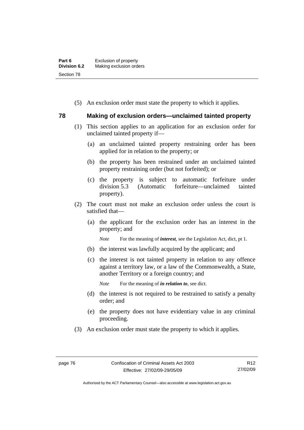| Part 6              | Exclusion of property   |
|---------------------|-------------------------|
| <b>Division 6.2</b> | Making exclusion orders |
| Section 78          |                         |

(5) An exclusion order must state the property to which it applies.

#### **78 Making of exclusion orders—unclaimed tainted property**

- (1) This section applies to an application for an exclusion order for unclaimed tainted property if—
	- (a) an unclaimed tainted property restraining order has been applied for in relation to the property; or
	- (b) the property has been restrained under an unclaimed tainted property restraining order (but not forfeited); or
	- (c) the property is subject to automatic forfeiture under division 5.3 (Automatic forfeiture—unclaimed tainted property).
- (2) The court must not make an exclusion order unless the court is satisfied that—
	- (a) the applicant for the exclusion order has an interest in the property; and

*Note* For the meaning of *interest*, see the Legislation Act, dict, pt 1.

- (b) the interest was lawfully acquired by the applicant; and
- (c) the interest is not tainted property in relation to any offence against a territory law, or a law of the Commonwealth, a State, another Territory or a foreign country; and

*Note* For the meaning of *in relation to*, see dict.

- (d) the interest is not required to be restrained to satisfy a penalty order; and
- (e) the property does not have evidentiary value in any criminal proceeding.
- (3) An exclusion order must state the property to which it applies.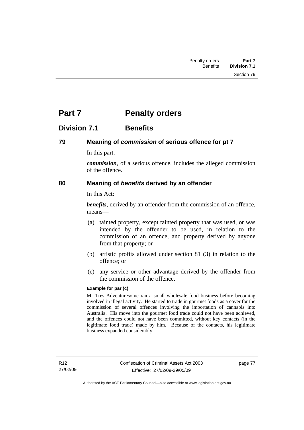# **Part 7** Penalty orders

# **Division 7.1 Benefits**

#### **79 Meaning of** *commission* **of serious offence for pt 7**

In this part:

*commission*, of a serious offence, includes the alleged commission of the offence.

#### **80 Meaning of** *benefits* **derived by an offender**

In this Act:

*benefits*, derived by an offender from the commission of an offence, means—

- (a) tainted property, except tainted property that was used, or was intended by the offender to be used, in relation to the commission of an offence, and property derived by anyone from that property; or
- (b) artistic profits allowed under section 81 (3) in relation to the offence; or
- (c) any service or other advantage derived by the offender from the commission of the offence.

#### **Example for par (c)**

Mr Tres Adventuresome ran a small wholesale food business before becoming involved in illegal activity. He started to trade in gourmet foods as a cover for the commission of several offences involving the importation of cannabis into Australia. His move into the gourmet food trade could not have been achieved, and the offences could not have been committed, without key contacts (in the legitimate food trade) made by him. Because of the contacts, his legitimate business expanded considerably.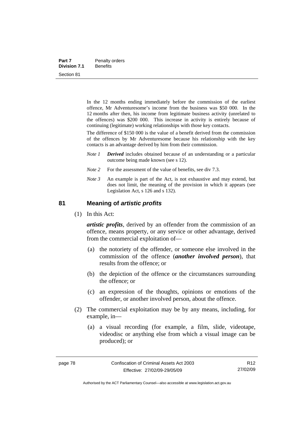| Part 7              | Penalty orders  |
|---------------------|-----------------|
| <b>Division 7.1</b> | <b>Benefits</b> |
| Section 81          |                 |

In the 12 months ending immediately before the commission of the earliest offence, Mr Adventuresome's income from the business was \$50 000. In the 12 months after then, his income from legitimate business activity (unrelated to the offences) was \$200 000. This increase in activity is entirely because of continuing (legitimate) working relationships with those key contacts.

The difference of \$150 000 is the value of a benefit derived from the commission of the offences by Mr Adventuresome because his relationship with the key contacts is an advantage derived by him from their commission.

- *Note 1 Derived* includes obtained because of an understanding or a particular outcome being made known (see s 12).
- *Note* 2 For the assessment of the value of benefits, see div 7.3.
- *Note 3* An example is part of the Act, is not exhaustive and may extend, but does not limit, the meaning of the provision in which it appears (see Legislation Act, s 126 and s 132).

#### **81 Meaning of** *artistic profits*

(1) In this Act:

*artistic profits*, derived by an offender from the commission of an offence, means property, or any service or other advantage, derived from the commercial exploitation of—

- (a) the notoriety of the offender, or someone else involved in the commission of the offence (*another involved person*), that results from the offence; or
- (b) the depiction of the offence or the circumstances surrounding the offence; or
- (c) an expression of the thoughts, opinions or emotions of the offender, or another involved person, about the offence.
- (2) The commercial exploitation may be by any means, including, for example, in—
	- (a) a visual recording (for example, a film, slide, videotape, videodisc or anything else from which a visual image can be produced); or

R12 27/02/09

Authorised by the ACT Parliamentary Counsel—also accessible at www.legislation.act.gov.au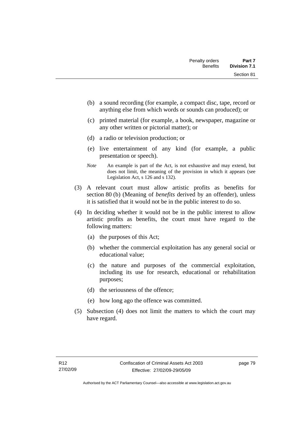- (b) a sound recording (for example, a compact disc, tape, record or anything else from which words or sounds can produced); or
- (c) printed material (for example, a book, newspaper, magazine or any other written or pictorial matter); or
- (d) a radio or television production; or
- (e) live entertainment of any kind (for example, a public presentation or speech).
- *Note* An example is part of the Act, is not exhaustive and may extend, but does not limit, the meaning of the provision in which it appears (see Legislation Act, s 126 and s 132).
- (3) A relevant court must allow artistic profits as benefits for section 80 (b) (Meaning of *benefits* derived by an offender), unless it is satisfied that it would not be in the public interest to do so.
- (4) In deciding whether it would not be in the public interest to allow artistic profits as benefits, the court must have regard to the following matters:
	- (a) the purposes of this Act;
	- (b) whether the commercial exploitation has any general social or educational value;
	- (c) the nature and purposes of the commercial exploitation, including its use for research, educational or rehabilitation purposes;
	- (d) the seriousness of the offence;
	- (e) how long ago the offence was committed.
- (5) Subsection (4) does not limit the matters to which the court may have regard.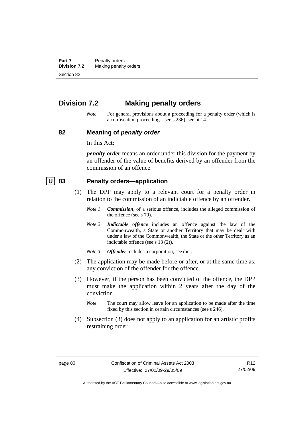**Part 7** Penalty orders<br>**Division 7.2** Making penalty **Making penalty orders** Section 82

# **Division 7.2 Making penalty orders**

*Note* For general provisions about a proceeding for a penalty order (which is a confiscation proceeding—see s 236), see pt 14.

#### **82 Meaning of** *penalty order*

In this Act:

*penalty order* means an order under this division for the payment by an offender of the value of benefits derived by an offender from the commission of an offence.

#### **U 83 Penalty orders—application**

- (1) The DPP may apply to a relevant court for a penalty order in relation to the commission of an indictable offence by an offender.
	- *Note 1 Commission*, of a serious offence, includes the alleged commission of the offence (see s 79).
	- *Note 2 Indictable offence* includes an offence against the law of the Commonwealth, a State or another Territory that may be dealt with under a law of the Commonwealth, the State or the other Territory as an indictable offence (see s 13 (2)).
	- *Note 3 Offender* includes a corporation, see dict.
- (2) The application may be made before or after, or at the same time as, any conviction of the offender for the offence.
- (3) However, if the person has been convicted of the offence, the DPP must make the application within 2 years after the day of the conviction.
	- *Note* The court may allow leave for an application to be made after the time fixed by this section in certain circumstances (see s 246).
- (4) Subsection (3) does not apply to an application for an artistic profits restraining order.

Authorised by the ACT Parliamentary Counsel—also accessible at www.legislation.act.gov.au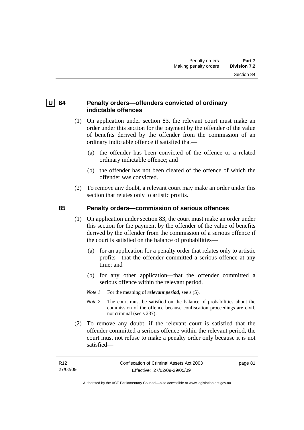# **U** 84 Penalty orders—offenders convicted of ordinary **indictable offences**

- (1) On application under section 83, the relevant court must make an order under this section for the payment by the offender of the value of benefits derived by the offender from the commission of an ordinary indictable offence if satisfied that—
	- (a) the offender has been convicted of the offence or a related ordinary indictable offence; and
	- (b) the offender has not been cleared of the offence of which the offender was convicted.
- (2) To remove any doubt, a relevant court may make an order under this section that relates only to artistic profits.

# **85 Penalty orders—commission of serious offences**

- (1) On application under section 83, the court must make an order under this section for the payment by the offender of the value of benefits derived by the offender from the commission of a serious offence if the court is satisfied on the balance of probabilities—
	- (a) for an application for a penalty order that relates only to artistic profits—that the offender committed a serious offence at any time; and
	- (b) for any other application—that the offender committed a serious offence within the relevant period.
	- *Note 1* For the meaning of *relevant period*, see s (5).
	- *Note* 2 The court must be satisfied on the balance of probabilities about the commission of the offence because confiscation proceedings are civil, not criminal (see s 237).
- (2) To remove any doubt, if the relevant court is satisfied that the offender committed a serious offence within the relevant period, the court must not refuse to make a penalty order only because it is not satisfied—

page 81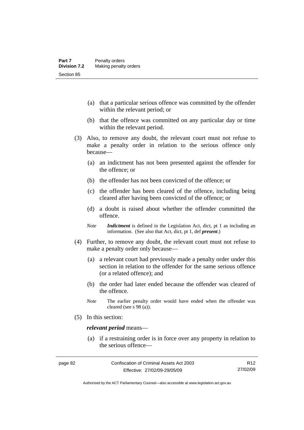- (a) that a particular serious offence was committed by the offender within the relevant period; or
- (b) that the offence was committed on any particular day or time within the relevant period.
- (3) Also, to remove any doubt, the relevant court must not refuse to make a penalty order in relation to the serious offence only because—
	- (a) an indictment has not been presented against the offender for the offence; or
	- (b) the offender has not been convicted of the offence; or
	- (c) the offender has been cleared of the offence, including being cleared after having been convicted of the offence; or
	- (d) a doubt is raised about whether the offender committed the offence.
	- *Note Indictment* is defined in the Legislation Act, dict, pt 1 as including an information. (See also that Act, dict, pt 1, def *present*.)
- (4) Further, to remove any doubt, the relevant court must not refuse to make a penalty order only because—
	- (a) a relevant court had previously made a penalty order under this section in relation to the offender for the same serious offence (or a related offence); and
	- (b) the order had later ended because the offender was cleared of the offence.
	- *Note* The earlier penalty order would have ended when the offender was cleared (see s  $98$  (a)).
- (5) In this section:

#### *relevant period* means—

 (a) if a restraining order is in force over any property in relation to the serious offence—

Authorised by the ACT Parliamentary Counsel—also accessible at www.legislation.act.gov.au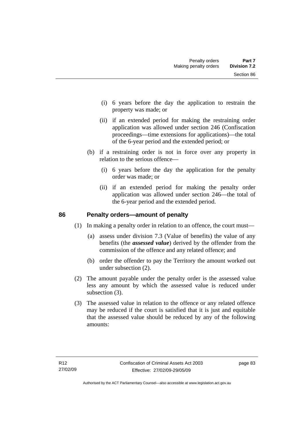- (i) 6 years before the day the application to restrain the property was made; or
- (ii) if an extended period for making the restraining order application was allowed under section 246 (Confiscation proceedings—time extensions for applications)—the total of the 6-year period and the extended period; or
- (b) if a restraining order is not in force over any property in relation to the serious offence—
	- (i) 6 years before the day the application for the penalty order was made; or
	- (ii) if an extended period for making the penalty order application was allowed under section 246—the total of the 6-year period and the extended period.

### **86 Penalty orders—amount of penalty**

- (1) In making a penalty order in relation to an offence, the court must—
	- (a) assess under division 7.3 (Value of benefits) the value of any benefits (the *assessed value*) derived by the offender from the commission of the offence and any related offence; and
	- (b) order the offender to pay the Territory the amount worked out under subsection (2).
- (2) The amount payable under the penalty order is the assessed value less any amount by which the assessed value is reduced under subsection (3).
- (3) The assessed value in relation to the offence or any related offence may be reduced if the court is satisfied that it is just and equitable that the assessed value should be reduced by any of the following amounts: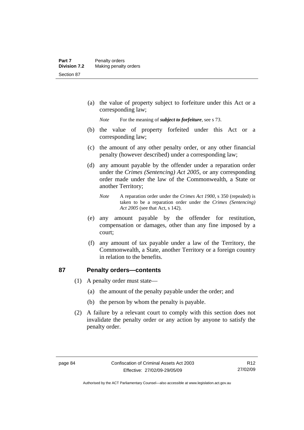(a) the value of property subject to forfeiture under this Act or a corresponding law;

*Note* For the meaning of *subject to forfeiture*, see s 73.

- (b) the value of property forfeited under this Act or a corresponding law;
- (c) the amount of any other penalty order, or any other financial penalty (however described) under a corresponding law;
- (d) any amount payable by the offender under a reparation order under the *Crimes (Sentencing) Act 2005*, or any corresponding order made under the law of the Commonwealth, a State or another Territory;
	- *Note* A reparation order under the *Crimes Act 1900*, s 350 (repealed) is taken to be a reparation order under the *Crimes (Sentencing) Act 2005* (see that Act, s 142).
- (e) any amount payable by the offender for restitution, compensation or damages, other than any fine imposed by a court;
- (f) any amount of tax payable under a law of the Territory, the Commonwealth, a State, another Territory or a foreign country in relation to the benefits.

#### **87 Penalty orders—contents**

- (1) A penalty order must state—
	- (a) the amount of the penalty payable under the order; and
	- (b) the person by whom the penalty is payable.
- (2) A failure by a relevant court to comply with this section does not invalidate the penalty order or any action by anyone to satisfy the penalty order.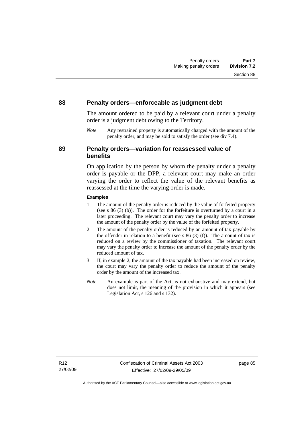#### **88 Penalty orders—enforceable as judgment debt**

The amount ordered to be paid by a relevant court under a penalty order is a judgment debt owing to the Territory.

*Note* Any restrained property is automatically charged with the amount of the penalty order, and may be sold to satisfy the order (see div 7.4).

#### **89 Penalty orders—variation for reassessed value of benefits**

On application by the person by whom the penalty under a penalty order is payable or the DPP, a relevant court may make an order varying the order to reflect the value of the relevant benefits as reassessed at the time the varying order is made.

#### **Examples**

- 1 The amount of the penalty order is reduced by the value of forfeited property (see s 86 (3) (b)). The order for the forfeiture is overturned by a court in a later proceeding. The relevant court may vary the penalty order to increase the amount of the penalty order by the value of the forfeited property.
- 2 The amount of the penalty order is reduced by an amount of tax payable by the offender in relation to a benefit (see s  $86(3)(f)$ ). The amount of tax is reduced on a review by the commissioner of taxation. The relevant court may vary the penalty order to increase the amount of the penalty order by the reduced amount of tax.
- 3 If, in example 2, the amount of the tax payable had been increased on review, the court may vary the penalty order to reduce the amount of the penalty order by the amount of the increased tax.
- *Note* An example is part of the Act, is not exhaustive and may extend, but does not limit, the meaning of the provision in which it appears (see Legislation Act, s 126 and s 132).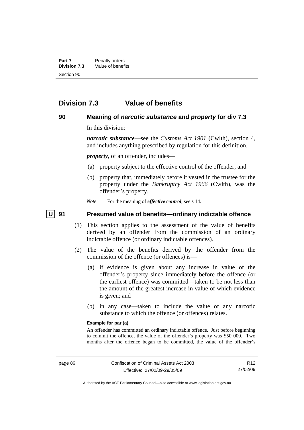# **Division 7.3 Value of benefits**

#### **90 Meaning of** *narcotic substance* **and** *property* **for div 7.3**

In this division:

*narcotic substance*—see the *Customs Act 1901* (Cwlth), section 4, and includes anything prescribed by regulation for this definition.

*property*, of an offender, includes—

- (a) property subject to the effective control of the offender; and
- (b) property that, immediately before it vested in the trustee for the property under the *Bankruptcy Act 1966* (Cwlth), was the offender's property.
- *Note* For the meaning of *effective control*, see s 14.

#### **U 91 Presumed value of benefits—ordinary indictable offence**

- (1) This section applies to the assessment of the value of benefits derived by an offender from the commission of an ordinary indictable offence (or ordinary indictable offences).
- (2) The value of the benefits derived by the offender from the commission of the offence (or offences) is—
	- (a) if evidence is given about any increase in value of the offender's property since immediately before the offence (or the earliest offence) was committed—taken to be not less than the amount of the greatest increase in value of which evidence is given; and
	- (b) in any case—taken to include the value of any narcotic substance to which the offence (or offences) relates.

#### **Example for par (a)**

An offender has committed an ordinary indictable offence. Just before beginning to commit the offence, the value of the offender's property was \$50 000. Two months after the offence began to be committed, the value of the offender's

R12 27/02/09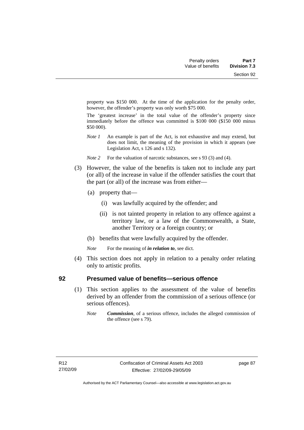property was \$150 000. At the time of the application for the penalty order, however, the offender's property was only worth \$75 000.

The 'greatest increase' in the total value of the offender's property since immediately before the offence was committed is \$100 000 (\$150 000 minus \$50 000).

- *Note 1* An example is part of the Act, is not exhaustive and may extend, but does not limit, the meaning of the provision in which it appears (see Legislation Act, s 126 and s 132).
- *Note* 2 For the valuation of narcotic substances, see s 93 (3) and (4).
- (3) However, the value of the benefits is taken not to include any part (or all) of the increase in value if the offender satisfies the court that the part (or all) of the increase was from either—
	- (a) property that—
		- (i) was lawfully acquired by the offender; and
		- (ii) is not tainted property in relation to any offence against a territory law, or a law of the Commonwealth, a State, another Territory or a foreign country; or
	- (b) benefits that were lawfully acquired by the offender.
	- *Note* For the meaning of *in relation to*, see dict.
- (4) This section does not apply in relation to a penalty order relating only to artistic profits.

#### **92 Presumed value of benefits—serious offence**

- (1) This section applies to the assessment of the value of benefits derived by an offender from the commission of a serious offence (or serious offences).
	- *Note Commission*, of a serious offence, includes the alleged commission of the offence (see s 79).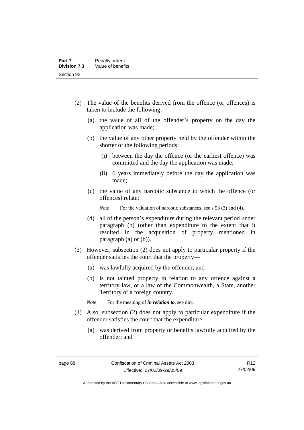- (2) The value of the benefits derived from the offence (or offences) is taken to include the following:
	- (a) the value of all of the offender's property on the day the application was made;
	- (b) the value of any other property held by the offender within the shorter of the following periods:
		- (i) between the day the offence (or the earliest offence) was committed and the day the application was made;
		- (ii) 6 years immediately before the day the application was made;
	- (c) the value of any narcotic substance to which the offence (or offences) relate;

*Note* For the valuation of narcotic substances, see s 93 (3) and (4).

- (d) all of the person's expenditure during the relevant period under paragraph (b) (other than expenditure to the extent that it resulted in the acquisition of property mentioned in paragraph (a) or (b)).
- (3) However, subsection (2) does not apply to particular property if the offender satisfies the court that the property—
	- (a) was lawfully acquired by the offender; and
	- (b) is not tainted property in relation to any offence against a territory law, or a law of the Commonwealth, a State, another Territory or a foreign country.

*Note* For the meaning of *in relation to*, see dict.

- (4) Also, subsection (2) does not apply to particular expenditure if the offender satisfies the court that the expenditure—
	- (a) was derived from property or benefits lawfully acquired by the offender; and

Authorised by the ACT Parliamentary Counsel—also accessible at www.legislation.act.gov.au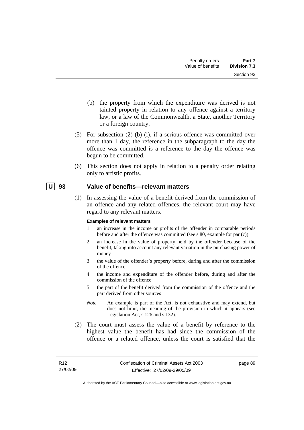- (b) the property from which the expenditure was derived is not tainted property in relation to any offence against a territory law, or a law of the Commonwealth, a State, another Territory or a foreign country.
- (5) For subsection (2) (b) (i), if a serious offence was committed over more than 1 day, the reference in the subparagraph to the day the offence was committed is a reference to the day the offence was begun to be committed.
- (6) This section does not apply in relation to a penalty order relating only to artistic profits.

#### **U 93 Value of benefits—relevant matters**

 (1) In assessing the value of a benefit derived from the commission of an offence and any related offences, the relevant court may have regard to any relevant matters.

#### **Examples of relevant matters**

- 1 an increase in the income or profits of the offender in comparable periods before and after the offence was committed (see s 80, example for par (c))
- 2 an increase in the value of property held by the offender because of the benefit, taking into account any relevant variation in the purchasing power of money
- 3 the value of the offender's property before, during and after the commission of the offence
- 4 the income and expenditure of the offender before, during and after the commission of the offence
- 5 the part of the benefit derived from the commission of the offence and the part derived from other sources
- *Note* An example is part of the Act, is not exhaustive and may extend, but does not limit, the meaning of the provision in which it appears (see Legislation Act, s 126 and s 132).
- (2) The court must assess the value of a benefit by reference to the highest value the benefit has had since the commission of the offence or a related offence, unless the court is satisfied that the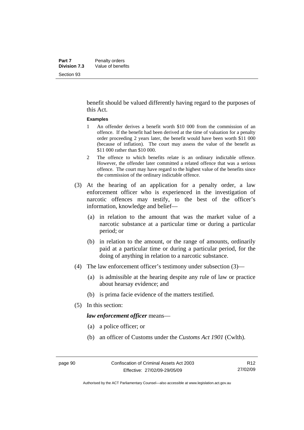benefit should be valued differently having regard to the purposes of this Act.

#### **Examples**

- 1 An offender derives a benefit worth \$10 000 from the commission of an offence. If the benefit had been derived at the time of valuation for a penalty order proceeding 2 years later, the benefit would have been worth \$11 000 (because of inflation). The court may assess the value of the benefit as \$11 000 rather than \$10 000.
- 2 The offence to which benefits relate is an ordinary indictable offence. However, the offender later committed a related offence that was a serious offence. The court may have regard to the highest value of the benefits since the commission of the ordinary indictable offence.
- (3) At the hearing of an application for a penalty order, a law enforcement officer who is experienced in the investigation of narcotic offences may testify, to the best of the officer's information, knowledge and belief—
	- (a) in relation to the amount that was the market value of a narcotic substance at a particular time or during a particular period; or
	- (b) in relation to the amount, or the range of amounts, ordinarily paid at a particular time or during a particular period, for the doing of anything in relation to a narcotic substance.
- (4) The law enforcement officer's testimony under subsection (3)—
	- (a) is admissible at the hearing despite any rule of law or practice about hearsay evidence; and
	- (b) is prima facie evidence of the matters testified.
- (5) In this section:

*law enforcement officer* means—

- (a) a police officer; or
- (b) an officer of Customs under the *Customs Act 1901* (Cwlth).

Authorised by the ACT Parliamentary Counsel—also accessible at www.legislation.act.gov.au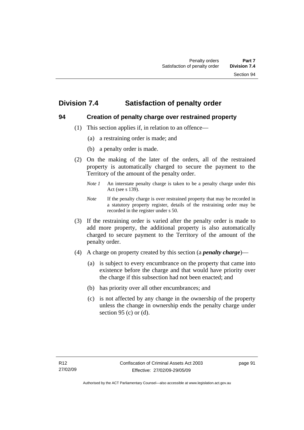# **Division 7.4 Satisfaction of penalty order**

# **94 Creation of penalty charge over restrained property**

- (1) This section applies if, in relation to an offence—
	- (a) a restraining order is made; and
	- (b) a penalty order is made.
- (2) On the making of the later of the orders, all of the restrained property is automatically charged to secure the payment to the Territory of the amount of the penalty order.
	- *Note 1* An interstate penalty charge is taken to be a penalty charge under this Act (see s 139).
	- *Note* If the penalty charge is over restrained property that may be recorded in a statutory property register, details of the restraining order may be recorded in the register under s 50.
- (3) If the restraining order is varied after the penalty order is made to add more property, the additional property is also automatically charged to secure payment to the Territory of the amount of the penalty order.
- (4) A charge on property created by this section (a *penalty charge*)—
	- (a) is subject to every encumbrance on the property that came into existence before the charge and that would have priority over the charge if this subsection had not been enacted; and
	- (b) has priority over all other encumbrances; and
	- (c) is not affected by any change in the ownership of the property unless the change in ownership ends the penalty charge under section 95 (c) or  $(d)$ .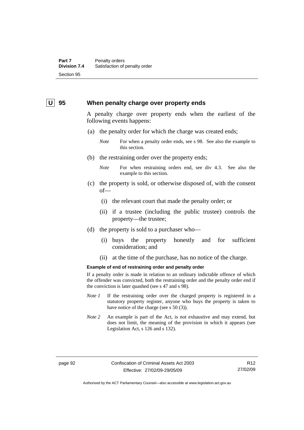#### **U** 95 When penalty charge over property ends

A penalty charge over property ends when the earliest of the following events happens:

- (a) the penalty order for which the charge was created ends;
	- *Note* For when a penalty order ends, see s 98. See also the example to this section.
- (b) the restraining order over the property ends;
	- *Note* For when restraining orders end, see div 4.3. See also the example to this section.
- (c) the property is sold, or otherwise disposed of, with the consent of—
	- (i) the relevant court that made the penalty order; or
	- (ii) if a trustee (including the public trustee) controls the property—the trustee;
- (d) the property is sold to a purchaser who—
	- (i) buys the property honestly and for sufficient consideration; and
	- (ii) at the time of the purchase, has no notice of the charge.

#### **Example of end of restraining order and penalty order**

If a penalty order is made in relation to an ordinary indictable offence of which the offender was convicted, both the restraining order and the penalty order end if the conviction is later quashed (see s 47 and s 98).

- *Note 1* If the restraining order over the charged property is registered in a statutory property register, anyone who buys the property is taken to have notice of the charge (see s 50 (3)).
- *Note* 2 An example is part of the Act, is not exhaustive and may extend, but does not limit, the meaning of the provision in which it appears (see Legislation Act, s 126 and s 132).

R12 27/02/09

Authorised by the ACT Parliamentary Counsel—also accessible at www.legislation.act.gov.au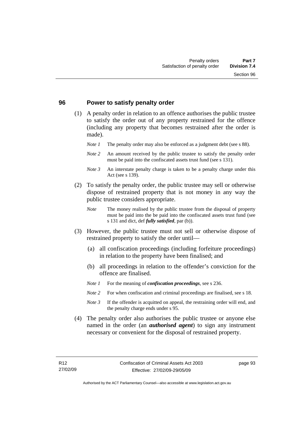#### **96 Power to satisfy penalty order**

- (1) A penalty order in relation to an offence authorises the public trustee to satisfy the order out of any property restrained for the offence (including any property that becomes restrained after the order is made).
	- *Note 1* The penalty order may also be enforced as a judgment debt (see s 88).
	- *Note 2* An amount received by the public trustee to satisfy the penalty order must be paid into the confiscated assets trust fund (see s 131).
	- *Note 3* An interstate penalty charge is taken to be a penalty charge under this Act (see s 139).
- (2) To satisfy the penalty order, the public trustee may sell or otherwise dispose of restrained property that is not money in any way the public trustee considers appropriate.
	- *Note* The money realised by the public trustee from the disposal of property must be paid into the be paid into the confiscated assets trust fund (see s 131 and dict, def *fully satisfied*, par (b)).
- (3) However, the public trustee must not sell or otherwise dispose of restrained property to satisfy the order until—
	- (a) all confiscation proceedings (including forfeiture proceedings) in relation to the property have been finalised; and
	- (b) all proceedings in relation to the offender's conviction for the offence are finalised.
	- *Note 1* For the meaning of *confiscation proceedings*, see s 236.
	- *Note 2* For when confiscation and criminal proceedings are finalised, see s 18.
	- *Note 3* If the offender is acquitted on appeal, the restraining order will end, and the penalty charge ends under s 95.
- (4) The penalty order also authorises the public trustee or anyone else named in the order (an *authorised agent*) to sign any instrument necessary or convenient for the disposal of restrained property.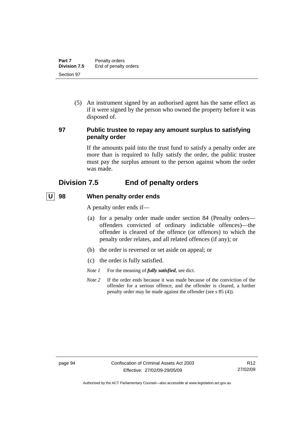| Part 7       | Penalty orders        |
|--------------|-----------------------|
| Division 7.5 | End of penalty orders |
| Section 97   |                       |

 (5) An instrument signed by an authorised agent has the same effect as if it were signed by the person who owned the property before it was disposed of.

#### **97 Public trustee to repay any amount surplus to satisfying penalty order**

If the amounts paid into the trust fund to satisfy a penalty order are more than is required to fully satisfy the order, the public trustee must pay the surplus amount to the person against whom the order was made.

# **Division 7.5 End of penalty orders**

#### **U 98 When penalty order ends**

A penalty order ends if—

- (a) for a penalty order made under section 84 (Penalty orders offenders convicted of ordinary indictable offences)—the offender is cleared of the offence (or offences) to which the penalty order relates, and all related offences (if any); or
- (b) the order is reversed or set aside on appeal; or
- (c) the order is fully satisfied.
- *Note 1* For the meaning of *fully satisfied*, see dict.
- *Note* 2 If the order ends because it was made because of the conviction of the offender for a serious offence, and the offender is cleared, a further penalty order may be made against the offender (see s 85 (4)).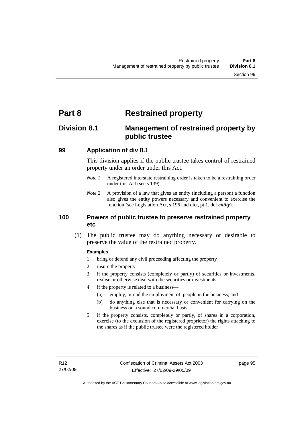# **Part 8 Restrained property**

# **Division 8.1 Management of restrained property by public trustee**

## **99 Application of div 8.1**

This division applies if the public trustee takes control of restrained property under an order under this Act.

- *Note 1* A registered interstate restraining order is taken to be a restraining order under this Act (see s 139).
- *Note 2* A provision of a law that gives an entity (including a person) a function also gives the entity powers necessary and convenient to exercise the function (see Legislation Act, s 196 and dict, pt 1, def *entity*).

## **100 Powers of public trustee to preserve restrained property etc**

 (1) The public trustee may do anything necessary or desirable to preserve the value of the restrained property.

#### **Examples**

- 1 bring or defend any civil proceeding affecting the property
- 2 insure the property
- 3 if the property consists (completely or partly) of securities or investments, realise or otherwise deal with the securities or investments
- 4 if the property is related to a business—
	- (a) employ, or end the employment of, people in the business; and
	- (b) do anything else that is necessary or convenient for carrying on the business on a sound commercial basis
- 5 if the property consists, completely or partly, of shares in a corporation, exercise (to the exclusion of the registered proprietor) the rights attaching to the shares as if the public trustee were the registered holder

page 95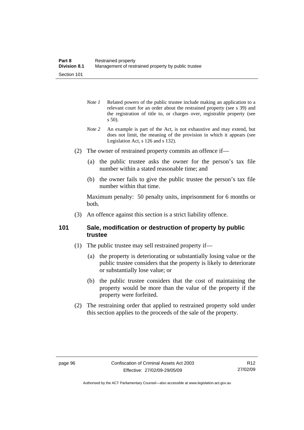- *Note 1* Related powers of the public trustee include making an application to a relevant court for an order about the restrained property (see s 39) and the registration of title to, or charges over, registrable property (see s 50).
- *Note 2* An example is part of the Act, is not exhaustive and may extend, but does not limit, the meaning of the provision in which it appears (see Legislation Act, s 126 and s 132).
- (2) The owner of restrained property commits an offence if—
	- (a) the public trustee asks the owner for the person's tax file number within a stated reasonable time; and
	- (b) the owner fails to give the public trustee the person's tax file number within that time.

Maximum penalty: 50 penalty units, imprisonment for 6 months or both.

(3) An offence against this section is a strict liability offence.

## **101 Sale, modification or destruction of property by public trustee**

- (1) The public trustee may sell restrained property if—
	- (a) the property is deteriorating or substantially losing value or the public trustee considers that the property is likely to deteriorate or substantially lose value; or
	- (b) the public trustee considers that the cost of maintaining the property would be more than the value of the property if the property were forfeited.
- (2) The restraining order that applied to restrained property sold under this section applies to the proceeds of the sale of the property.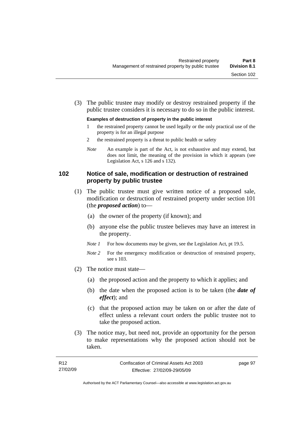(3) The public trustee may modify or destroy restrained property if the public trustee considers it is necessary to do so in the public interest.

#### **Examples of destruction of property in the public interest**

- 1 the restrained property cannot be used legally or the only practical use of the property is for an illegal purpose
- 2 the restrained property is a threat to public health or safety
- *Note* An example is part of the Act, is not exhaustive and may extend, but does not limit, the meaning of the provision in which it appears (see Legislation Act, s 126 and s 132).

## **102 Notice of sale, modification or destruction of restrained property by public trustee**

- (1) The public trustee must give written notice of a proposed sale, modification or destruction of restrained property under section 101 (the *proposed action*) to—
	- (a) the owner of the property (if known); and
	- (b) anyone else the public trustee believes may have an interest in the property.
	- *Note 1* For how documents may be given, see the Legislation Act, pt 19.5.
	- *Note 2* For the emergency modification or destruction of restrained property, see s 103.
- (2) The notice must state—
	- (a) the proposed action and the property to which it applies; and
	- (b) the date when the proposed action is to be taken (the *date of effect*); and
	- (c) that the proposed action may be taken on or after the date of effect unless a relevant court orders the public trustee not to take the proposed action.
- (3) The notice may, but need not, provide an opportunity for the person to make representations why the proposed action should not be taken.

Authorised by the ACT Parliamentary Counsel—also accessible at www.legislation.act.gov.au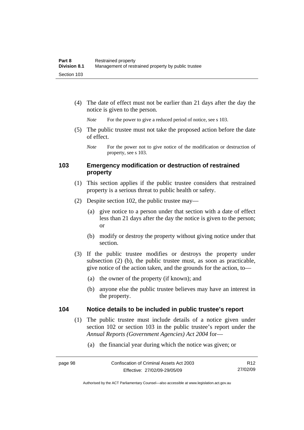(4) The date of effect must not be earlier than 21 days after the day the notice is given to the person.

*Note* For the power to give a reduced period of notice, see s 103.

 (5) The public trustee must not take the proposed action before the date of effect.

## **103 Emergency modification or destruction of restrained property**

- (1) This section applies if the public trustee considers that restrained property is a serious threat to public health or safety.
- (2) Despite section 102, the public trustee may—
	- (a) give notice to a person under that section with a date of effect less than 21 days after the day the notice is given to the person; or
	- (b) modify or destroy the property without giving notice under that section.
- (3) If the public trustee modifies or destroys the property under subsection (2) (b), the public trustee must, as soon as practicable, give notice of the action taken, and the grounds for the action, to—
	- (a) the owner of the property (if known); and
	- (b) anyone else the public trustee believes may have an interest in the property.

#### **104 Notice details to be included in public trustee's report**

- (1) The public trustee must include details of a notice given under section 102 or section 103 in the public trustee's report under the *Annual Reports (Government Agencies) Act 2004* for—
	- (a) the financial year during which the notice was given; or

*Note* For the power not to give notice of the modification or destruction of property, see s 103.

Authorised by the ACT Parliamentary Counsel—also accessible at www.legislation.act.gov.au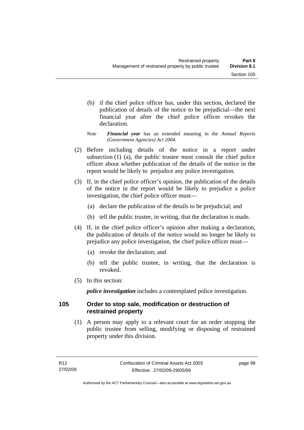- (b) if the chief police officer has, under this section, declared the publication of details of the notice to be prejudicial—the next financial year after the chief police officer revokes the declaration.
- *Note Financial year* has an extended meaning in the *Annual Reports (Government Agencies) Act 2004*.
- (2) Before including details of the notice in a report under subsection (1) (a), the public trustee must consult the chief police officer about whether publication of the details of the notice in the report would be likely to prejudice any police investigation.
- (3) If, in the chief police officer's opinion, the publication of the details of the notice in the report would be likely to prejudice a police investigation, the chief police officer must—
	- (a) declare the publication of the details to be prejudicial; and
	- (b) tell the public trustee, in writing, that the declaration is made.
- (4) If, in the chief police officer's opinion after making a declaration, the publication of details of the notice would no longer be likely to prejudice any police investigation, the chief police officer must—
	- (a) revoke the declaration; and
	- (b) tell the public trustee, in writing, that the declaration is revoked.
- (5) In this section:

*police investigation* includes a contemplated police investigation.

## **105 Order to stop sale, modification or destruction of restrained property**

 (1) A person may apply to a relevant court for an order stopping the public trustee from selling, modifying or disposing of restrained property under this division.

page 99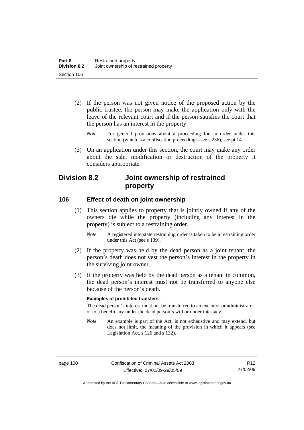- (2) If the person was not given notice of the proposed action by the public trustee, the person may make the application only with the leave of the relevant court and if the person satisfies the court that the person has an interest in the property.
	- *Note* For general provisions about a proceeding for an order under this section (which is a confiscation proceeding—see s 236), see pt 14.
- (3) On an application under this section, the court may make any order about the sale, modification or destruction of the property it considers appropriate.

# **Division 8.2 Joint ownership of restrained property**

#### **106 Effect of death on joint ownership**

- (1) This section applies to property that is jointly owned if any of the owners die while the property (including any interest in the property) is subject to a restraining order.
	- *Note* A registered interstate restraining order is taken to be a restraining order under this Act (see s 139).
- (2) If the property was held by the dead person as a joint tenant, the person's death does not vest the person's interest in the property in the surviving joint owner.
- (3) If the property was held by the dead person as a tenant in common, the dead person's interest must not be transferred to anyone else because of the person's death.

#### **Examples of prohibited transfers**

The dead person's interest must not be transferred to an executor or administrator, or to a beneficiary under the dead person's will or under intestacy.

*Note* An example is part of the Act, is not exhaustive and may extend, but does not limit, the meaning of the provision in which it appears (see Legislation Act, s 126 and s 132).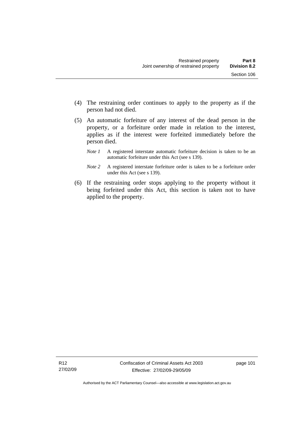(5) An automatic forfeiture of any interest of the dead person in the property, or a forfeiture order made in relation to the interest, applies as if the interest were forfeited immediately before the person died.

person had not died.

- *Note 1* A registered interstate automatic forfeiture decision is taken to be an automatic forfeiture under this Act (see s 139).
- *Note 2* A registered interstate forfeiture order is taken to be a forfeiture order under this Act (see s 139).
- (6) If the restraining order stops applying to the property without it being forfeited under this Act, this section is taken not to have applied to the property.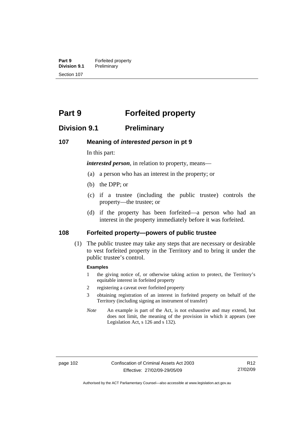**Part 9 Forfeited property**<br>**Division 9.1 Preliminary Preliminary** Section 107

# **Part 9 Forfeited property**

## **Division 9.1 Preliminary**

#### **107 Meaning of** *interested person* **in pt 9**

In this part:

*interested person*, in relation to property, means—

- (a) a person who has an interest in the property; or
- (b) the DPP; or
- (c) if a trustee (including the public trustee) controls the property—the trustee; or
- (d) if the property has been forfeited—a person who had an interest in the property immediately before it was forfeited.

### **108 Forfeited property—powers of public trustee**

 (1) The public trustee may take any steps that are necessary or desirable to vest forfeited property in the Territory and to bring it under the public trustee's control.

#### **Examples**

- 1 the giving notice of, or otherwise taking action to protect, the Territory's equitable interest in forfeited property
- 2 registering a caveat over forfeited property
- 3 obtaining registration of an interest in forfeited property on behalf of the Territory (including signing an instrument of transfer)
- *Note* An example is part of the Act, is not exhaustive and may extend, but does not limit, the meaning of the provision in which it appears (see Legislation Act, s 126 and s 132).

Authorised by the ACT Parliamentary Counsel—also accessible at www.legislation.act.gov.au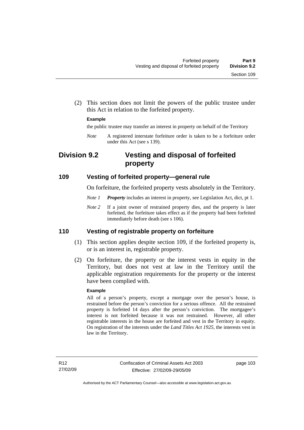(2) This section does not limit the powers of the public trustee under this Act in relation to the forfeited property.

#### **Example**

the public trustee may transfer an interest in property on behalf of the Territory

*Note* A registered interstate forfeiture order is taken to be a forfeiture order under this Act (see s 139).

# **Division 9.2 Vesting and disposal of forfeited property**

#### **109 Vesting of forfeited property—general rule**

On forfeiture, the forfeited property vests absolutely in the Territory.

- *Note 1 Property* includes an interest in property, see Legislation Act, dict, pt 1.
- *Note* 2 If a joint owner of restrained property dies, and the property is later forfeited, the forfeiture takes effect as if the property had been forfeited immediately before death (see s 106).

#### **110 Vesting of registrable property on forfeiture**

- (1) This section applies despite section 109, if the forfeited property is, or is an interest in, registrable property.
- (2) On forfeiture, the property or the interest vests in equity in the Territory, but does not vest at law in the Territory until the applicable registration requirements for the property or the interest have been complied with.

#### **Example**

All of a person's property, except a mortgage over the person's house, is restrained before the person's conviction for a serious offence. All the restrained property is forfeited 14 days after the person's conviction. The mortgagee's interest is not forfeited because it was not restrained. However, all other registrable interests in the house are forfeited and vest in the Territory in equity. On registration of the interests under the *Land Titles Act 1925*, the interests vest in law in the Territory.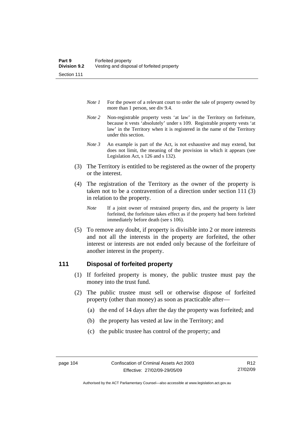- *Note 1* For the power of a relevant court to order the sale of property owned by more than 1 person, see div 9.4.
- *Note 2* Non-registrable property vests 'at law' in the Territory on forfeiture, because it vests 'absolutely' under s 109. Registrable property vests 'at law' in the Territory when it is registered in the name of the Territory under this section.
- *Note 3* An example is part of the Act, is not exhaustive and may extend, but does not limit, the meaning of the provision in which it appears (see Legislation Act, s 126 and s 132).
- (3) The Territory is entitled to be registered as the owner of the property or the interest.
- (4) The registration of the Territory as the owner of the property is taken not to be a contravention of a direction under section 111 (3) in relation to the property.
	- *Note* If a joint owner of restrained property dies, and the property is later forfeited, the forfeiture takes effect as if the property had been forfeited immediately before death (see s 106).
- (5) To remove any doubt, if property is divisible into 2 or more interests and not all the interests in the property are forfeited, the other interest or interests are not ended only because of the forfeiture of another interest in the property.

#### **111 Disposal of forfeited property**

- (1) If forfeited property is money, the public trustee must pay the money into the trust fund.
- (2) The public trustee must sell or otherwise dispose of forfeited property (other than money) as soon as practicable after—
	- (a) the end of 14 days after the day the property was forfeited; and
	- (b) the property has vested at law in the Territory; and
	- (c) the public trustee has control of the property; and

Authorised by the ACT Parliamentary Counsel—also accessible at www.legislation.act.gov.au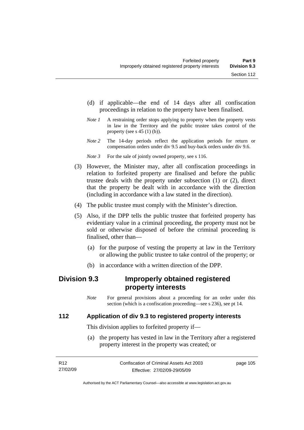- (d) if applicable—the end of 14 days after all confiscation proceedings in relation to the property have been finalised.
- *Note 1* A restraining order stops applying to property when the property vests in law in the Territory and the public trustee takes control of the property (see s  $45(1)(b)$ ).
- *Note 2* The 14-day periods reflect the application periods for return or compensation orders under div 9.5 and buy-back orders under div 9.6.

*Note 3* For the sale of jointly owned property, see s 116.

- (3) However, the Minister may, after all confiscation proceedings in relation to forfeited property are finalised and before the public trustee deals with the property under subsection (1) or (2), direct that the property be dealt with in accordance with the direction (including in accordance with a law stated in the direction).
- (4) The public trustee must comply with the Minister's direction.
- (5) Also, if the DPP tells the public trustee that forfeited property has evidentiary value in a criminal proceeding, the property must not be sold or otherwise disposed of before the criminal proceeding is finalised, other than—
	- (a) for the purpose of vesting the property at law in the Territory or allowing the public trustee to take control of the property; or
	- (b) in accordance with a written direction of the DPP.

# **Division 9.3 Improperly obtained registered property interests**

*Note* For general provisions about a proceeding for an order under this section (which is a confiscation proceeding—see s 236), see pt 14.

## **112 Application of div 9.3 to registered property interests**

This division applies to forfeited property if—

 (a) the property has vested in law in the Territory after a registered property interest in the property was created; or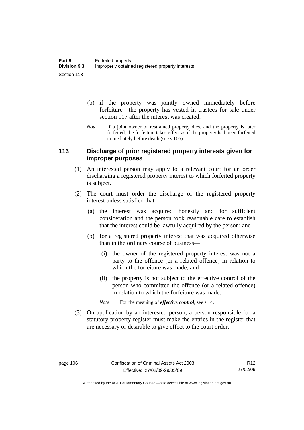- (b) if the property was jointly owned immediately before forfeiture—the property has vested in trustees for sale under section 117 after the interest was created.
- *Note* If a joint owner of restrained property dies, and the property is later forfeited, the forfeiture takes effect as if the property had been forfeited immediately before death (see s 106).

## **113 Discharge of prior registered property interests given for improper purposes**

- (1) An interested person may apply to a relevant court for an order discharging a registered property interest to which forfeited property is subject.
- (2) The court must order the discharge of the registered property interest unless satisfied that—
	- (a) the interest was acquired honestly and for sufficient consideration and the person took reasonable care to establish that the interest could be lawfully acquired by the person; and
	- (b) for a registered property interest that was acquired otherwise than in the ordinary course of business—
		- (i) the owner of the registered property interest was not a party to the offence (or a related offence) in relation to which the forfeiture was made; and
		- (ii) the property is not subject to the effective control of the person who committed the offence (or a related offence) in relation to which the forfeiture was made.
		- *Note* For the meaning of *effective control*, see s 14.
- (3) On application by an interested person, a person responsible for a statutory property register must make the entries in the register that are necessary or desirable to give effect to the court order.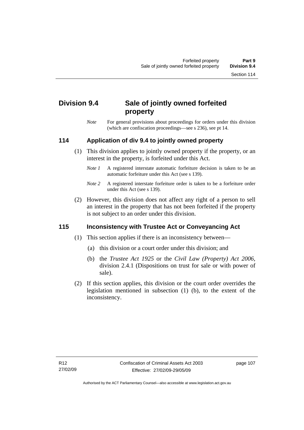# **Division 9.4 Sale of jointly owned forfeited property**

*Note* For general provisions about proceedings for orders under this division (which are confiscation proceedings—see s 236), see pt 14.

## **114 Application of div 9.4 to jointly owned property**

- (1) This division applies to jointly owned property if the property, or an interest in the property, is forfeited under this Act.
	- *Note 1* A registered interstate automatic forfeiture decision is taken to be an automatic forfeiture under this Act (see s 139).
	- *Note 2* A registered interstate forfeiture order is taken to be a forfeiture order under this Act (see s 139).
- (2) However, this division does not affect any right of a person to sell an interest in the property that has not been forfeited if the property is not subject to an order under this division.

## **115 Inconsistency with Trustee Act or Conveyancing Act**

- (1) This section applies if there is an inconsistency between—
	- (a) this division or a court order under this division; and
	- (b) the *Trustee Act 1925* or the *Civil Law (Property) Act 2006*, division 2.4.1 (Dispositions on trust for sale or with power of sale).
- (2) If this section applies, this division or the court order overrides the legislation mentioned in subsection (1) (b), to the extent of the inconsistency.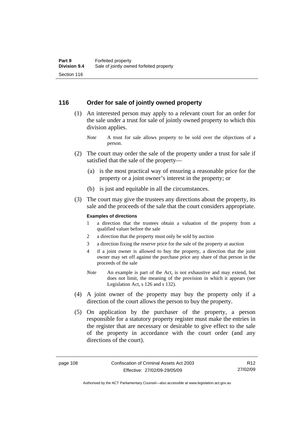### **116 Order for sale of jointly owned property**

- (1) An interested person may apply to a relevant court for an order for the sale under a trust for sale of jointly owned property to which this division applies.
	- *Note* A trust for sale allows property to be sold over the objections of a person.
- (2) The court may order the sale of the property under a trust for sale if satisfied that the sale of the property—
	- (a) is the most practical way of ensuring a reasonable price for the property or a joint owner's interest in the property; or
	- (b) is just and equitable in all the circumstances.
- (3) The court may give the trustees any directions about the property, its sale and the proceeds of the sale that the court considers appropriate.

#### **Examples of directions**

- 1 a direction that the trustees obtain a valuation of the property from a qualified valuer before the sale
- 2 a direction that the property must only be sold by auction
- 3 a direction fixing the reserve price for the sale of the property at auction
- 4 if a joint owner is allowed to buy the property, a direction that the joint owner may set off against the purchase price any share of that person in the proceeds of the sale
- *Note* An example is part of the Act, is not exhaustive and may extend, but does not limit, the meaning of the provision in which it appears (see Legislation Act, s 126 and s 132).
- (4) A joint owner of the property may buy the property only if a direction of the court allows the person to buy the property.
- (5) On application by the purchaser of the property, a person responsible for a statutory property register must make the entries in the register that are necessary or desirable to give effect to the sale of the property in accordance with the court order (and any directions of the court).

R12 27/02/09

Authorised by the ACT Parliamentary Counsel—also accessible at www.legislation.act.gov.au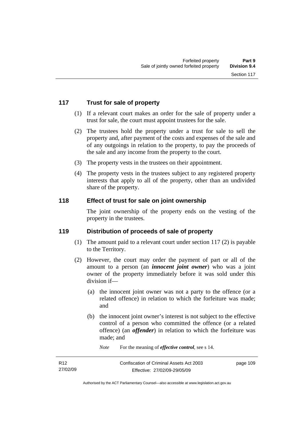## **117 Trust for sale of property**

- (1) If a relevant court makes an order for the sale of property under a trust for sale, the court must appoint trustees for the sale.
- (2) The trustees hold the property under a trust for sale to sell the property and, after payment of the costs and expenses of the sale and of any outgoings in relation to the property, to pay the proceeds of the sale and any income from the property to the court.
- (3) The property vests in the trustees on their appointment.
- (4) The property vests in the trustees subject to any registered property interests that apply to all of the property, other than an undivided share of the property.

## **118 Effect of trust for sale on joint ownership**

The joint ownership of the property ends on the vesting of the property in the trustees.

#### **119 Distribution of proceeds of sale of property**

- (1) The amount paid to a relevant court under section 117 (2) is payable to the Territory.
- (2) However, the court may order the payment of part or all of the amount to a person (an *innocent joint owner*) who was a joint owner of the property immediately before it was sold under this division if—
	- (a) the innocent joint owner was not a party to the offence (or a related offence) in relation to which the forfeiture was made; and
	- (b) the innocent joint owner's interest is not subject to the effective control of a person who committed the offence (or a related offence) (an *offender*) in relation to which the forfeiture was made; and
		- *Note* For the meaning of *effective control*, see s 14.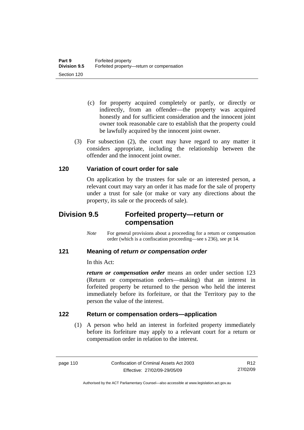- (c) for property acquired completely or partly, or directly or indirectly, from an offender—the property was acquired honestly and for sufficient consideration and the innocent joint owner took reasonable care to establish that the property could be lawfully acquired by the innocent joint owner.
- (3) For subsection (2), the court may have regard to any matter it considers appropriate, including the relationship between the offender and the innocent joint owner.

## **120 Variation of court order for sale**

On application by the trustees for sale or an interested person, a relevant court may vary an order it has made for the sale of property under a trust for sale (or make or vary any directions about the property, its sale or the proceeds of sale).

# **Division 9.5 Forfeited property—return or compensation**

*Note* For general provisions about a proceeding for a return or compensation order (which is a confiscation proceeding—see s 236), see pt 14.

#### **121 Meaning of** *return or compensation order*

In this Act:

*return or compensation order* means an order under section 123 (Return or compensation orders—making) that an interest in forfeited property be returned to the person who held the interest immediately before its forfeiture, or that the Territory pay to the person the value of the interest.

## **122 Return or compensation orders—application**

 (1) A person who held an interest in forfeited property immediately before its forfeiture may apply to a relevant court for a return or compensation order in relation to the interest.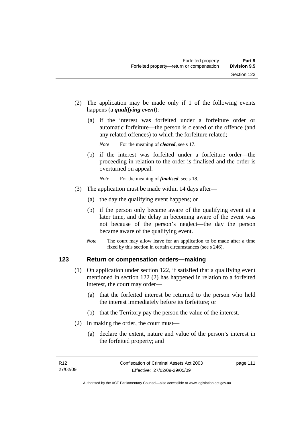- (2) The application may be made only if 1 of the following events happens (a *qualifying event*):
	- (a) if the interest was forfeited under a forfeiture order or automatic forfeiture—the person is cleared of the offence (and any related offences) to which the forfeiture related;

*Note* For the meaning of *cleared*, see s 17.

 (b) if the interest was forfeited under a forfeiture order—the proceeding in relation to the order is finalised and the order is overturned on appeal.

*Note* For the meaning of *finalised*, see s 18.

- (3) The application must be made within 14 days after—
	- (a) the day the qualifying event happens; or
	- (b) if the person only became aware of the qualifying event at a later time, and the delay in becoming aware of the event was not because of the person's neglect—the day the person became aware of the qualifying event.
	- *Note* The court may allow leave for an application to be made after a time fixed by this section in certain circumstances (see s 246).

#### **123 Return or compensation orders—making**

- (1) On application under section 122, if satisfied that a qualifying event mentioned in section 122 (2) has happened in relation to a forfeited interest, the court may order—
	- (a) that the forfeited interest be returned to the person who held the interest immediately before its forfeiture; or
	- (b) that the Territory pay the person the value of the interest.
- (2) In making the order, the court must—
	- (a) declare the extent, nature and value of the person's interest in the forfeited property; and

page 111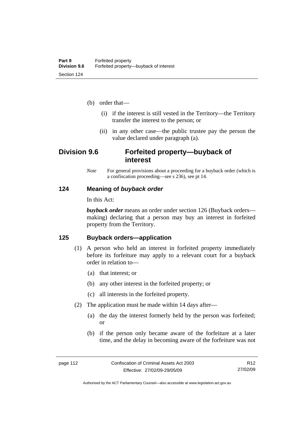- (b) order that—
	- (i) if the interest is still vested in the Territory—the Territory transfer the interest to the person; or
	- (ii) in any other case—the public trustee pay the person the value declared under paragraph (a).

# **Division 9.6 Forfeited property—buyback of interest**

*Note* For general provisions about a proceeding for a buyback order (which is a confiscation proceeding—see s 236), see pt 14.

#### **124 Meaning of** *buyback order*

In this Act:

*buyback order* means an order under section 126 (Buyback orders making) declaring that a person may buy an interest in forfeited property from the Territory.

## **125 Buyback orders—application**

- (1) A person who held an interest in forfeited property immediately before its forfeiture may apply to a relevant court for a buyback order in relation to—
	- (a) that interest; or
	- (b) any other interest in the forfeited property; or
	- (c) all interests in the forfeited property.
- (2) The application must be made within 14 days after—
	- (a) the day the interest formerly held by the person was forfeited; or
	- (b) if the person only became aware of the forfeiture at a later time, and the delay in becoming aware of the forfeiture was not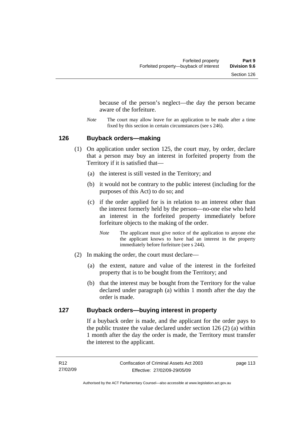because of the person's neglect—the day the person became aware of the forfeiture.

*Note* The court may allow leave for an application to be made after a time fixed by this section in certain circumstances (see s 246).

#### **126 Buyback orders—making**

- (1) On application under section 125, the court may, by order, declare that a person may buy an interest in forfeited property from the Territory if it is satisfied that—
	- (a) the interest is still vested in the Territory; and
	- (b) it would not be contrary to the public interest (including for the purposes of this Act) to do so; and
	- (c) if the order applied for is in relation to an interest other than the interest formerly held by the person—no-one else who held an interest in the forfeited property immediately before forfeiture objects to the making of the order.
		- *Note* The applicant must give notice of the application to anyone else the applicant knows to have had an interest in the property immediately before forfeiture (see s 244).
- (2) In making the order, the court must declare—
	- (a) the extent, nature and value of the interest in the forfeited property that is to be bought from the Territory; and
	- (b) that the interest may be bought from the Territory for the value declared under paragraph (a) within 1 month after the day the order is made.

### **127 Buyback orders—buying interest in property**

If a buyback order is made, and the applicant for the order pays to the public trustee the value declared under section 126 (2) (a) within 1 month after the day the order is made, the Territory must transfer the interest to the applicant.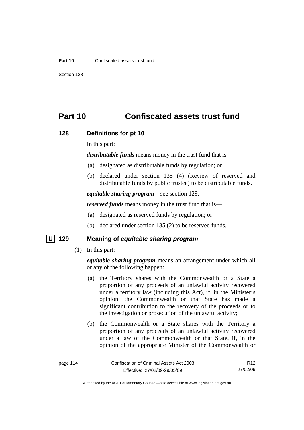# **Part 10 Confiscated assets trust fund**

#### **128 Definitions for pt 10**

In this part:

*distributable funds* means money in the trust fund that is—

- (a) designated as distributable funds by regulation; or
- (b) declared under section 135 (4) (Review of reserved and distributable funds by public trustee) to be distributable funds.

*equitable sharing program*—see section 129.

*reserved funds* means money in the trust fund that is—

- (a) designated as reserved funds by regulation; or
- (b) declared under section 135 (2) to be reserved funds.

#### **U 129 Meaning of** *equitable sharing program*

(1) In this part:

*equitable sharing program* means an arrangement under which all or any of the following happen:

- (a) the Territory shares with the Commonwealth or a State a proportion of any proceeds of an unlawful activity recovered under a territory law (including this Act), if, in the Minister's opinion, the Commonwealth or that State has made a significant contribution to the recovery of the proceeds or to the investigation or prosecution of the unlawful activity;
- (b) the Commonwealth or a State shares with the Territory a proportion of any proceeds of an unlawful activity recovered under a law of the Commonwealth or that State, if, in the opinion of the appropriate Minister of the Commonwealth or

R12 27/02/09

Authorised by the ACT Parliamentary Counsel—also accessible at www.legislation.act.gov.au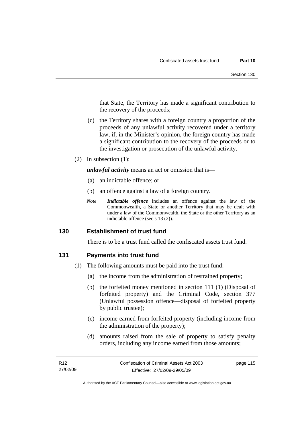that State, the Territory has made a significant contribution to the recovery of the proceeds;

- (c) the Territory shares with a foreign country a proportion of the proceeds of any unlawful activity recovered under a territory law, if, in the Minister's opinion, the foreign country has made a significant contribution to the recovery of the proceeds or to the investigation or prosecution of the unlawful activity.
- (2) In subsection (1):

*unlawful activity* means an act or omission that is—

- (a) an indictable offence; or
- (b) an offence against a law of a foreign country.
- *Note Indictable offence* includes an offence against the law of the Commonwealth, a State or another Territory that may be dealt with under a law of the Commonwealth, the State or the other Territory as an indictable offence (see s 13 (2)).

#### **130 Establishment of trust fund**

There is to be a trust fund called the confiscated assets trust fund.

## **131 Payments into trust fund**

- (1) The following amounts must be paid into the trust fund:
	- (a) the income from the administration of restrained property;
	- (b) the forfeited money mentioned in section 111 (1) (Disposal of forfeited property) and the Criminal Code, section 377 (Unlawful possession offence—disposal of forfeited property by public trustee);
	- (c) income earned from forfeited property (including income from the administration of the property);
	- (d) amounts raised from the sale of property to satisfy penalty orders, including any income earned from those amounts;

page 115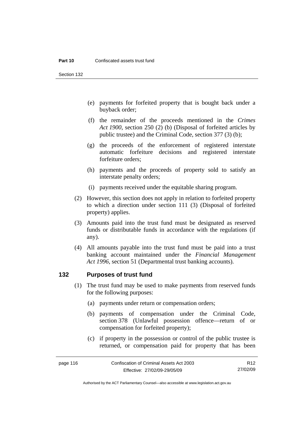Section 132

- (e) payments for forfeited property that is bought back under a buyback order;
- (f) the remainder of the proceeds mentioned in the *Crimes Act 1900*, section 250 (2) (b) (Disposal of forfeited articles by public trustee) and the Criminal Code, section 377 (3) (b);
- (g) the proceeds of the enforcement of registered interstate automatic forfeiture decisions and registered interstate forfeiture orders;
- (h) payments and the proceeds of property sold to satisfy an interstate penalty orders;
- (i) payments received under the equitable sharing program.
- (2) However, this section does not apply in relation to forfeited property to which a direction under section 111 (3) (Disposal of forfeited property) applies.
- (3) Amounts paid into the trust fund must be designated as reserved funds or distributable funds in accordance with the regulations (if any).
- (4) All amounts payable into the trust fund must be paid into a trust banking account maintained under the *Financial Management Act 1996*, section 51 (Departmental trust banking accounts).

#### **132 Purposes of trust fund**

- (1) The trust fund may be used to make payments from reserved funds for the following purposes:
	- (a) payments under return or compensation orders;
	- (b) payments of compensation under the Criminal Code, section 378 (Unlawful possession offence—return of or compensation for forfeited property);
	- (c) if property in the possession or control of the public trustee is returned, or compensation paid for property that has been

R12 27/02/09

Authorised by the ACT Parliamentary Counsel—also accessible at www.legislation.act.gov.au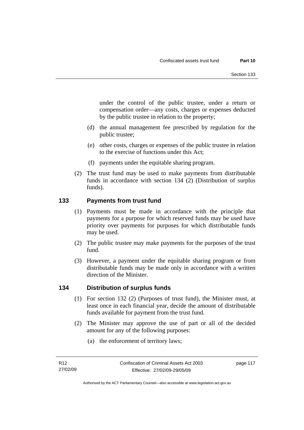under the control of the public trustee, under a return or compensation order—any costs, charges or expenses deducted by the public trustee in relation to the property;

- (d) the annual management fee prescribed by regulation for the public trustee;
- (e) other costs, charges or expenses of the public trustee in relation to the exercise of functions under this Act;
- (f) payments under the equitable sharing program.
- (2) The trust fund may be used to make payments from distributable funds in accordance with section 134 (2) (Distribution of surplus funds).

## **133 Payments from trust fund**

- (1) Payments must be made in accordance with the principle that payments for a purpose for which reserved funds may be used have priority over payments for purposes for which distributable funds may be used.
- (2) The public trustee may make payments for the purposes of the trust fund.
- (3) However, a payment under the equitable sharing program or from distributable funds may be made only in accordance with a written direction of the Minister.

## **134 Distribution of surplus funds**

- (1) For section 132 (2) (Purposes of trust fund), the Minister must, at least once in each financial year, decide the amount of distributable funds available for payment from the trust fund.
- (2) The Minister may approve the use of part or all of the decided amount for any of the following purposes:
	- (a) the enforcement of territory laws;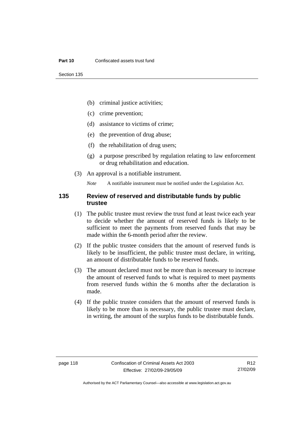- (b) criminal justice activities;
- (c) crime prevention;
- (d) assistance to victims of crime;
- (e) the prevention of drug abuse;
- (f) the rehabilitation of drug users;
- (g) a purpose prescribed by regulation relating to law enforcement or drug rehabilitation and education.
- (3) An approval is a notifiable instrument.

*Note* A notifiable instrument must be notified under the Legislation Act.

#### **135 Review of reserved and distributable funds by public trustee**

- (1) The public trustee must review the trust fund at least twice each year to decide whether the amount of reserved funds is likely to be sufficient to meet the payments from reserved funds that may be made within the 6-month period after the review.
- (2) If the public trustee considers that the amount of reserved funds is likely to be insufficient, the public trustee must declare, in writing, an amount of distributable funds to be reserved funds.
- (3) The amount declared must not be more than is necessary to increase the amount of reserved funds to what is required to meet payments from reserved funds within the 6 months after the declaration is made.
- (4) If the public trustee considers that the amount of reserved funds is likely to be more than is necessary, the public trustee must declare, in writing, the amount of the surplus funds to be distributable funds.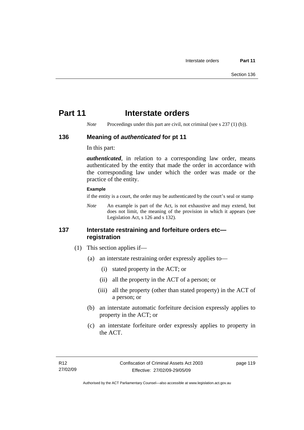# **Part 11** Interstate orders

*Note* Proceedings under this part are civil, not criminal (see s 237 (1) (b)).

#### **136 Meaning of** *authenticated* **for pt 11**

In this part:

*authenticated*, in relation to a corresponding law order, means authenticated by the entity that made the order in accordance with the corresponding law under which the order was made or the practice of the entity.

#### **Example**

if the entity is a court, the order may be authenticated by the court's seal or stamp

*Note* An example is part of the Act, is not exhaustive and may extend, but does not limit, the meaning of the provision in which it appears (see Legislation Act, s 126 and s 132).

## **137 Interstate restraining and forfeiture orders etc registration**

- (1) This section applies if—
	- (a) an interstate restraining order expressly applies to—
		- (i) stated property in the ACT; or
		- (ii) all the property in the ACT of a person; or
		- (iii) all the property (other than stated property) in the ACT of a person; or
	- (b) an interstate automatic forfeiture decision expressly applies to property in the ACT; or
	- (c) an interstate forfeiture order expressly applies to property in the ACT.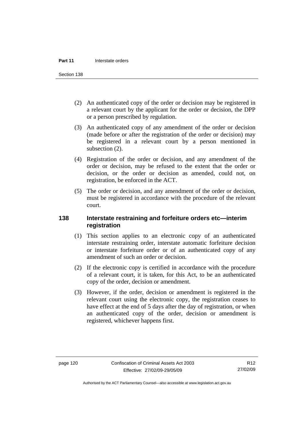Section 138

- (2) An authenticated copy of the order or decision may be registered in a relevant court by the applicant for the order or decision, the DPP or a person prescribed by regulation.
- (3) An authenticated copy of any amendment of the order or decision (made before or after the registration of the order or decision) may be registered in a relevant court by a person mentioned in subsection  $(2)$ .
- (4) Registration of the order or decision, and any amendment of the order or decision, may be refused to the extent that the order or decision, or the order or decision as amended, could not, on registration, be enforced in the ACT.
- (5) The order or decision, and any amendment of the order or decision, must be registered in accordance with the procedure of the relevant court.

## **138 Interstate restraining and forfeiture orders etc—interim registration**

- (1) This section applies to an electronic copy of an authenticated interstate restraining order, interstate automatic forfeiture decision or interstate forfeiture order or of an authenticated copy of any amendment of such an order or decision.
- (2) If the electronic copy is certified in accordance with the procedure of a relevant court, it is taken, for this Act, to be an authenticated copy of the order, decision or amendment.
- (3) However, if the order, decision or amendment is registered in the relevant court using the electronic copy, the registration ceases to have effect at the end of 5 days after the day of registration, or when an authenticated copy of the order, decision or amendment is registered, whichever happens first.

R12 27/02/09

Authorised by the ACT Parliamentary Counsel—also accessible at www.legislation.act.gov.au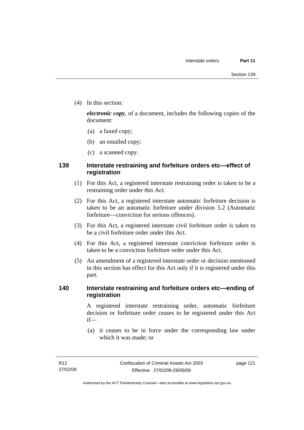(4) In this section:

*electronic copy*, of a document, includes the following copies of the document:

- (a) a faxed copy;
- (b) an emailed copy;
- (c) a scanned copy.

## **139 Interstate restraining and forfeiture orders etc—effect of registration**

- (1) For this Act, a registered interstate restraining order is taken to be a restraining order under this Act.
- (2) For this Act, a registered interstate automatic forfeiture decision is taken to be an automatic forfeiture under division 5.2 (Automatic forfeiture—conviction for serious offences).
- (3) For this Act, a registered interstate civil forfeiture order is taken to be a civil forfeiture order under this Act.
- (4) For this Act, a registered interstate conviction forfeiture order is taken to be a conviction forfeiture order under this Act.
- (5) An amendment of a registered interstate order or decision mentioned in this section has effect for this Act only if it is registered under this part.

## **140 Interstate restraining and forfeiture orders etc—ending of registration**

A registered interstate restraining order, automatic forfeiture decision or forfeiture order ceases to be registered under this Act if—

 (a) it ceases to be in force under the corresponding law under which it was made; or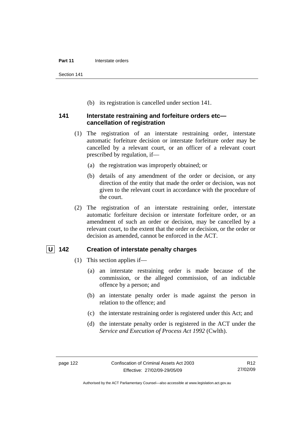Section 141

(b) its registration is cancelled under section 141.

#### **141 Interstate restraining and forfeiture orders etc cancellation of registration**

- (1) The registration of an interstate restraining order, interstate automatic forfeiture decision or interstate forfeiture order may be cancelled by a relevant court, or an officer of a relevant court prescribed by regulation, if—
	- (a) the registration was improperly obtained; or
	- (b) details of any amendment of the order or decision, or any direction of the entity that made the order or decision, was not given to the relevant court in accordance with the procedure of the court.
- (2) The registration of an interstate restraining order, interstate automatic forfeiture decision or interstate forfeiture order, or an amendment of such an order or decision, may be cancelled by a relevant court, to the extent that the order or decision, or the order or decision as amended, cannot be enforced in the ACT.

## **U 142 Creation of interstate penalty charges**

- (1) This section applies if—
	- (a) an interstate restraining order is made because of the commission, or the alleged commission, of an indictable offence by a person; and
	- (b) an interstate penalty order is made against the person in relation to the offence; and
	- (c) the interstate restraining order is registered under this Act; and
	- (d) the interstate penalty order is registered in the ACT under the *Service and Execution of Process Act 1992* (Cwlth).

Authorised by the ACT Parliamentary Counsel—also accessible at www.legislation.act.gov.au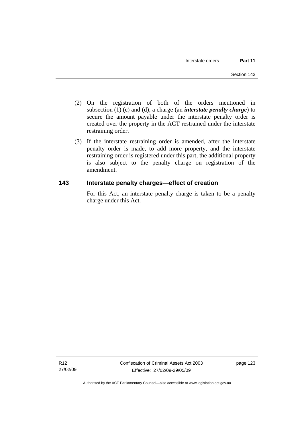- (2) On the registration of both of the orders mentioned in subsection (1) (c) and (d), a charge (an *interstate penalty charge*) to secure the amount payable under the interstate penalty order is created over the property in the ACT restrained under the interstate restraining order.
- (3) If the interstate restraining order is amended, after the interstate penalty order is made, to add more property, and the interstate restraining order is registered under this part, the additional property is also subject to the penalty charge on registration of the amendment.

## **143 Interstate penalty charges—effect of creation**

For this Act, an interstate penalty charge is taken to be a penalty charge under this Act.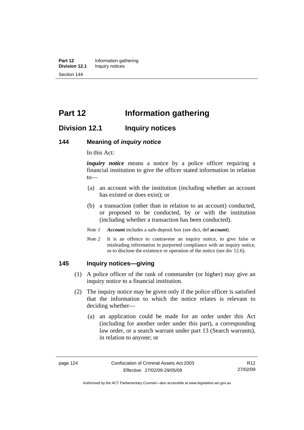**Part 12** Information gathering<br>**Division 12.1** Inquiry notices **Inquiry notices** Section 144

# **Part 12 Information gathering**

# **Division 12.1 Inquiry notices**

#### **144 Meaning of** *inquiry notice*

In this Act:

*inquiry notice* means a notice by a police officer requiring a financial institution to give the officer stated information in relation to—

- (a) an account with the institution (including whether an account has existed or does exist); or
- (b) a transaction (other than in relation to an account) conducted, or proposed to be conducted, by or with the institution (including whether a transaction has been conducted).
- *Note 1 Account* includes a safe-deposit box (see dict, def *account*).
- *Note* 2 It is an offence to contravene an inquiry notice, to give false or misleading information in purported compliance with an inquiry notice, or to disclose the existence or operation of the notice (see div 12.6).

## **145 Inquiry notices—giving**

- (1) A police officer of the rank of commander (or higher) may give an inquiry notice to a financial institution.
- (2) The inquiry notice may be given only if the police officer is satisfied that the information to which the notice relates is relevant to deciding whether—
	- (a) an application could be made for an order under this Act (including for another order under this part), a corresponding law order, or a search warrant under part 13 (Search warrants), in relation to anyone; or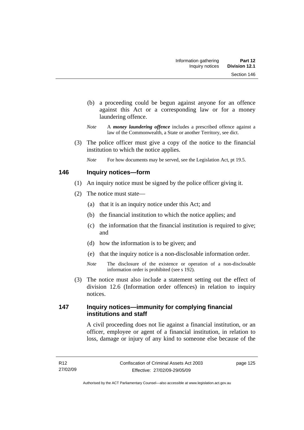- (b) a proceeding could be begun against anyone for an offence against this Act or a corresponding law or for a money laundering offence.
- *Note* A *money laundering offence* includes a prescribed offence against a law of the Commonwealth, a State or another Territory, see dict.
- (3) The police officer must give a copy of the notice to the financial institution to which the notice applies.
	- *Note* For how documents may be served, see the Legislation Act, pt 19.5.

## **146 Inquiry notices—form**

- (1) An inquiry notice must be signed by the police officer giving it.
- (2) The notice must state—
	- (a) that it is an inquiry notice under this Act; and
	- (b) the financial institution to which the notice applies; and
	- (c) the information that the financial institution is required to give; and
	- (d) how the information is to be given; and
	- (e) that the inquiry notice is a non-disclosable information order.
	- *Note* The disclosure of the existence or operation of a non-disclosable information order is prohibited (see s 192).
- (3) The notice must also include a statement setting out the effect of division 12.6 (Information order offences) in relation to inquiry notices.

## **147 Inquiry notices—immunity for complying financial institutions and staff**

A civil proceeding does not lie against a financial institution, or an officer, employee or agent of a financial institution, in relation to loss, damage or injury of any kind to someone else because of the

page 125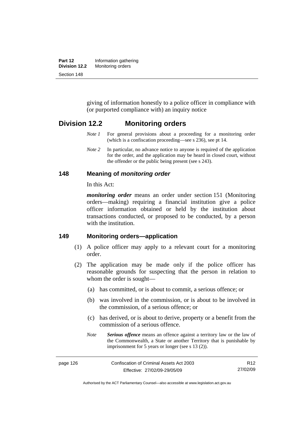| Part 12       | Information gathering |
|---------------|-----------------------|
| Division 12.2 | Monitoring orders     |
| Section 148   |                       |

giving of information honestly to a police officer in compliance with (or purported compliance with) an inquiry notice

## **Division 12.2 Monitoring orders**

- *Note 1* For general provisions about a proceeding for a monitoring order (which is a confiscation proceeding—see s 236), see pt 14.
- *Note 2* In particular, no advance notice to anyone is required of the application for the order, and the application may be heard in closed court, without the offender or the public being present (see s 243).

#### **148 Meaning of** *monitoring order*

In this Act:

*monitoring order* means an order under section 151 (Monitoring orders—making) requiring a financial institution give a police officer information obtained or held by the institution about transactions conducted, or proposed to be conducted, by a person with the institution.

#### **149 Monitoring orders—application**

- (1) A police officer may apply to a relevant court for a monitoring order.
- (2) The application may be made only if the police officer has reasonable grounds for suspecting that the person in relation to whom the order is sought—
	- (a) has committed, or is about to commit, a serious offence; or
	- (b) was involved in the commission, or is about to be involved in the commission, of a serious offence; or
	- (c) has derived, or is about to derive, property or a benefit from the commission of a serious offence.
	- *Note Serious offence* means an offence against a territory law or the law of the Commonwealth, a State or another Territory that is punishable by imprisonment for 5 years or longer (see s 13 (2)).

page 126 Confiscation of Criminal Assets Act 2003 Effective: 27/02/09-29/05/09 R12 27/02/09

Authorised by the ACT Parliamentary Counsel—also accessible at www.legislation.act.gov.au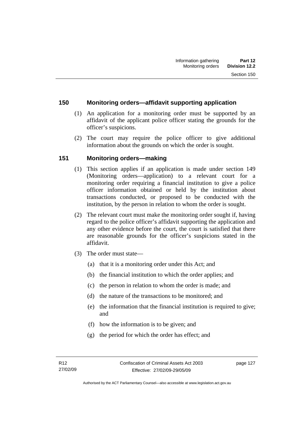## **150 Monitoring orders—affidavit supporting application**

- (1) An application for a monitoring order must be supported by an affidavit of the applicant police officer stating the grounds for the officer's suspicions.
- (2) The court may require the police officer to give additional information about the grounds on which the order is sought.

## **151 Monitoring orders—making**

- (1) This section applies if an application is made under section 149 (Monitoring orders—application) to a relevant court for a monitoring order requiring a financial institution to give a police officer information obtained or held by the institution about transactions conducted, or proposed to be conducted with the institution, by the person in relation to whom the order is sought.
- (2) The relevant court must make the monitoring order sought if, having regard to the police officer's affidavit supporting the application and any other evidence before the court, the court is satisfied that there are reasonable grounds for the officer's suspicions stated in the affidavit.
- (3) The order must state—
	- (a) that it is a monitoring order under this Act; and
	- (b) the financial institution to which the order applies; and
	- (c) the person in relation to whom the order is made; and
	- (d) the nature of the transactions to be monitored; and
	- (e) the information that the financial institution is required to give; and
	- (f) how the information is to be given; and
	- (g) the period for which the order has effect; and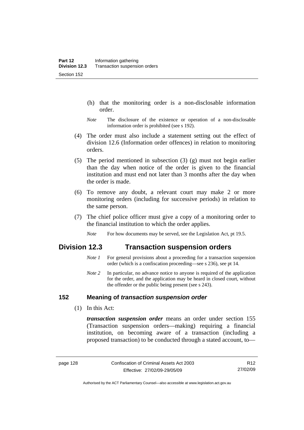- (h) that the monitoring order is a non-disclosable information order.
- *Note* The disclosure of the existence or operation of a non-disclosable information order is prohibited (see s 192).
- (4) The order must also include a statement setting out the effect of division 12.6 (Information order offences) in relation to monitoring orders.
- (5) The period mentioned in subsection (3) (g) must not begin earlier than the day when notice of the order is given to the financial institution and must end not later than 3 months after the day when the order is made.
- (6) To remove any doubt, a relevant court may make 2 or more monitoring orders (including for successive periods) in relation to the same person.
- (7) The chief police officer must give a copy of a monitoring order to the financial institution to which the order applies.
	- *Note* For how documents may be served, see the Legislation Act, pt 19.5.

# **Division 12.3 Transaction suspension orders**

- *Note 1* For general provisions about a proceeding for a transaction suspension order (which is a confiscation proceeding—see s 236), see pt 14.
- *Note 2* In particular, no advance notice to anyone is required of the application for the order, and the application may be heard in closed court, without the offender or the public being present (see s 243).

### **152 Meaning of** *transaction suspension order*

(1) In this Act:

*transaction suspension order* means an order under section 155 (Transaction suspension orders—making) requiring a financial institution, on becoming aware of a transaction (including a proposed transaction) to be conducted through a stated account, to—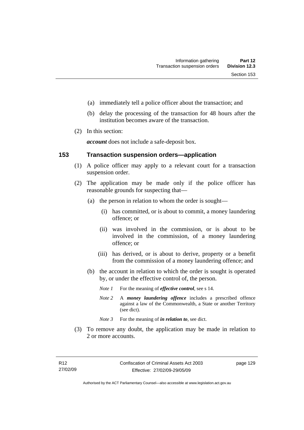- (a) immediately tell a police officer about the transaction; and
- (b) delay the processing of the transaction for 48 hours after the institution becomes aware of the transaction.
- (2) In this section:

*account* does not include a safe-deposit box.

#### **153 Transaction suspension orders—application**

- (1) A police officer may apply to a relevant court for a transaction suspension order.
- (2) The application may be made only if the police officer has reasonable grounds for suspecting that—
	- (a) the person in relation to whom the order is sought—
		- (i) has committed, or is about to commit, a money laundering offence; or
		- (ii) was involved in the commission, or is about to be involved in the commission, of a money laundering offence; or
		- (iii) has derived, or is about to derive, property or a benefit from the commission of a money laundering offence; and
	- (b) the account in relation to which the order is sought is operated by, or under the effective control of, the person.
		- *Note 1* For the meaning of *effective control*, see s 14.
		- *Note 2* A *money laundering offence* includes a prescribed offence against a law of the Commonwealth, a State or another Territory (see dict).
		- *Note* 3 For the meaning of *in relation to*, see dict.
- (3) To remove any doubt, the application may be made in relation to 2 or more accounts.

page 129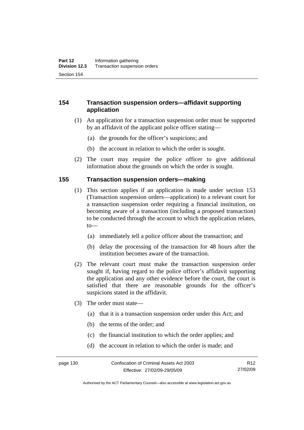## **154 Transaction suspension orders—affidavit supporting application**

- (1) An application for a transaction suspension order must be supported by an affidavit of the applicant police officer stating—
	- (a) the grounds for the officer's suspicions; and
	- (b) the account in relation to which the order is sought.
- (2) The court may require the police officer to give additional information about the grounds on which the order is sought.

#### **155 Transaction suspension orders—making**

- (1) This section applies if an application is made under section 153 (Transaction suspension orders—application) to a relevant court for a transaction suspension order requiring a financial institution, on becoming aware of a transaction (including a proposed transaction) to be conducted through the account to which the application relates, to—
	- (a) immediately tell a police officer about the transaction; and
	- (b) delay the processing of the transaction for 48 hours after the institution becomes aware of the transaction.
- (2) The relevant court must make the transaction suspension order sought if, having regard to the police officer's affidavit supporting the application and any other evidence before the court, the court is satisfied that there are reasonable grounds for the officer's suspicions stated in the affidavit.
- (3) The order must state—
	- (a) that it is a transaction suspension order under this Act; and
	- (b) the terms of the order; and
	- (c) the financial institution to which the order applies; and
	- (d) the account in relation to which the order is made; and

Authorised by the ACT Parliamentary Counsel—also accessible at www.legislation.act.gov.au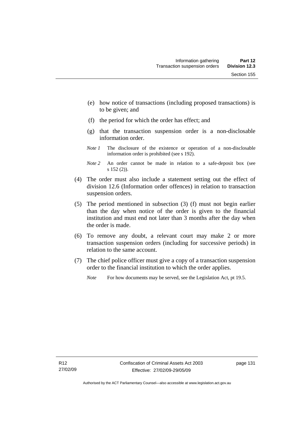- (e) how notice of transactions (including proposed transactions) is to be given; and
- (f) the period for which the order has effect; and
- (g) that the transaction suspension order is a non-disclosable information order.
- *Note 1* The disclosure of the existence or operation of a non-disclosable information order is prohibited (see s 192).
- *Note 2* An order cannot be made in relation to a safe-deposit box (see s 152 (2)).
- (4) The order must also include a statement setting out the effect of division 12.6 (Information order offences) in relation to transaction suspension orders.
- (5) The period mentioned in subsection (3) (f) must not begin earlier than the day when notice of the order is given to the financial institution and must end not later than 3 months after the day when the order is made.
- (6) To remove any doubt, a relevant court may make 2 or more transaction suspension orders (including for successive periods) in relation to the same account.
- (7) The chief police officer must give a copy of a transaction suspension order to the financial institution to which the order applies.
	- *Note* For how documents may be served, see the Legislation Act, pt 19.5.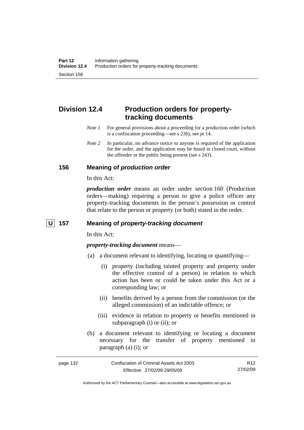# **Division 12.4 Production orders for propertytracking documents**

- *Note 1* For general provisions about a proceeding for a production order (which is a confiscation proceeding—see s 236), see pt 14.
- *Note 2* In particular, no advance notice to anyone is required of the application for the order, and the application may be heard in closed court, without the offender or the public being present (see s 243).

# **156 Meaning of** *production order*

In this Act:

*production order* means an order under section 160 (Production orders—making) requiring a person to give a police officer any property-tracking documents in the person's possession or control that relate to the person or property (or both) stated in the order.

# **U 157 Meaning of** *property-tracking document*

In this Act:

*property-tracking document* means—

- (a) a document relevant to identifying, locating or quantifying—
	- (i) property (including tainted property and property under the effective control of a person) in relation to which action has been or could be taken under this Act or a corresponding law; or
	- (ii) benefits derived by a person from the commission (or the alleged commission) of an indictable offence; or
	- (iii) evidence in relation to property or benefits mentioned in subparagraph (i) or (ii); or
- (b) a document relevant to identifying or locating a document necessary for the transfer of property mentioned in paragraph (a) (i); or

Authorised by the ACT Parliamentary Counsel—also accessible at www.legislation.act.gov.au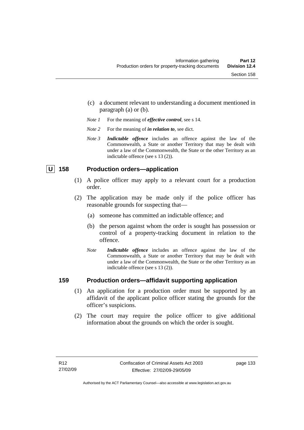- (c) a document relevant to understanding a document mentioned in paragraph (a) or (b).
- *Note 1* For the meaning of *effective control*, see s 14.
- *Note 2* For the meaning of *in relation to*, see dict.
- *Note 3 Indictable offence* includes an offence against the law of the Commonwealth, a State or another Territory that may be dealt with under a law of the Commonwealth, the State or the other Territory as an indictable offence (see s 13 (2)).

# **U** 158 Production orders—application

- (1) A police officer may apply to a relevant court for a production order.
- (2) The application may be made only if the police officer has reasonable grounds for suspecting that—
	- (a) someone has committed an indictable offence; and
	- (b) the person against whom the order is sought has possession or control of a property-tracking document in relation to the offence.
	- *Note Indictable offence* includes an offence against the law of the Commonwealth, a State or another Territory that may be dealt with under a law of the Commonwealth, the State or the other Territory as an indictable offence (see s 13 (2)).

### **159 Production orders—affidavit supporting application**

- (1) An application for a production order must be supported by an affidavit of the applicant police officer stating the grounds for the officer's suspicions.
- (2) The court may require the police officer to give additional information about the grounds on which the order is sought.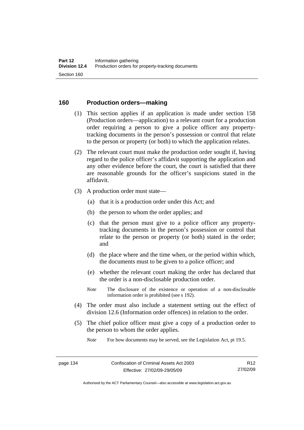# **160 Production orders—making**

- (1) This section applies if an application is made under section 158 (Production orders—application) to a relevant court for a production order requiring a person to give a police officer any propertytracking documents in the person's possession or control that relate to the person or property (or both) to which the application relates.
- (2) The relevant court must make the production order sought if, having regard to the police officer's affidavit supporting the application and any other evidence before the court, the court is satisfied that there are reasonable grounds for the officer's suspicions stated in the affidavit.
- (3) A production order must state—
	- (a) that it is a production order under this Act; and
	- (b) the person to whom the order applies; and
	- (c) that the person must give to a police officer any propertytracking documents in the person's possession or control that relate to the person or property (or both) stated in the order; and
	- (d) the place where and the time when, or the period within which, the documents must to be given to a police officer; and
	- (e) whether the relevant court making the order has declared that the order is a non-disclosable production order.
	- *Note* The disclosure of the existence or operation of a non-disclosable information order is prohibited (see s 192).
- (4) The order must also include a statement setting out the effect of division 12.6 (Information order offences) in relation to the order.
- (5) The chief police officer must give a copy of a production order to the person to whom the order applies.

*Note* For how documents may be served, see the Legislation Act, pt 19.5.

R12 27/02/09

Authorised by the ACT Parliamentary Counsel—also accessible at www.legislation.act.gov.au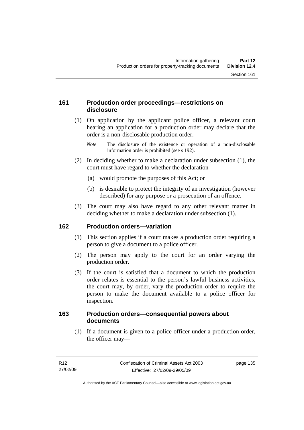# **161 Production order proceedings—restrictions on disclosure**

 (1) On application by the applicant police officer, a relevant court hearing an application for a production order may declare that the order is a non-disclosable production order.

- (2) In deciding whether to make a declaration under subsection (1), the court must have regard to whether the declaration—
	- (a) would promote the purposes of this Act; or
	- (b) is desirable to protect the integrity of an investigation (however described) for any purpose or a prosecution of an offence.
- (3) The court may also have regard to any other relevant matter in deciding whether to make a declaration under subsection (1).

# **162 Production orders—variation**

- (1) This section applies if a court makes a production order requiring a person to give a document to a police officer.
- (2) The person may apply to the court for an order varying the production order.
- (3) If the court is satisfied that a document to which the production order relates is essential to the person's lawful business activities, the court may, by order, vary the production order to require the person to make the document available to a police officer for inspection.

# **163 Production orders—consequential powers about documents**

 (1) If a document is given to a police officer under a production order, the officer may—

*Note* The disclosure of the existence or operation of a non-disclosable information order is prohibited (see s 192).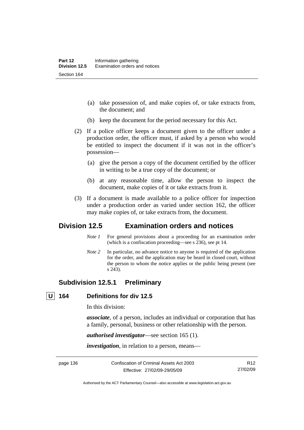- (a) take possession of, and make copies of, or take extracts from, the document; and
- (b) keep the document for the period necessary for this Act.
- (2) If a police officer keeps a document given to the officer under a production order, the officer must, if asked by a person who would be entitled to inspect the document if it was not in the officer's possession—
	- (a) give the person a copy of the document certified by the officer in writing to be a true copy of the document; or
	- (b) at any reasonable time, allow the person to inspect the document, make copies of it or take extracts from it.
- (3) If a document is made available to a police officer for inspection under a production order as varied under section 162, the officer may make copies of, or take extracts from, the document.

# **Division 12.5 Examination orders and notices**

- *Note 1* For general provisions about a proceeding for an examination order (which is a confiscation proceeding—see s 236), see pt 14.
- *Note 2* In particular, no advance notice to anyone is required of the application for the order, and the application may be heard in closed court, without the person to whom the notice applies or the public being present (see s 243).

# **Subdivision 12.5.1 Preliminary**

# **U 164 Definitions for div 12.5**

In this division:

*associate*, of a person, includes an individual or corporation that has a family, personal, business or other relationship with the person.

*authorised investigator*—see section 165 (1).

*investigation*, in relation to a person, means—

page 136 Confiscation of Criminal Assets Act 2003 Effective: 27/02/09-29/05/09

R12 27/02/09

Authorised by the ACT Parliamentary Counsel—also accessible at www.legislation.act.gov.au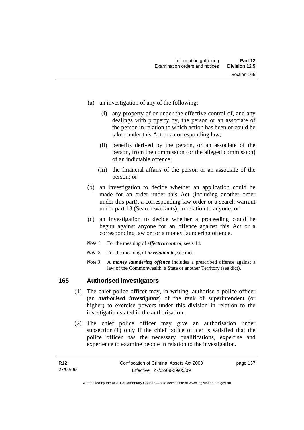- (a) an investigation of any of the following:
	- (i) any property of or under the effective control of, and any dealings with property by, the person or an associate of the person in relation to which action has been or could be taken under this Act or a corresponding law;
	- (ii) benefits derived by the person, or an associate of the person, from the commission (or the alleged commission) of an indictable offence;
	- (iii) the financial affairs of the person or an associate of the person; or
- (b) an investigation to decide whether an application could be made for an order under this Act (including another order under this part), a corresponding law order or a search warrant under part 13 (Search warrants), in relation to anyone; or
- (c) an investigation to decide whether a proceeding could be begun against anyone for an offence against this Act or a corresponding law or for a money laundering offence.
- *Note 1* For the meaning of *effective control*, see s 14.
- *Note* 2 For the meaning of *in relation to*, see dict.
- *Note 3* A *money laundering offence* includes a prescribed offence against a law of the Commonwealth, a State or another Territory (see dict).

# **165 Authorised investigators**

- (1) The chief police officer may, in writing, authorise a police officer (an *authorised investigator*) of the rank of superintendent (or higher) to exercise powers under this division in relation to the investigation stated in the authorisation.
- (2) The chief police officer may give an authorisation under subsection (1) only if the chief police officer is satisfied that the police officer has the necessary qualifications, expertise and experience to examine people in relation to the investigation.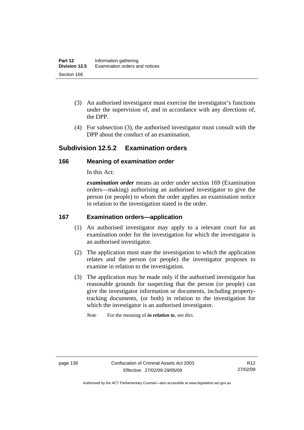- (3) An authorised investigator must exercise the investigator's functions under the supervision of, and in accordance with any directions of, the DPP.
- (4) For subsection (3), the authorised investigator must consult with the DPP about the conduct of an examination.

# **Subdivision 12.5.2 Examination orders**

# **166 Meaning of** *examination order*

In this Act:

*examination order* means an order under section 169 (Examination orders—making) authorising an authorised investigator to give the person (or people) to whom the order applies an examination notice in relation to the investigation stated in the order.

# **167 Examination orders—application**

- (1) An authorised investigator may apply to a relevant court for an examination order for the investigation for which the investigator is an authorised investigator.
- (2) The application must state the investigation to which the application relates and the person (or people) the investigator proposes to examine in relation to the investigation.
- (3) The application may be made only if the authorised investigator has reasonable grounds for suspecting that the person (or people) can give the investigator information or documents, including propertytracking documents, (or both) in relation to the investigation for which the investigator is an authorised investigator.

*Note* For the meaning of *in relation to*, see dict.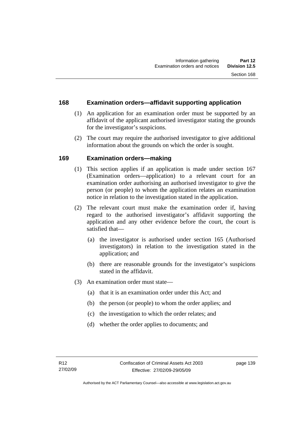# **168 Examination orders—affidavit supporting application**

- (1) An application for an examination order must be supported by an affidavit of the applicant authorised investigator stating the grounds for the investigator's suspicions.
- (2) The court may require the authorised investigator to give additional information about the grounds on which the order is sought.

# **169 Examination orders—making**

- (1) This section applies if an application is made under section 167 (Examination orders—application) to a relevant court for an examination order authorising an authorised investigator to give the person (or people) to whom the application relates an examination notice in relation to the investigation stated in the application.
- (2) The relevant court must make the examination order if, having regard to the authorised investigator's affidavit supporting the application and any other evidence before the court, the court is satisfied that—
	- (a) the investigator is authorised under section 165 (Authorised investigators) in relation to the investigation stated in the application; and
	- (b) there are reasonable grounds for the investigator's suspicions stated in the affidavit.
- (3) An examination order must state—
	- (a) that it is an examination order under this Act; and
	- (b) the person (or people) to whom the order applies; and
	- (c) the investigation to which the order relates; and
	- (d) whether the order applies to documents; and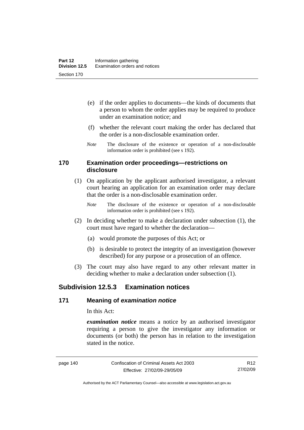- (e) if the order applies to documents—the kinds of documents that a person to whom the order applies may be required to produce under an examination notice; and
- (f) whether the relevant court making the order has declared that the order is a non-disclosable examination order.
- *Note* The disclosure of the existence or operation of a non-disclosable information order is prohibited (see s 192).

#### **170 Examination order proceedings—restrictions on disclosure**

- (1) On application by the applicant authorised investigator, a relevant court hearing an application for an examination order may declare that the order is a non-disclosable examination order.
	- *Note* The disclosure of the existence or operation of a non-disclosable information order is prohibited (see s 192).
- (2) In deciding whether to make a declaration under subsection (1), the court must have regard to whether the declaration—
	- (a) would promote the purposes of this Act; or
	- (b) is desirable to protect the integrity of an investigation (however described) for any purpose or a prosecution of an offence.
- (3) The court may also have regard to any other relevant matter in deciding whether to make a declaration under subsection (1).

# **Subdivision 12.5.3 Examination notices**

### **171 Meaning of** *examination notice*

In this Act:

*examination notice* means a notice by an authorised investigator requiring a person to give the investigator any information or documents (or both) the person has in relation to the investigation stated in the notice.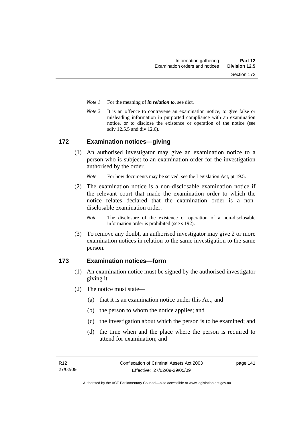- *Note 1* For the meaning of *in relation to*, see dict.
- *Note* 2 It is an offence to contravene an examination notice, to give false or misleading information in purported compliance with an examination notice, or to disclose the existence or operation of the notice (see sdiv 12.5.5 and div 12.6).

### **172 Examination notices—giving**

 (1) An authorised investigator may give an examination notice to a person who is subject to an examination order for the investigation authorised by the order.

*Note* For how documents may be served, see the Legislation Act, pt 19.5.

 (2) The examination notice is a non-disclosable examination notice if the relevant court that made the examination order to which the notice relates declared that the examination order is a nondisclosable examination order.

*Note* The disclosure of the existence or operation of a non-disclosable information order is prohibited (see s 192).

 (3) To remove any doubt, an authorised investigator may give 2 or more examination notices in relation to the same investigation to the same person.

# **173 Examination notices—form**

- (1) An examination notice must be signed by the authorised investigator giving it.
- (2) The notice must state—
	- (a) that it is an examination notice under this Act; and
	- (b) the person to whom the notice applies; and
	- (c) the investigation about which the person is to be examined; and
	- (d) the time when and the place where the person is required to attend for examination; and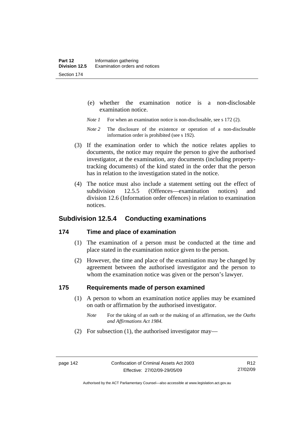- (e) whether the examination notice is a non-disclosable examination notice.
- *Note 1* For when an examination notice is non-disclosable, see s 172 (2).
- *Note* 2 The disclosure of the existence or operation of a non-disclosable information order is prohibited (see s 192).
- (3) If the examination order to which the notice relates applies to documents, the notice may require the person to give the authorised investigator, at the examination, any documents (including propertytracking documents) of the kind stated in the order that the person has in relation to the investigation stated in the notice.
- (4) The notice must also include a statement setting out the effect of subdivision 12.5.5 (Offences—examination notices) and division 12.6 (Information order offences) in relation to examination notices.

# **Subdivision 12.5.4 Conducting examinations**

#### **174 Time and place of examination**

- (1) The examination of a person must be conducted at the time and place stated in the examination notice given to the person.
- (2) However, the time and place of the examination may be changed by agreement between the authorised investigator and the person to whom the examination notice was given or the person's lawyer.

#### **175 Requirements made of person examined**

- (1) A person to whom an examination notice applies may be examined on oath or affirmation by the authorised investigator.
	- *Note* For the taking of an oath or the making of an affirmation, see the *Oaths and Affirmations Act 1984.*
- (2) For subsection (1), the authorised investigator may—

Authorised by the ACT Parliamentary Counsel—also accessible at www.legislation.act.gov.au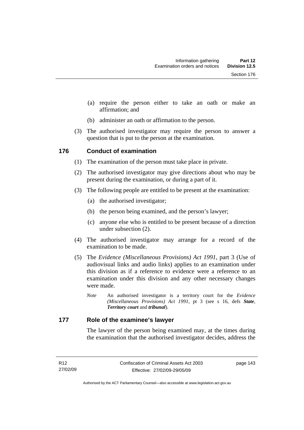- (a) require the person either to take an oath or make an affirmation; and
- (b) administer an oath or affirmation to the person.
- (3) The authorised investigator may require the person to answer a question that is put to the person at the examination.

### **176 Conduct of examination**

- (1) The examination of the person must take place in private.
- (2) The authorised investigator may give directions about who may be present during the examination, or during a part of it.
- (3) The following people are entitled to be present at the examination:
	- (a) the authorised investigator;
	- (b) the person being examined, and the person's lawyer;
	- (c) anyone else who is entitled to be present because of a direction under subsection (2).
- (4) The authorised investigator may arrange for a record of the examination to be made.
- (5) The *Evidence (Miscellaneous Provisions) Act 1991*, part 3 (Use of audiovisual links and audio links) applies to an examination under this division as if a reference to evidence were a reference to an examination under this division and any other necessary changes were made.
	- *Note* An authorised investigator is a territory court for the *Evidence (Miscellaneous Provisions) Act 1991*, pt 3 (see s 16, defs *State*, *Territory court* and *tribunal*).

#### **177 Role of the examinee's lawyer**

The lawyer of the person being examined may, at the times during the examination that the authorised investigator decides, address the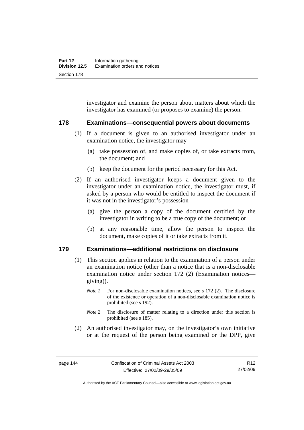investigator and examine the person about matters about which the investigator has examined (or proposes to examine) the person.

#### **178 Examinations—consequential powers about documents**

- (1) If a document is given to an authorised investigator under an examination notice, the investigator may—
	- (a) take possession of, and make copies of, or take extracts from, the document; and
	- (b) keep the document for the period necessary for this Act.
- (2) If an authorised investigator keeps a document given to the investigator under an examination notice, the investigator must, if asked by a person who would be entitled to inspect the document if it was not in the investigator's possession—
	- (a) give the person a copy of the document certified by the investigator in writing to be a true copy of the document; or
	- (b) at any reasonable time, allow the person to inspect the document, make copies of it or take extracts from it.

# **179 Examinations—additional restrictions on disclosure**

- (1) This section applies in relation to the examination of a person under an examination notice (other than a notice that is a non-disclosable examination notice under section 172 (2) (Examination notices giving)).
	- *Note 1* For non-disclosable examination notices, see s 172 (2). The disclosure of the existence or operation of a non-disclosable examination notice is prohibited (see s 192).
	- *Note* 2 The disclosure of matter relating to a direction under this section is prohibited (see s 185).
- (2) An authorised investigator may, on the investigator's own initiative or at the request of the person being examined or the DPP, give

R12 27/02/09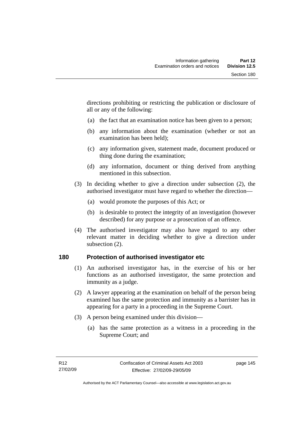directions prohibiting or restricting the publication or disclosure of all or any of the following:

- (a) the fact that an examination notice has been given to a person;
- (b) any information about the examination (whether or not an examination has been held);
- (c) any information given, statement made, document produced or thing done during the examination;
- (d) any information, document or thing derived from anything mentioned in this subsection.
- (3) In deciding whether to give a direction under subsection (2), the authorised investigator must have regard to whether the direction—
	- (a) would promote the purposes of this Act; or
	- (b) is desirable to protect the integrity of an investigation (however described) for any purpose or a prosecution of an offence.
- (4) The authorised investigator may also have regard to any other relevant matter in deciding whether to give a direction under subsection (2).

### **180 Protection of authorised investigator etc**

- (1) An authorised investigator has, in the exercise of his or her functions as an authorised investigator, the same protection and immunity as a judge.
- (2) A lawyer appearing at the examination on behalf of the person being examined has the same protection and immunity as a barrister has in appearing for a party in a proceeding in the Supreme Court.
- (3) A person being examined under this division—
	- (a) has the same protection as a witness in a proceeding in the Supreme Court; and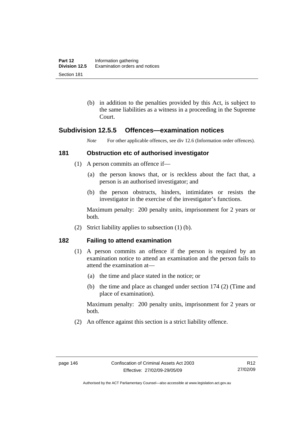(b) in addition to the penalties provided by this Act, is subject to the same liabilities as a witness in a proceeding in the Supreme Court.

# **Subdivision 12.5.5 Offences—examination notices**

*Note* For other applicable offences, see div 12.6 (Information order offences).

### **181 Obstruction etc of authorised investigator**

- (1) A person commits an offence if—
	- (a) the person knows that, or is reckless about the fact that, a person is an authorised investigator; and
	- (b) the person obstructs, hinders, intimidates or resists the investigator in the exercise of the investigator's functions.

Maximum penalty: 200 penalty units, imprisonment for 2 years or both.

(2) Strict liability applies to subsection (1) (b).

### **182 Failing to attend examination**

- (1) A person commits an offence if the person is required by an examination notice to attend an examination and the person fails to attend the examination at—
	- (a) the time and place stated in the notice; or
	- (b) the time and place as changed under section 174 (2) (Time and place of examination).

Maximum penalty: 200 penalty units, imprisonment for 2 years or both.

(2) An offence against this section is a strict liability offence.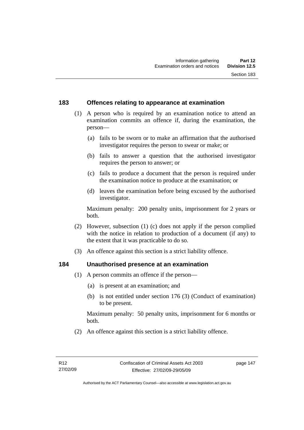# **183 Offences relating to appearance at examination**

- (1) A person who is required by an examination notice to attend an examination commits an offence if, during the examination, the person—
	- (a) fails to be sworn or to make an affirmation that the authorised investigator requires the person to swear or make; or
	- (b) fails to answer a question that the authorised investigator requires the person to answer; or
	- (c) fails to produce a document that the person is required under the examination notice to produce at the examination; or
	- (d) leaves the examination before being excused by the authorised investigator.

Maximum penalty: 200 penalty units, imprisonment for 2 years or both.

- (2) However, subsection (1) (c) does not apply if the person complied with the notice in relation to production of a document (if any) to the extent that it was practicable to do so.
- (3) An offence against this section is a strict liability offence.

### **184 Unauthorised presence at an examination**

- (1) A person commits an offence if the person—
	- (a) is present at an examination; and
	- (b) is not entitled under section 176 (3) (Conduct of examination) to be present.

Maximum penalty: 50 penalty units, imprisonment for 6 months or both.

(2) An offence against this section is a strict liability offence.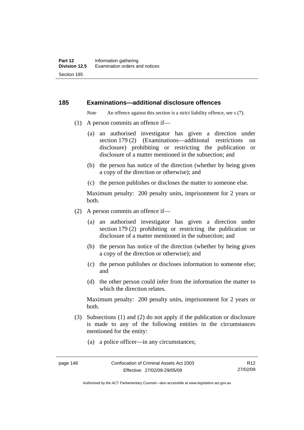#### **185 Examinations—additional disclosure offences**

*Note* An offence against this section is a strict liability offence, see s (7).

- (1) A person commits an offence if—
	- (a) an authorised investigator has given a direction under section 179 (2) (Examinations—additional restrictions on disclosure) prohibiting or restricting the publication or disclosure of a matter mentioned in the subsection; and
	- (b) the person has notice of the direction (whether by being given a copy of the direction or otherwise); and
	- (c) the person publishes or discloses the matter to someone else.

Maximum penalty: 200 penalty units, imprisonment for 2 years or both.

- (2) A person commits an offence if—
	- (a) an authorised investigator has given a direction under section 179 (2) prohibiting or restricting the publication or disclosure of a matter mentioned in the subsection; and
	- (b) the person has notice of the direction (whether by being given a copy of the direction or otherwise); and
	- (c) the person publishes or discloses information to someone else; and
	- (d) the other person could infer from the information the matter to which the direction relates.

Maximum penalty: 200 penalty units, imprisonment for 2 years or both.

- (3) Subsections (1) and (2) do not apply if the publication or disclosure is made to any of the following entities in the circumstances mentioned for the entity:
	- (a) a police officer—in any circumstances;

Authorised by the ACT Parliamentary Counsel—also accessible at www.legislation.act.gov.au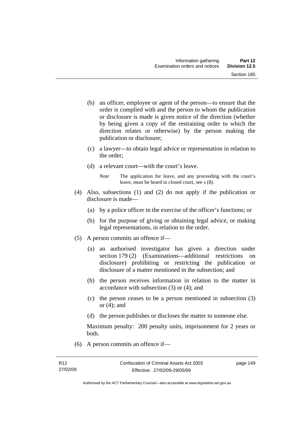- (b) an officer, employee or agent of the person—to ensure that the order is complied with and the person to whom the publication or disclosure is made is given notice of the direction (whether by being given a copy of the restraining order to which the direction relates or otherwise) by the person making the publication or disclosure;
- (c) a lawyer—to obtain legal advice or representation in relation to the order;
- (d) a relevant court—with the court's leave.
	- *Note* The application for leave, and any proceeding with the court's leave, must be heard in closed court, see s (8).
- (4) Also, subsections (1) and (2) do not apply if the publication or disclosure is made—
	- (a) by a police officer in the exercise of the officer's functions; or
	- (b) for the purpose of giving or obtaining legal advice, or making legal representations, in relation to the order.
- (5) A person commits an offence if—
	- (a) an authorised investigator has given a direction under section 179 (2) (Examinations—additional restrictions on disclosure) prohibiting or restricting the publication or disclosure of a matter mentioned in the subsection; and
	- (b) the person receives information in relation to the matter in accordance with subsection (3) or (4); and
	- (c) the person ceases to be a person mentioned in subsection (3) or  $(4)$ ; and
	- (d) the person publishes or discloses the matter to someone else.

Maximum penalty: 200 penalty units, imprisonment for 2 years or both.

(6) A person commits an offence if—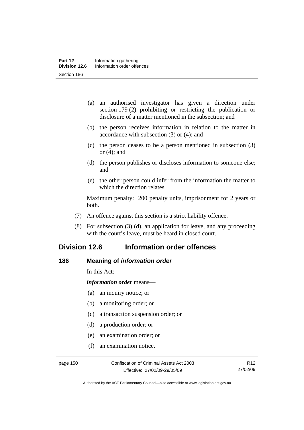- (a) an authorised investigator has given a direction under section 179 (2) prohibiting or restricting the publication or disclosure of a matter mentioned in the subsection; and
- (b) the person receives information in relation to the matter in accordance with subsection (3) or (4); and
- (c) the person ceases to be a person mentioned in subsection (3) or (4); and
- (d) the person publishes or discloses information to someone else; and
- (e) the other person could infer from the information the matter to which the direction relates.

Maximum penalty: 200 penalty units, imprisonment for 2 years or both.

- (7) An offence against this section is a strict liability offence.
- (8) For subsection (3) (d), an application for leave, and any proceeding with the court's leave, must be heard in closed court.

# **Division 12.6 Information order offences**

### **186 Meaning of** *information order*

In this Act:

*information order* means—

- (a) an inquiry notice; or
- (b) a monitoring order; or
- (c) a transaction suspension order; or
- (d) a production order; or
- (e) an examination order; or
- (f) an examination notice.

Authorised by the ACT Parliamentary Counsel—also accessible at www.legislation.act.gov.au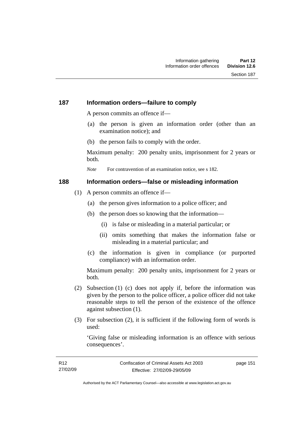# **187 Information orders—failure to comply**

A person commits an offence if—

- (a) the person is given an information order (other than an examination notice); and
- (b) the person fails to comply with the order.

Maximum penalty: 200 penalty units, imprisonment for 2 years or both.

*Note* For contravention of an examination notice, see s 182.

# **188 Information orders—false or misleading information**

- (1) A person commits an offence if—
	- (a) the person gives information to a police officer; and
	- (b) the person does so knowing that the information—
		- (i) is false or misleading in a material particular; or
		- (ii) omits something that makes the information false or misleading in a material particular; and
	- (c) the information is given in compliance (or purported compliance) with an information order.

Maximum penalty: 200 penalty units, imprisonment for 2 years or both.

- (2) Subsection (1) (c) does not apply if, before the information was given by the person to the police officer, a police officer did not take reasonable steps to tell the person of the existence of the offence against subsection (1).
- (3) For subsection (2), it is sufficient if the following form of words is used:

'Giving false or misleading information is an offence with serious consequences'.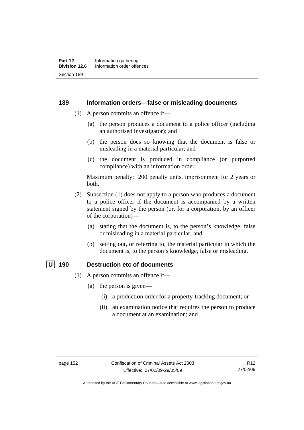#### **189 Information orders—false or misleading documents**

- (1) A person commits an offence if—
	- (a) the person produces a document to a police officer (including an authorised investigator); and
	- (b) the person does so knowing that the document is false or misleading in a material particular; and
	- (c) the document is produced in compliance (or purported compliance) with an information order.

Maximum penalty: 200 penalty units, imprisonment for 2 years or both.

- (2) Subsection (1) does not apply to a person who produces a document to a police officer if the document is accompanied by a written statement signed by the person (or, for a corporation, by an officer of the corporation)—
	- (a) stating that the document is, to the person's knowledge, false or misleading in a material particular; and
	- (b) setting out, or referring to, the material particular in which the document is, to the person's knowledge, false or misleading.

#### **U** 190 Destruction etc of documents

- (1) A person commits an offence if—
	- (a) the person is given—
		- (i) a production order for a property-tracking document; or
		- (ii) an examination notice that requires the person to produce a document at an examination; and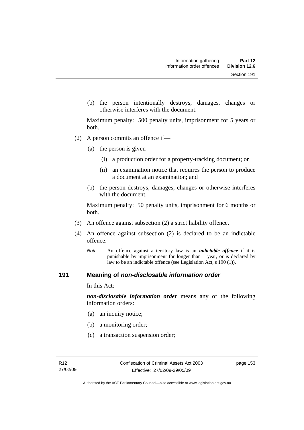(b) the person intentionally destroys, damages, changes or otherwise interferes with the document.

Maximum penalty: 500 penalty units, imprisonment for 5 years or both.

- (2) A person commits an offence if—
	- (a) the person is given—
		- (i) a production order for a property-tracking document; or
		- (ii) an examination notice that requires the person to produce a document at an examination; and
	- (b) the person destroys, damages, changes or otherwise interferes with the document.

Maximum penalty: 50 penalty units, imprisonment for 6 months or both.

- (3) An offence against subsection (2) a strict liability offence.
- (4) An offence against subsection (2) is declared to be an indictable offence.
	- *Note* An offence against a territory law is an *indictable offence* if it is punishable by imprisonment for longer than 1 year, or is declared by law to be an indictable offence (see Legislation Act, s 190 (1)).

### **191 Meaning of** *non-disclosable information order*

In this Act:

*non-disclosable information order* means any of the following information orders:

- (a) an inquiry notice;
- (b) a monitoring order;
- (c) a transaction suspension order;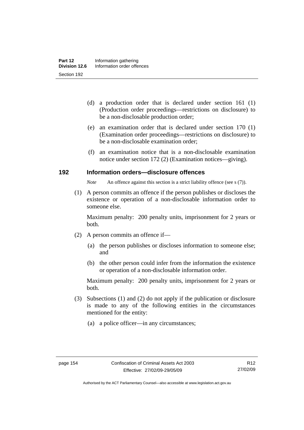- (d) a production order that is declared under section 161 (1) (Production order proceedings—restrictions on disclosure) to be a non-disclosable production order;
- (e) an examination order that is declared under section 170 (1) (Examination order proceedings—restrictions on disclosure) to be a non-disclosable examination order;
- (f) an examination notice that is a non-disclosable examination notice under section 172 (2) (Examination notices—giving).

### **192 Information orders—disclosure offences**

*Note* An offence against this section is a strict liability offence (see s (7)).

 (1) A person commits an offence if the person publishes or discloses the existence or operation of a non-disclosable information order to someone else.

Maximum penalty: 200 penalty units, imprisonment for 2 years or both.

- (2) A person commits an offence if—
	- (a) the person publishes or discloses information to someone else; and
	- (b) the other person could infer from the information the existence or operation of a non-disclosable information order.

Maximum penalty: 200 penalty units, imprisonment for 2 years or both.

- (3) Subsections (1) and (2) do not apply if the publication or disclosure is made to any of the following entities in the circumstances mentioned for the entity:
	- (a) a police officer—in any circumstances;

Authorised by the ACT Parliamentary Counsel—also accessible at www.legislation.act.gov.au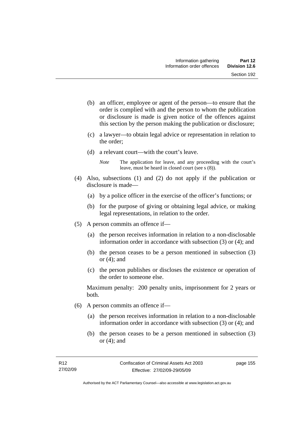- (b) an officer, employee or agent of the person—to ensure that the order is complied with and the person to whom the publication or disclosure is made is given notice of the offences against this section by the person making the publication or disclosure;
- (c) a lawyer—to obtain legal advice or representation in relation to the order;
- (d) a relevant court—with the court's leave.
	- *Note* The application for leave, and any proceeding with the court's leave, must be heard in closed court (see s (8)).
- (4) Also, subsections (1) and (2) do not apply if the publication or disclosure is made—
	- (a) by a police officer in the exercise of the officer's functions; or
	- (b) for the purpose of giving or obtaining legal advice, or making legal representations, in relation to the order.
- (5) A person commits an offence if—
	- (a) the person receives information in relation to a non-disclosable information order in accordance with subsection (3) or (4); and
	- (b) the person ceases to be a person mentioned in subsection (3) or (4); and
	- (c) the person publishes or discloses the existence or operation of the order to someone else.

Maximum penalty: 200 penalty units, imprisonment for 2 years or both.

- (6) A person commits an offence if—
	- (a) the person receives information in relation to a non-disclosable information order in accordance with subsection (3) or (4); and
	- (b) the person ceases to be a person mentioned in subsection (3) or (4); and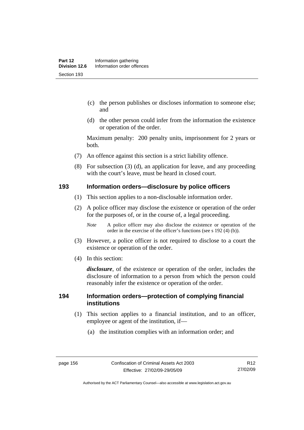- (c) the person publishes or discloses information to someone else; and
- (d) the other person could infer from the information the existence or operation of the order.

Maximum penalty: 200 penalty units, imprisonment for 2 years or both.

- (7) An offence against this section is a strict liability offence.
- (8) For subsection (3) (d), an application for leave, and any proceeding with the court's leave, must be heard in closed court.

#### **193 Information orders—disclosure by police officers**

- (1) This section applies to a non-disclosable information order.
- (2) A police officer may disclose the existence or operation of the order for the purposes of, or in the course of, a legal proceeding.
	- *Note* A police officer may also disclose the existence or operation of the order in the exercise of the officer's functions (see s 192 (4) (b)).
- (3) However, a police officer is not required to disclose to a court the existence or operation of the order.
- (4) In this section:

*disclosure*, of the existence or operation of the order, includes the disclosure of information to a person from which the person could reasonably infer the existence or operation of the order.

### **194 Information orders—protection of complying financial institutions**

- (1) This section applies to a financial institution, and to an officer, employee or agent of the institution, if—
	- (a) the institution complies with an information order; and

Authorised by the ACT Parliamentary Counsel—also accessible at www.legislation.act.gov.au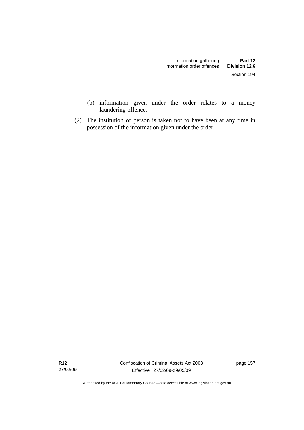- (b) information given under the order relates to a money laundering offence.
- (2) The institution or person is taken not to have been at any time in possession of the information given under the order.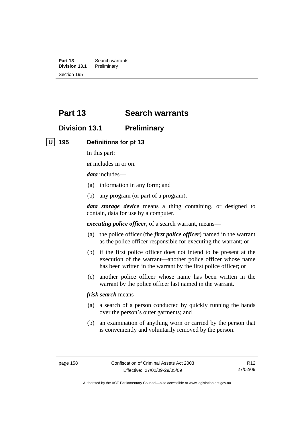**Part 13** Search warrants **Division 13.1** Preliminary Section 195

# **Part 13 Search warrants**

# **Division 13.1 Preliminary**

 **U 195 Definitions for pt 13** 

In this part:

*at* includes in or on.

*data* includes—

- (a) information in any form; and
- (b) any program (or part of a program).

*data storage device* means a thing containing, or designed to contain, data for use by a computer.

*executing police officer*, of a search warrant, means—

- (a) the police officer (the *first police officer*) named in the warrant as the police officer responsible for executing the warrant; or
- (b) if the first police officer does not intend to be present at the execution of the warrant—another police officer whose name has been written in the warrant by the first police officer; or
- (c) another police officer whose name has been written in the warrant by the police officer last named in the warrant.

*frisk search* means—

- (a) a search of a person conducted by quickly running the hands over the person's outer garments; and
- (b) an examination of anything worn or carried by the person that is conveniently and voluntarily removed by the person.

Authorised by the ACT Parliamentary Counsel—also accessible at www.legislation.act.gov.au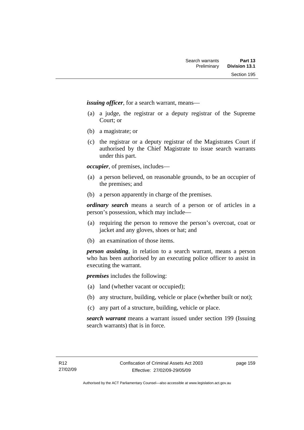*issuing officer*, for a search warrant, means—

- (a) a judge, the registrar or a deputy registrar of the Supreme Court; or
- (b) a magistrate; or
- (c) the registrar or a deputy registrar of the Magistrates Court if authorised by the Chief Magistrate to issue search warrants under this part.

*occupier*, of premises, includes—

- (a) a person believed, on reasonable grounds, to be an occupier of the premises; and
- (b) a person apparently in charge of the premises.

*ordinary search* means a search of a person or of articles in a person's possession, which may include—

- (a) requiring the person to remove the person's overcoat, coat or jacket and any gloves, shoes or hat; and
- (b) an examination of those items.

*person assisting*, in relation to a search warrant, means a person who has been authorised by an executing police officer to assist in executing the warrant.

*premises* includes the following:

- (a) land (whether vacant or occupied);
- (b) any structure, building, vehicle or place (whether built or not);
- (c) any part of a structure, building, vehicle or place.

*search warrant* means a warrant issued under section 199 (Issuing search warrants) that is in force.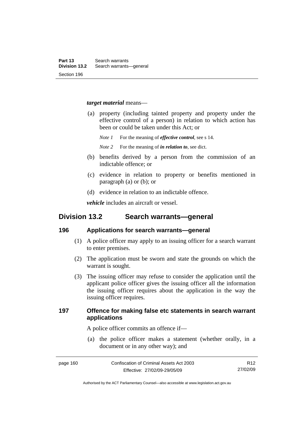#### *target material* means—

- (a) property (including tainted property and property under the effective control of a person) in relation to which action has been or could be taken under this Act; or
	- *Note 1* For the meaning of *effective control*, see s 14.

*Note 2* For the meaning of *in relation to*, see dict.

- (b) benefits derived by a person from the commission of an indictable offence; or
- (c) evidence in relation to property or benefits mentioned in paragraph (a) or (b); or
- (d) evidence in relation to an indictable offence.

*vehicle* includes an aircraft or vessel.

# **Division 13.2 Search warrants—general**

#### **196 Applications for search warrants—general**

- (1) A police officer may apply to an issuing officer for a search warrant to enter premises.
- (2) The application must be sworn and state the grounds on which the warrant is sought.
- (3) The issuing officer may refuse to consider the application until the applicant police officer gives the issuing officer all the information the issuing officer requires about the application in the way the issuing officer requires.

# **197 Offence for making false etc statements in search warrant applications**

A police officer commits an offence if—

 (a) the police officer makes a statement (whether orally, in a document or in any other way); and

Authorised by the ACT Parliamentary Counsel—also accessible at www.legislation.act.gov.au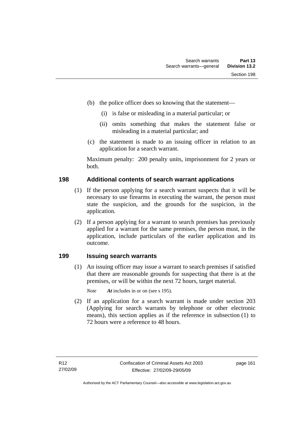- (b) the police officer does so knowing that the statement—
	- (i) is false or misleading in a material particular; or
	- (ii) omits something that makes the statement false or misleading in a material particular; and
- (c) the statement is made to an issuing officer in relation to an application for a search warrant.

Maximum penalty: 200 penalty units, imprisonment for 2 years or both.

# **198 Additional contents of search warrant applications**

- (1) If the person applying for a search warrant suspects that it will be necessary to use firearms in executing the warrant, the person must state the suspicion, and the grounds for the suspicion, in the application.
- (2) If a person applying for a warrant to search premises has previously applied for a warrant for the same premises, the person must, in the application, include particulars of the earlier application and its outcome.

# **199 Issuing search warrants**

 (1) An issuing officer may issue a warrant to search premises if satisfied that there are reasonable grounds for suspecting that there is at the premises, or will be within the next 72 hours, target material.

*Note At* includes in or on (see s 195).

 (2) If an application for a search warrant is made under section 203 (Applying for search warrants by telephone or other electronic means), this section applies as if the reference in subsection (1) to 72 hours were a reference to 48 hours.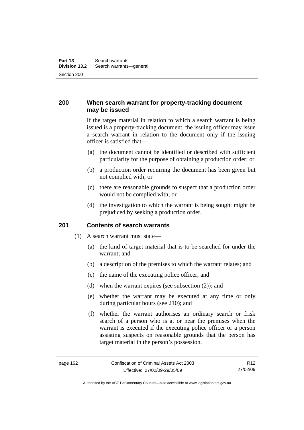# **200 When search warrant for property-tracking document may be issued**

If the target material in relation to which a search warrant is being issued is a property-tracking document, the issuing officer may issue a search warrant in relation to the document only if the issuing officer is satisfied that—

- (a) the document cannot be identified or described with sufficient particularity for the purpose of obtaining a production order; or
- (b) a production order requiring the document has been given but not complied with; or
- (c) there are reasonable grounds to suspect that a production order would not be complied with; or
- (d) the investigation to which the warrant is being sought might be prejudiced by seeking a production order.

### **201 Contents of search warrants**

- (1) A search warrant must state—
	- (a) the kind of target material that is to be searched for under the warrant; and
	- (b) a description of the premises to which the warrant relates; and
	- (c) the name of the executing police officer; and
	- (d) when the warrant expires (see subsection (2)); and
	- (e) whether the warrant may be executed at any time or only during particular hours (see 210); and
	- (f) whether the warrant authorises an ordinary search or frisk search of a person who is at or near the premises when the warrant is executed if the executing police officer or a person assisting suspects on reasonable grounds that the person has target material in the person's possession.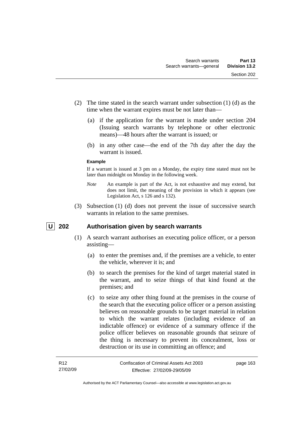- (2) The time stated in the search warrant under subsection (1) (d) as the time when the warrant expires must be not later than—
	- (a) if the application for the warrant is made under section 204 (Issuing search warrants by telephone or other electronic means)—48 hours after the warrant is issued; or
	- (b) in any other case—the end of the 7th day after the day the warrant is issued.

#### **Example**

If a warrant is issued at 3 pm on a Monday, the expiry time stated must not be later than midnight on Monday in the following week.

- *Note* An example is part of the Act, is not exhaustive and may extend, but does not limit, the meaning of the provision in which it appears (see Legislation Act, s 126 and s 132).
- (3) Subsection (1) (d) does not prevent the issue of successive search warrants in relation to the same premises.

# **U 202 Authorisation given by search warrants**

- (1) A search warrant authorises an executing police officer, or a person assisting—
	- (a) to enter the premises and, if the premises are a vehicle, to enter the vehicle, wherever it is; and
	- (b) to search the premises for the kind of target material stated in the warrant, and to seize things of that kind found at the premises; and
	- (c) to seize any other thing found at the premises in the course of the search that the executing police officer or a person assisting believes on reasonable grounds to be target material in relation to which the warrant relates (including evidence of an indictable offence) or evidence of a summary offence if the police officer believes on reasonable grounds that seizure of the thing is necessary to prevent its concealment, loss or destruction or its use in committing an offence; and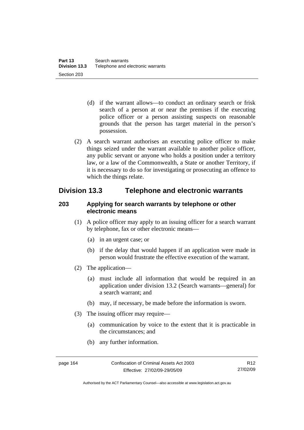- (d) if the warrant allows—to conduct an ordinary search or frisk search of a person at or near the premises if the executing police officer or a person assisting suspects on reasonable grounds that the person has target material in the person's possession.
- (2) A search warrant authorises an executing police officer to make things seized under the warrant available to another police officer, any public servant or anyone who holds a position under a territory law, or a law of the Commonwealth, a State or another Territory, if it is necessary to do so for investigating or prosecuting an offence to which the things relate.

# **Division 13.3 Telephone and electronic warrants**

# **203 Applying for search warrants by telephone or other electronic means**

- (1) A police officer may apply to an issuing officer for a search warrant by telephone, fax or other electronic means—
	- (a) in an urgent case; or
	- (b) if the delay that would happen if an application were made in person would frustrate the effective execution of the warrant.
- (2) The application—
	- (a) must include all information that would be required in an application under division 13.2 (Search warrants—general) for a search warrant; and
	- (b) may, if necessary, be made before the information is sworn.
- (3) The issuing officer may require—
	- (a) communication by voice to the extent that it is practicable in the circumstances; and
	- (b) any further information.

Authorised by the ACT Parliamentary Counsel—also accessible at www.legislation.act.gov.au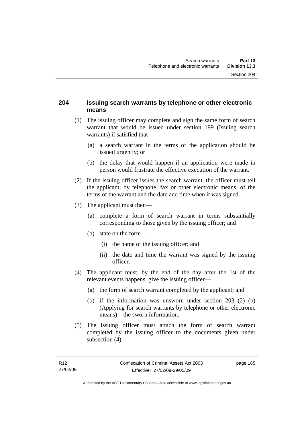# **204 Issuing search warrants by telephone or other electronic means**

- (1) The issuing officer may complete and sign the same form of search warrant that would be issued under section 199 (Issuing search warrants) if satisfied that—
	- (a) a search warrant in the terms of the application should be issued urgently; or
	- (b) the delay that would happen if an application were made in person would frustrate the effective execution of the warrant.
- (2) If the issuing officer issues the search warrant, the officer must tell the applicant, by telephone, fax or other electronic means, of the terms of the warrant and the date and time when it was signed.
- (3) The applicant must then—
	- (a) complete a form of search warrant in terms substantially corresponding to those given by the issuing officer; and
	- (b) state on the form—
		- (i) the name of the issuing officer; and
		- (ii) the date and time the warrant was signed by the issuing officer.
- (4) The applicant must, by the end of the day after the 1st of the relevant events happens, give the issuing officer—
	- (a) the form of search warrant completed by the applicant; and
	- (b) if the information was unsworn under section 203 (2) (b) (Applying for search warrants by telephone or other electronic means)—the sworn information.
- (5) The issuing officer must attach the form of search warrant completed by the issuing officer to the documents given under subsection  $(4)$ .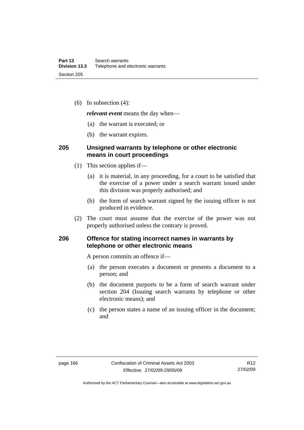(6) In subsection (4):

*relevant event* means the day when—

- (a) the warrant is executed; or
- (b) the warrant expires.

# **205 Unsigned warrants by telephone or other electronic means in court proceedings**

- (1) This section applies if—
	- (a) it is material, in any proceeding, for a court to be satisfied that the exercise of a power under a search warrant issued under this division was properly authorised; and
	- (b) the form of search warrant signed by the issuing officer is not produced in evidence.
- (2) The court must assume that the exercise of the power was not properly authorised unless the contrary is proved.

# **206 Offence for stating incorrect names in warrants by telephone or other electronic means**

A person commits an offence if—

- (a) the person executes a document or presents a document to a person; and
- (b) the document purports to be a form of search warrant under section 204 (Issuing search warrants by telephone or other electronic means); and
- (c) the person states a name of an issuing officer in the document; and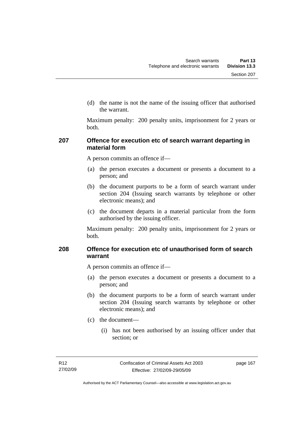(d) the name is not the name of the issuing officer that authorised the warrant.

Maximum penalty: 200 penalty units, imprisonment for 2 years or both.

# **207 Offence for execution etc of search warrant departing in material form**

A person commits an offence if—

- (a) the person executes a document or presents a document to a person; and
- (b) the document purports to be a form of search warrant under section 204 (Issuing search warrants by telephone or other electronic means); and
- (c) the document departs in a material particular from the form authorised by the issuing officer.

Maximum penalty: 200 penalty units, imprisonment for 2 years or both.

# **208 Offence for execution etc of unauthorised form of search warrant**

A person commits an offence if—

- (a) the person executes a document or presents a document to a person; and
- (b) the document purports to be a form of search warrant under section 204 (Issuing search warrants by telephone or other electronic means); and
- (c) the document—
	- (i) has not been authorised by an issuing officer under that section; or

page 167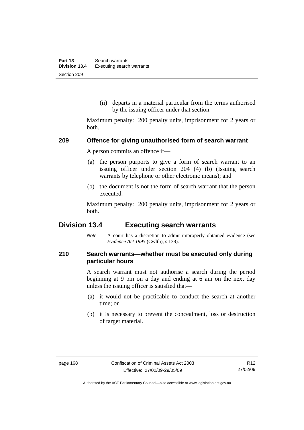(ii) departs in a material particular from the terms authorised by the issuing officer under that section.

Maximum penalty: 200 penalty units, imprisonment for 2 years or both.

#### **209 Offence for giving unauthorised form of search warrant**

A person commits an offence if—

- (a) the person purports to give a form of search warrant to an issuing officer under section 204 (4) (b) (Issuing search warrants by telephone or other electronic means); and
- (b) the document is not the form of search warrant that the person executed.

Maximum penalty: 200 penalty units, imprisonment for 2 years or both.

# **Division 13.4 Executing search warrants**

*Note* A court has a discretion to admit improperly obtained evidence (see *Evidence Act 1995* (Cwlth), s 138).

# **210 Search warrants—whether must be executed only during particular hours**

A search warrant must not authorise a search during the period beginning at 9 pm on a day and ending at 6 am on the next day unless the issuing officer is satisfied that—

- (a) it would not be practicable to conduct the search at another time; or
- (b) it is necessary to prevent the concealment, loss or destruction of target material.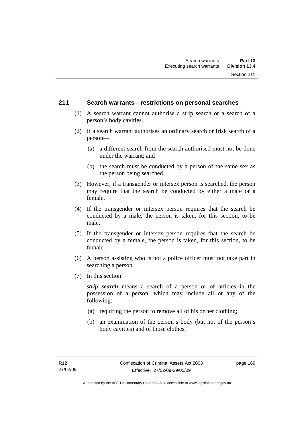# **211 Search warrants—restrictions on personal searches**

- (1) A search warrant cannot authorise a strip search or a search of a person's body cavities.
- (2) If a search warrant authorises an ordinary search or frisk search of a person—
	- (a) a different search from the search authorised must not be done under the warrant; and
	- (b) the search must be conducted by a person of the same sex as the person being searched.
- (3) However, if a transgender or intersex person is searched, the person may require that the search be conducted by either a male or a female.
- (4) If the transgender or intersex person requires that the search be conducted by a male, the person is taken, for this section, to be male.
- (5) If the transgender or intersex person requires that the search be conducted by a female, the person is taken, for this section, to be female.
- (6) A person assisting who is not a police officer must not take part in searching a person.
- (7) In this section:

*strip search* means a search of a person or of articles in the possession of a person, which may include all or any of the following:

- (a) requiring the person to remove all of his or her clothing;
- (b) an examination of the person's body (but not of the person's body cavities) and of those clothes.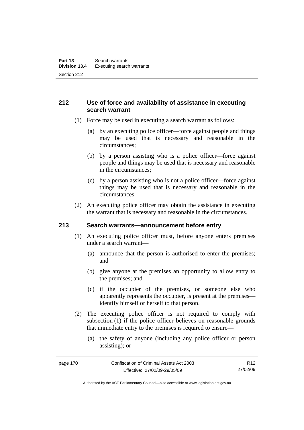# **212 Use of force and availability of assistance in executing search warrant**

- (1) Force may be used in executing a search warrant as follows:
	- (a) by an executing police officer—force against people and things may be used that is necessary and reasonable in the circumstances;
	- (b) by a person assisting who is a police officer—force against people and things may be used that is necessary and reasonable in the circumstances;
	- (c) by a person assisting who is not a police officer—force against things may be used that is necessary and reasonable in the circumstances.
- (2) An executing police officer may obtain the assistance in executing the warrant that is necessary and reasonable in the circumstances.

# **213 Search warrants—announcement before entry**

- (1) An executing police officer must, before anyone enters premises under a search warrant—
	- (a) announce that the person is authorised to enter the premises; and
	- (b) give anyone at the premises an opportunity to allow entry to the premises; and
	- (c) if the occupier of the premises, or someone else who apparently represents the occupier, is present at the premises identify himself or herself to that person.
- (2) The executing police officer is not required to comply with subsection (1) if the police officer believes on reasonable grounds that immediate entry to the premises is required to ensure—
	- (a) the safety of anyone (including any police officer or person assisting); or

Authorised by the ACT Parliamentary Counsel—also accessible at www.legislation.act.gov.au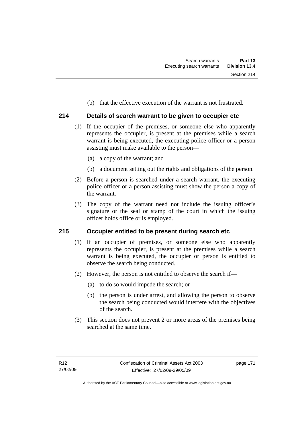(b) that the effective execution of the warrant is not frustrated.

# **214 Details of search warrant to be given to occupier etc**

- (1) If the occupier of the premises, or someone else who apparently represents the occupier, is present at the premises while a search warrant is being executed, the executing police officer or a person assisting must make available to the person—
	- (a) a copy of the warrant; and
	- (b) a document setting out the rights and obligations of the person.
- (2) Before a person is searched under a search warrant, the executing police officer or a person assisting must show the person a copy of the warrant.
- (3) The copy of the warrant need not include the issuing officer's signature or the seal or stamp of the court in which the issuing officer holds office or is employed.

# **215 Occupier entitled to be present during search etc**

- (1) If an occupier of premises, or someone else who apparently represents the occupier, is present at the premises while a search warrant is being executed, the occupier or person is entitled to observe the search being conducted.
- (2) However, the person is not entitled to observe the search if—
	- (a) to do so would impede the search; or
	- (b) the person is under arrest, and allowing the person to observe the search being conducted would interfere with the objectives of the search.
- (3) This section does not prevent 2 or more areas of the premises being searched at the same time.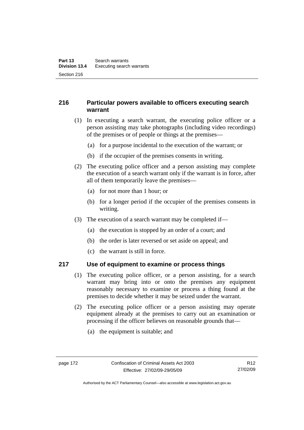# **216 Particular powers available to officers executing search warrant**

- (1) In executing a search warrant, the executing police officer or a person assisting may take photographs (including video recordings) of the premises or of people or things at the premises—
	- (a) for a purpose incidental to the execution of the warrant; or
	- (b) if the occupier of the premises consents in writing.
- (2) The executing police officer and a person assisting may complete the execution of a search warrant only if the warrant is in force, after all of them temporarily leave the premises—
	- (a) for not more than 1 hour; or
	- (b) for a longer period if the occupier of the premises consents in writing.
- (3) The execution of a search warrant may be completed if—
	- (a) the execution is stopped by an order of a court; and
	- (b) the order is later reversed or set aside on appeal; and
	- (c) the warrant is still in force.

# **217 Use of equipment to examine or process things**

- (1) The executing police officer, or a person assisting, for a search warrant may bring into or onto the premises any equipment reasonably necessary to examine or process a thing found at the premises to decide whether it may be seized under the warrant.
- (2) The executing police officer or a person assisting may operate equipment already at the premises to carry out an examination or processing if the officer believes on reasonable grounds that—
	- (a) the equipment is suitable; and

Authorised by the ACT Parliamentary Counsel—also accessible at www.legislation.act.gov.au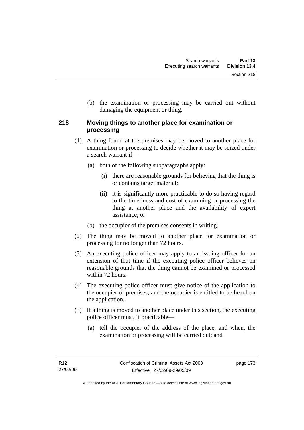(b) the examination or processing may be carried out without damaging the equipment or thing.

# **218 Moving things to another place for examination or processing**

- (1) A thing found at the premises may be moved to another place for examination or processing to decide whether it may be seized under a search warrant if—
	- (a) both of the following subparagraphs apply:
		- (i) there are reasonable grounds for believing that the thing is or contains target material;
		- (ii) it is significantly more practicable to do so having regard to the timeliness and cost of examining or processing the thing at another place and the availability of expert assistance; or
	- (b) the occupier of the premises consents in writing.
- (2) The thing may be moved to another place for examination or processing for no longer than 72 hours.
- (3) An executing police officer may apply to an issuing officer for an extension of that time if the executing police officer believes on reasonable grounds that the thing cannot be examined or processed within 72 hours.
- (4) The executing police officer must give notice of the application to the occupier of premises, and the occupier is entitled to be heard on the application.
- (5) If a thing is moved to another place under this section, the executing police officer must, if practicable—
	- (a) tell the occupier of the address of the place, and when, the examination or processing will be carried out; and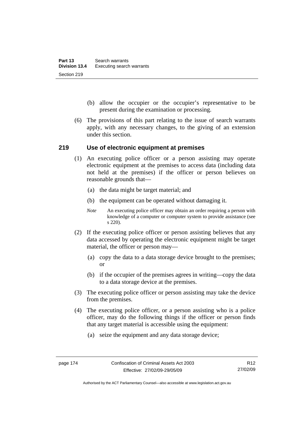- (b) allow the occupier or the occupier's representative to be present during the examination or processing.
- (6) The provisions of this part relating to the issue of search warrants apply, with any necessary changes, to the giving of an extension under this section.

### **219 Use of electronic equipment at premises**

- (1) An executing police officer or a person assisting may operate electronic equipment at the premises to access data (including data not held at the premises) if the officer or person believes on reasonable grounds that—
	- (a) the data might be target material; and
	- (b) the equipment can be operated without damaging it.
	- *Note* An executing police officer may obtain an order requiring a person with knowledge of a computer or computer system to provide assistance (see s 220).
- (2) If the executing police officer or person assisting believes that any data accessed by operating the electronic equipment might be target material, the officer or person may—
	- (a) copy the data to a data storage device brought to the premises; or
	- (b) if the occupier of the premises agrees in writing—copy the data to a data storage device at the premises.
- (3) The executing police officer or person assisting may take the device from the premises.
- (4) The executing police officer, or a person assisting who is a police officer, may do the following things if the officer or person finds that any target material is accessible using the equipment:
	- (a) seize the equipment and any data storage device;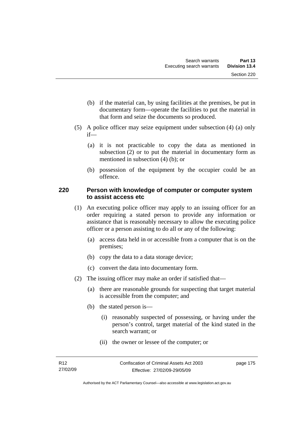- (b) if the material can, by using facilities at the premises, be put in documentary form—operate the facilities to put the material in that form and seize the documents so produced.
- (5) A police officer may seize equipment under subsection (4) (a) only if—
	- (a) it is not practicable to copy the data as mentioned in subsection (2) or to put the material in documentary form as mentioned in subsection (4) (b); or
	- (b) possession of the equipment by the occupier could be an offence.

# **220 Person with knowledge of computer or computer system to assist access etc**

- (1) An executing police officer may apply to an issuing officer for an order requiring a stated person to provide any information or assistance that is reasonably necessary to allow the executing police officer or a person assisting to do all or any of the following:
	- (a) access data held in or accessible from a computer that is on the premises;
	- (b) copy the data to a data storage device;
	- (c) convert the data into documentary form.
- (2) The issuing officer may make an order if satisfied that—
	- (a) there are reasonable grounds for suspecting that target material is accessible from the computer; and
	- (b) the stated person is—
		- (i) reasonably suspected of possessing, or having under the person's control, target material of the kind stated in the search warrant; or
		- (ii) the owner or lessee of the computer; or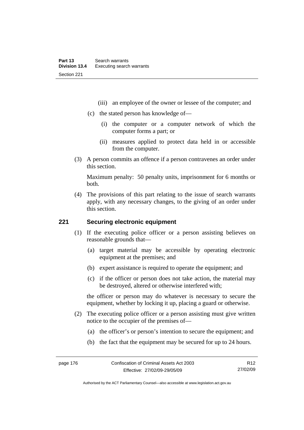- (iii) an employee of the owner or lessee of the computer; and
- (c) the stated person has knowledge of—
	- (i) the computer or a computer network of which the computer forms a part; or
	- (ii) measures applied to protect data held in or accessible from the computer.
- (3) A person commits an offence if a person contravenes an order under this section.

Maximum penalty: 50 penalty units, imprisonment for 6 months or both.

 (4) The provisions of this part relating to the issue of search warrants apply, with any necessary changes, to the giving of an order under this section.

# **221 Securing electronic equipment**

- (1) If the executing police officer or a person assisting believes on reasonable grounds that—
	- (a) target material may be accessible by operating electronic equipment at the premises; and
	- (b) expert assistance is required to operate the equipment; and
	- (c) if the officer or person does not take action, the material may be destroyed, altered or otherwise interfered with;

the officer or person may do whatever is necessary to secure the equipment, whether by locking it up, placing a guard or otherwise.

- (2) The executing police officer or a person assisting must give written notice to the occupier of the premises of—
	- (a) the officer's or person's intention to secure the equipment; and
	- (b) the fact that the equipment may be secured for up to 24 hours.

Authorised by the ACT Parliamentary Counsel—also accessible at www.legislation.act.gov.au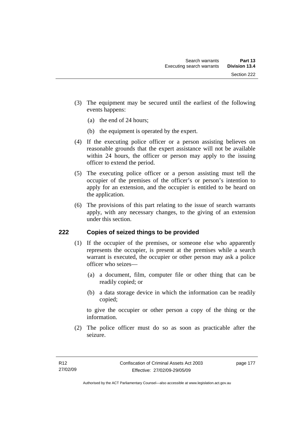- (3) The equipment may be secured until the earliest of the following events happens:
	- (a) the end of 24 hours;
	- (b) the equipment is operated by the expert.
- (4) If the executing police officer or a person assisting believes on reasonable grounds that the expert assistance will not be available within 24 hours, the officer or person may apply to the issuing officer to extend the period.
- (5) The executing police officer or a person assisting must tell the occupier of the premises of the officer's or person's intention to apply for an extension, and the occupier is entitled to be heard on the application.
- (6) The provisions of this part relating to the issue of search warrants apply, with any necessary changes, to the giving of an extension under this section.

# **222 Copies of seized things to be provided**

- (1) If the occupier of the premises, or someone else who apparently represents the occupier, is present at the premises while a search warrant is executed, the occupier or other person may ask a police officer who seizes—
	- (a) a document, film, computer file or other thing that can be readily copied; or
	- (b) a data storage device in which the information can be readily copied;

to give the occupier or other person a copy of the thing or the information.

 (2) The police officer must do so as soon as practicable after the seizure.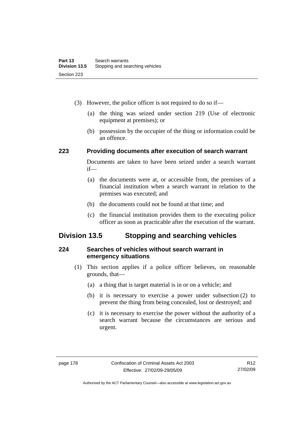- (3) However, the police officer is not required to do so if—
	- (a) the thing was seized under section 219 (Use of electronic equipment at premises); or
	- (b) possession by the occupier of the thing or information could be an offence.

# **223 Providing documents after execution of search warrant**

Documents are taken to have been seized under a search warrant if—

- (a) the documents were at, or accessible from, the premises of a financial institution when a search warrant in relation to the premises was executed; and
- (b) the documents could not be found at that time; and
- (c) the financial institution provides them to the executing police officer as soon as practicable after the execution of the warrant.

# **Division 13.5 Stopping and searching vehicles**

# **224 Searches of vehicles without search warrant in emergency situations**

- (1) This section applies if a police officer believes, on reasonable grounds, that—
	- (a) a thing that is target material is in or on a vehicle; and
	- (b) it is necessary to exercise a power under subsection (2) to prevent the thing from being concealed, lost or destroyed; and
	- (c) it is necessary to exercise the power without the authority of a search warrant because the circumstances are serious and urgent.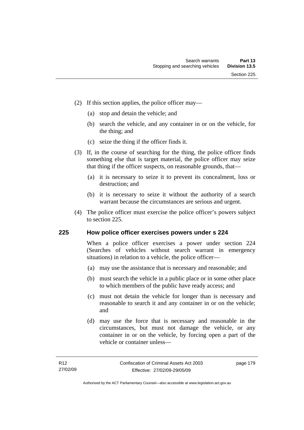- (2) If this section applies, the police officer may—
	- (a) stop and detain the vehicle; and
	- (b) search the vehicle, and any container in or on the vehicle, for the thing; and
	- (c) seize the thing if the officer finds it.
- (3) If, in the course of searching for the thing, the police officer finds something else that is target material, the police officer may seize that thing if the officer suspects, on reasonable grounds, that—
	- (a) it is necessary to seize it to prevent its concealment, loss or destruction; and
	- (b) it is necessary to seize it without the authority of a search warrant because the circumstances are serious and urgent.
- (4) The police officer must exercise the police officer's powers subject to section 225.

# **225 How police officer exercises powers under s 224**

When a police officer exercises a power under section 224 (Searches of vehicles without search warrant in emergency situations) in relation to a vehicle, the police officer—

- (a) may use the assistance that is necessary and reasonable; and
- (b) must search the vehicle in a public place or in some other place to which members of the public have ready access; and
- (c) must not detain the vehicle for longer than is necessary and reasonable to search it and any container in or on the vehicle; and
- (d) may use the force that is necessary and reasonable in the circumstances, but must not damage the vehicle, or any container in or on the vehicle, by forcing open a part of the vehicle or container unless—

page 179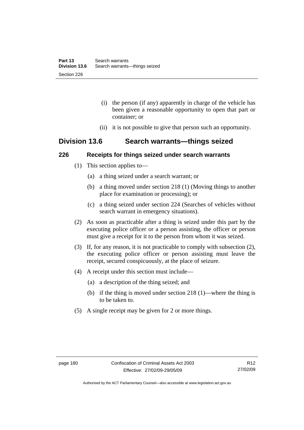- (i) the person (if any) apparently in charge of the vehicle has been given a reasonable opportunity to open that part or container; or
- (ii) it is not possible to give that person such an opportunity.

# **Division 13.6 Search warrants—things seized**

# **226 Receipts for things seized under search warrants**

- (1) This section applies to—
	- (a) a thing seized under a search warrant; or
	- (b) a thing moved under section 218 (1) (Moving things to another place for examination or processing); or
	- (c) a thing seized under section 224 (Searches of vehicles without search warrant in emergency situations).
- (2) As soon as practicable after a thing is seized under this part by the executing police officer or a person assisting, the officer or person must give a receipt for it to the person from whom it was seized.
- (3) If, for any reason, it is not practicable to comply with subsection (2), the executing police officer or person assisting must leave the receipt, secured conspicuously, at the place of seizure.
- (4) A receipt under this section must include—
	- (a) a description of the thing seized; and
	- (b) if the thing is moved under section 218 (1)—where the thing is to be taken to.
- (5) A single receipt may be given for 2 or more things.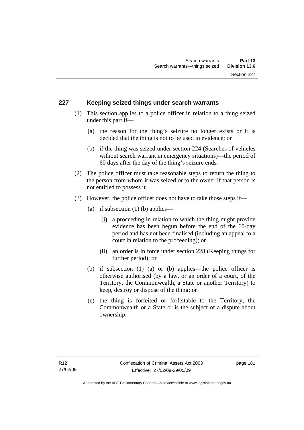# **227 Keeping seized things under search warrants**

- (1) This section applies to a police officer in relation to a thing seized under this part if—
	- (a) the reason for the thing's seizure no longer exists or it is decided that the thing is not to be used in evidence; or
	- (b) if the thing was seized under section 224 (Searches of vehicles without search warrant in emergency situations)—the period of 60 days after the day of the thing's seizure ends.
- (2) The police officer must take reasonable steps to return the thing to the person from whom it was seized or to the owner if that person is not entitled to possess it.
- (3) However, the police officer does not have to take those steps if—
	- (a) if subsection  $(1)$  (b) applies—
		- (i) a proceeding in relation to which the thing might provide evidence has been begun before the end of the 60-day period and has not been finalised (including an appeal to a court in relation to the proceeding); or
		- (ii) an order is in force under section 228 (Keeping things for further period); or
	- (b) if subsection (1) (a) or (b) applies—the police officer is otherwise authorised (by a law, or an order of a court, of the Territory, the Commonwealth, a State or another Territory) to keep, destroy or dispose of the thing; or
	- (c) the thing is forfeited or forfeitable to the Territory, the Commonwealth or a State or is the subject of a dispute about ownership.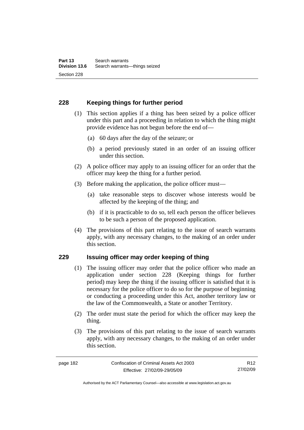# **228 Keeping things for further period**

- (1) This section applies if a thing has been seized by a police officer under this part and a proceeding in relation to which the thing might provide evidence has not begun before the end of—
	- (a) 60 days after the day of the seizure; or
	- (b) a period previously stated in an order of an issuing officer under this section.
- (2) A police officer may apply to an issuing officer for an order that the officer may keep the thing for a further period.
- (3) Before making the application, the police officer must—
	- (a) take reasonable steps to discover whose interests would be affected by the keeping of the thing; and
	- (b) if it is practicable to do so, tell each person the officer believes to be such a person of the proposed application.
- (4) The provisions of this part relating to the issue of search warrants apply, with any necessary changes, to the making of an order under this section.

# **229 Issuing officer may order keeping of thing**

- (1) The issuing officer may order that the police officer who made an application under section 228 (Keeping things for further period) may keep the thing if the issuing officer is satisfied that it is necessary for the police officer to do so for the purpose of beginning or conducting a proceeding under this Act, another territory law or the law of the Commonwealth, a State or another Territory.
- (2) The order must state the period for which the officer may keep the thing.
- (3) The provisions of this part relating to the issue of search warrants apply, with any necessary changes, to the making of an order under this section.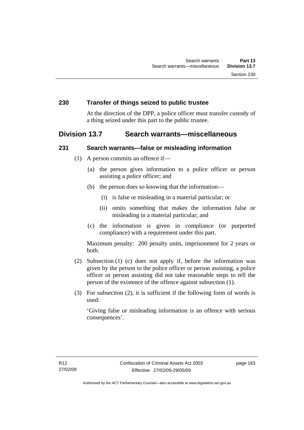# **230 Transfer of things seized to public trustee**

At the direction of the DPP, a police officer must transfer custody of a thing seized under this part to the public trustee.

# **Division 13.7 Search warrants—miscellaneous**

### **231 Search warrants—false or misleading information**

- (1) A person commits an offence if—
	- (a) the person gives information to a police officer or person assisting a police officer; and
	- (b) the person does so knowing that the information—
		- (i) is false or misleading in a material particular; or
		- (ii) omits something that makes the information false or misleading in a material particular; and
	- (c) the information is given in compliance (or purported compliance) with a requirement under this part.

Maximum penalty: 200 penalty units, imprisonment for 2 years or both.

- (2) Subsection (1) (c) does not apply if, before the information was given by the person to the police officer or person assisting, a police officer or person assisting did not take reasonable steps to tell the person of the existence of the offence against subsection (1).
- (3) For subsection (2), it is sufficient if the following form of words is used:

'Giving false or misleading information is an offence with serious consequences'.

page 183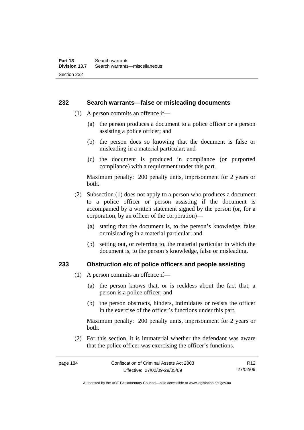#### **232 Search warrants—false or misleading documents**

- (1) A person commits an offence if—
	- (a) the person produces a document to a police officer or a person assisting a police officer; and
	- (b) the person does so knowing that the document is false or misleading in a material particular; and
	- (c) the document is produced in compliance (or purported compliance) with a requirement under this part.

Maximum penalty: 200 penalty units, imprisonment for 2 years or both.

- (2) Subsection (1) does not apply to a person who produces a document to a police officer or person assisting if the document is accompanied by a written statement signed by the person (or, for a corporation, by an officer of the corporation)—
	- (a) stating that the document is, to the person's knowledge, false or misleading in a material particular; and
	- (b) setting out, or referring to, the material particular in which the document is, to the person's knowledge, false or misleading.

### **233 Obstruction etc of police officers and people assisting**

- (1) A person commits an offence if—
	- (a) the person knows that, or is reckless about the fact that, a person is a police officer; and
	- (b) the person obstructs, hinders, intimidates or resists the officer in the exercise of the officer's functions under this part.

Maximum penalty: 200 penalty units, imprisonment for 2 years or both.

 (2) For this section, it is immaterial whether the defendant was aware that the police officer was exercising the officer's functions.

Authorised by the ACT Parliamentary Counsel—also accessible at www.legislation.act.gov.au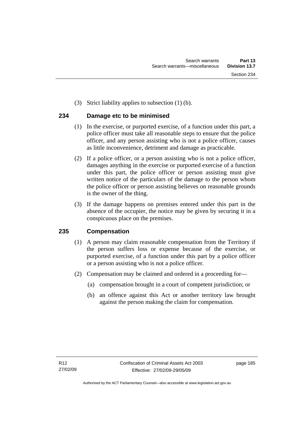(3) Strict liability applies to subsection (1) (b).

# **234 Damage etc to be minimised**

- (1) In the exercise, or purported exercise, of a function under this part, a police officer must take all reasonable steps to ensure that the police officer, and any person assisting who is not a police officer, causes as little inconvenience, detriment and damage as practicable.
- (2) If a police officer, or a person assisting who is not a police officer, damages anything in the exercise or purported exercise of a function under this part, the police officer or person assisting must give written notice of the particulars of the damage to the person whom the police officer or person assisting believes on reasonable grounds is the owner of the thing.
- (3) If the damage happens on premises entered under this part in the absence of the occupier, the notice may be given by securing it in a conspicuous place on the premises.

# **235 Compensation**

- (1) A person may claim reasonable compensation from the Territory if the person suffers loss or expense because of the exercise, or purported exercise, of a function under this part by a police officer or a person assisting who is not a police officer.
- (2) Compensation may be claimed and ordered in a proceeding for—
	- (a) compensation brought in a court of competent jurisdiction; or
	- (b) an offence against this Act or another territory law brought against the person making the claim for compensation.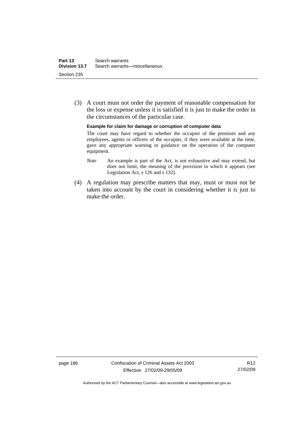(3) A court must not order the payment of reasonable compensation for the loss or expense unless it is satisfied it is just to make the order in the circumstances of the particular case.

**Example for claim for damage or corruption of computer data** 

The court may have regard to whether the occupier of the premises and any employees, agents or officers of the occupier, if they were available at the time, gave any appropriate warning or guidance on the operation of the computer equipment.

- *Note* An example is part of the Act, is not exhaustive and may extend, but does not limit, the meaning of the provision in which it appears (see Legislation Act, s 126 and s 132).
- (4) A regulation may prescribe matters that may, must or must not be taken into account by the court in considering whether it is just to make the order.

page 186 Confiscation of Criminal Assets Act 2003 Effective: 27/02/09-29/05/09

Authorised by the ACT Parliamentary Counsel—also accessible at www.legislation.act.gov.au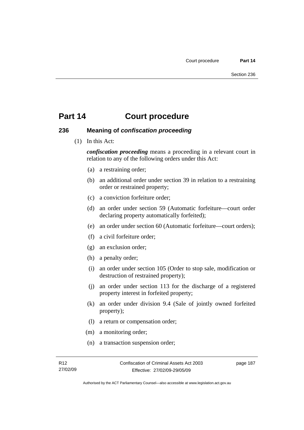### **236 Meaning of** *confiscation proceeding*

(1) In this Act:

*confiscation proceeding* means a proceeding in a relevant court in relation to any of the following orders under this Act:

- (a) a restraining order;
- (b) an additional order under section 39 in relation to a restraining order or restrained property;
- (c) a conviction forfeiture order;
- (d) an order under section 59 (Automatic forfeiture—court order declaring property automatically forfeited);
- (e) an order under section 60 (Automatic forfeiture—court orders);
- (f) a civil forfeiture order;
- (g) an exclusion order;
- (h) a penalty order;
- (i) an order under section 105 (Order to stop sale, modification or destruction of restrained property);
- (j) an order under section 113 for the discharge of a registered property interest in forfeited property;
- (k) an order under division 9.4 (Sale of jointly owned forfeited property);
- (l) a return or compensation order;
- (m) a monitoring order;
- (n) a transaction suspension order;

page 187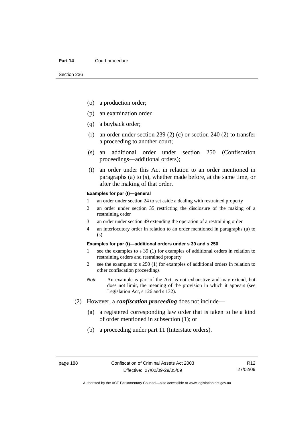- (o) a production order;
- (p) an examination order
- (q) a buyback order;
- (r) an order under section 239 (2) (c) or section 240 (2) to transfer a proceeding to another court;
- (s) an additional order under section 250 (Confiscation proceedings—additional orders);
- (t) an order under this Act in relation to an order mentioned in paragraphs (a) to (s), whether made before, at the same time, or after the making of that order.

#### **Examples for par (t)—general**

- 1 an order under section 24 to set aside a dealing with restrained property
- 2 an order under section 35 restricting the disclosure of the making of a restraining order
- 3 an order under section 49 extending the operation of a restraining order
- 4 an interlocutory order in relation to an order mentioned in paragraphs (a) to (s)

#### **Examples for par (t)—additional orders under s 39 and s 250**

- 1 see the examples to s 39 (1) for examples of additional orders in relation to restraining orders and restrained property
- 2 see the examples to s 250 (1) for examples of additional orders in relation to other confiscation proceedings
- *Note* An example is part of the Act, is not exhaustive and may extend, but does not limit, the meaning of the provision in which it appears (see Legislation Act, s 126 and s 132).
- (2) However, a *confiscation proceeding* does not include—
	- (a) a registered corresponding law order that is taken to be a kind of order mentioned in subsection (1); or
	- (b) a proceeding under part 11 (Interstate orders).

R12 27/02/09

Authorised by the ACT Parliamentary Counsel—also accessible at www.legislation.act.gov.au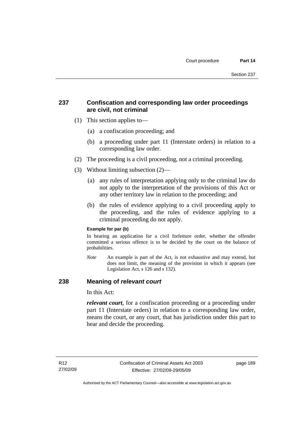# **237 Confiscation and corresponding law order proceedings are civil, not criminal**

- (1) This section applies to—
	- (a) a confiscation proceeding; and
	- (b) a proceeding under part 11 (Interstate orders) in relation to a corresponding law order.
- (2) The proceeding is a civil proceeding, not a criminal proceeding.
- (3) Without limiting subsection (2)—
	- (a) any rules of interpretation applying only to the criminal law do not apply to the interpretation of the provisions of this Act or any other territory law in relation to the proceeding; and
	- (b) the rules of evidence applying to a civil proceeding apply to the proceeding, and the rules of evidence applying to a criminal proceeding do not apply.

#### **Example for par (b)**

In hearing an application for a civil forfeiture order, whether the offender committed a serious offence is to be decided by the court on the balance of probabilities.

*Note* An example is part of the Act, is not exhaustive and may extend, but does not limit, the meaning of the provision in which it appears (see Legislation Act, s 126 and s 132).

# **238 Meaning of** *relevant court*

In this Act:

*relevant court*, for a confiscation proceeding or a proceeding under part 11 (Interstate orders) in relation to a corresponding law order, means the court, or any court, that has jurisdiction under this part to hear and decide the proceeding.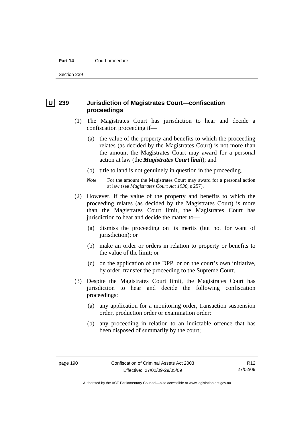Section 239

# **U 239 Jurisdiction of Magistrates Court—confiscation proceedings**

- (1) The Magistrates Court has jurisdiction to hear and decide a confiscation proceeding if—
	- (a) the value of the property and benefits to which the proceeding relates (as decided by the Magistrates Court) is not more than the amount the Magistrates Court may award for a personal action at law (the *Magistrates Court limit*); and
	- (b) title to land is not genuinely in question in the proceeding.
	- *Note* For the amount the Magistrates Court may award for a personal action at law (see *Magistrates Court Act 1930*, s 257).
- (2) However, if the value of the property and benefits to which the proceeding relates (as decided by the Magistrates Court) is more than the Magistrates Court limit, the Magistrates Court has jurisdiction to hear and decide the matter to—
	- (a) dismiss the proceeding on its merits (but not for want of jurisdiction); or
	- (b) make an order or orders in relation to property or benefits to the value of the limit; or
	- (c) on the application of the DPP, or on the court's own initiative, by order, transfer the proceeding to the Supreme Court.
- (3) Despite the Magistrates Court limit, the Magistrates Court has jurisdiction to hear and decide the following confiscation proceedings:
	- (a) any application for a monitoring order, transaction suspension order, production order or examination order;
	- (b) any proceeding in relation to an indictable offence that has been disposed of summarily by the court;

R12 27/02/09

Authorised by the ACT Parliamentary Counsel—also accessible at www.legislation.act.gov.au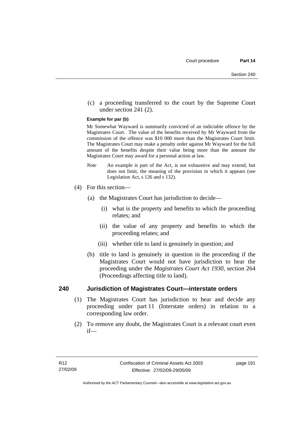(c) a proceeding transferred to the court by the Supreme Court under section 241 (2).

#### **Example for par (b)**

Mr Somewhat Wayward is summarily convicted of an indictable offence by the Magistrates Court. The value of the benefits received by Mr Wayward from the commission of the offence was \$10 000 more than the Magistrates Court limit. The Magistrates Court may make a penalty order against Mr Wayward for the full amount of the benefits despite their value being more than the amount the Magistrates Court may award for a personal action at law.

- *Note* An example is part of the Act, is not exhaustive and may extend, but does not limit, the meaning of the provision in which it appears (see Legislation Act, s 126 and s 132).
- (4) For this section—
	- (a) the Magistrates Court has jurisdiction to decide—
		- (i) what is the property and benefits to which the proceeding relates; and
		- (ii) the value of any property and benefits to which the proceeding relates; and
		- (iii) whether title to land is genuinely in question; and
	- (b) title to land is genuinely in question in the proceeding if the Magistrates Court would not have jurisdiction to hear the proceeding under the *Magistrates Court Act 1930*, section 264 (Proceedings affecting title to land).

#### **240 Jurisdiction of Magistrates Court—interstate orders**

- (1) The Magistrates Court has jurisdiction to hear and decide any proceeding under part 11 (Interstate orders) in relation to a corresponding law order.
- (2) To remove any doubt, the Magistrates Court is a relevant court even if—

page 191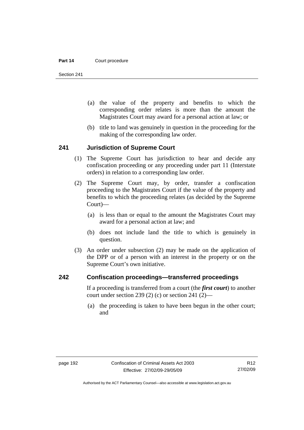Section 241

- (a) the value of the property and benefits to which the corresponding order relates is more than the amount the Magistrates Court may award for a personal action at law; or
- (b) title to land was genuinely in question in the proceeding for the making of the corresponding law order.

#### **241 Jurisdiction of Supreme Court**

- (1) The Supreme Court has jurisdiction to hear and decide any confiscation proceeding or any proceeding under part 11 (Interstate orders) in relation to a corresponding law order.
- (2) The Supreme Court may, by order, transfer a confiscation proceeding to the Magistrates Court if the value of the property and benefits to which the proceeding relates (as decided by the Supreme Court)—
	- (a) is less than or equal to the amount the Magistrates Court may award for a personal action at law; and
	- (b) does not include land the title to which is genuinely in question.
- (3) An order under subsection (2) may be made on the application of the DPP or of a person with an interest in the property or on the Supreme Court's own initiative.

### **242 Confiscation proceedings—transferred proceedings**

If a proceeding is transferred from a court (the *first court*) to another court under section 239 (2) (c) or section 241 (2)—

 (a) the proceeding is taken to have been begun in the other court; and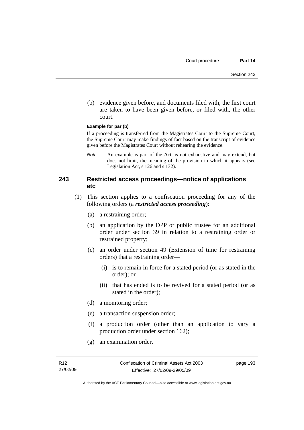(b) evidence given before, and documents filed with, the first court are taken to have been given before, or filed with, the other court.

#### **Example for par (b)**

If a proceeding is transferred from the Magistrates Court to the Supreme Court, the Supreme Court may make findings of fact based on the transcript of evidence given before the Magistrates Court without rehearing the evidence.

*Note* An example is part of the Act, is not exhaustive and may extend, but does not limit, the meaning of the provision in which it appears (see Legislation Act, s 126 and s 132).

# **243 Restricted access proceedings—notice of applications etc**

- (1) This section applies to a confiscation proceeding for any of the following orders (a *restricted access proceeding*):
	- (a) a restraining order;
	- (b) an application by the DPP or public trustee for an additional order under section 39 in relation to a restraining order or restrained property;
	- (c) an order under section 49 (Extension of time for restraining orders) that a restraining order—
		- (i) is to remain in force for a stated period (or as stated in the order); or
		- (ii) that has ended is to be revived for a stated period (or as stated in the order);
	- (d) a monitoring order;
	- (e) a transaction suspension order;
	- (f) a production order (other than an application to vary a production order under section 162);
	- (g) an examination order.

page 193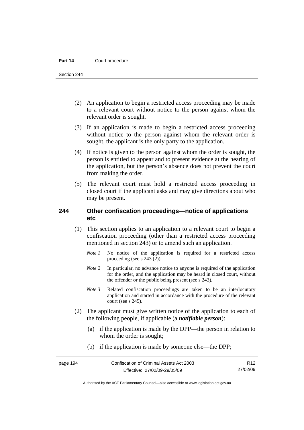Section 244

- (2) An application to begin a restricted access proceeding may be made to a relevant court without notice to the person against whom the relevant order is sought.
- (3) If an application is made to begin a restricted access proceeding without notice to the person against whom the relevant order is sought, the applicant is the only party to the application.
- (4) If notice is given to the person against whom the order is sought, the person is entitled to appear and to present evidence at the hearing of the application, but the person's absence does not prevent the court from making the order.
- (5) The relevant court must hold a restricted access proceeding in closed court if the applicant asks and may give directions about who may be present.

# **244 Other confiscation proceedings—notice of applications etc**

- (1) This section applies to an application to a relevant court to begin a confiscation proceeding (other than a restricted access proceeding mentioned in section 243) or to amend such an application.
	- *Note 1* No notice of the application is required for a restricted access proceeding (see s 243 (2)).
	- *Note 2* In particular, no advance notice to anyone is required of the application for the order, and the application may be heard in closed court, without the offender or the public being present (see s 243).
	- *Note 3* Related confiscation proceedings are taken to be an interlocutory application and started in accordance with the procedure of the relevant court (see s 245).
- (2) The applicant must give written notice of the application to each of the following people, if applicable (a *notifiable person*):
	- (a) if the application is made by the DPP—the person in relation to whom the order is sought;
	- (b) if the application is made by someone else—the DPP;

Authorised by the ACT Parliamentary Counsel—also accessible at www.legislation.act.gov.au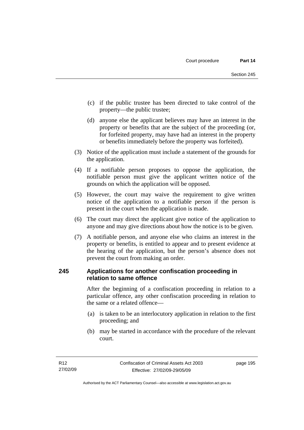- (c) if the public trustee has been directed to take control of the property—the public trustee;
- (d) anyone else the applicant believes may have an interest in the property or benefits that are the subject of the proceeding (or, for forfeited property, may have had an interest in the property or benefits immediately before the property was forfeited).
- (3) Notice of the application must include a statement of the grounds for the application.
- (4) If a notifiable person proposes to oppose the application, the notifiable person must give the applicant written notice of the grounds on which the application will be opposed.
- (5) However, the court may waive the requirement to give written notice of the application to a notifiable person if the person is present in the court when the application is made.
- (6) The court may direct the applicant give notice of the application to anyone and may give directions about how the notice is to be given.
- (7) A notifiable person, and anyone else who claims an interest in the property or benefits, is entitled to appear and to present evidence at the hearing of the application, but the person's absence does not prevent the court from making an order.

# **245 Applications for another confiscation proceeding in relation to same offence**

After the beginning of a confiscation proceeding in relation to a particular offence, any other confiscation proceeding in relation to the same or a related offence—

- (a) is taken to be an interlocutory application in relation to the first proceeding; and
- (b) may be started in accordance with the procedure of the relevant court.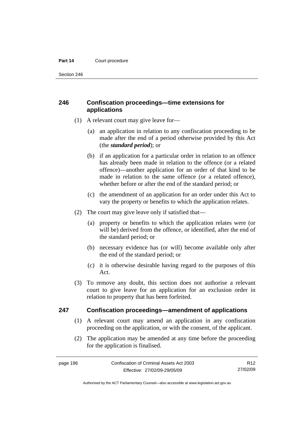Section 246

# **246 Confiscation proceedings—time extensions for applications**

- (1) A relevant court may give leave for—
	- (a) an application in relation to any confiscation proceeding to be made after the end of a period otherwise provided by this Act (the *standard period*); or
	- (b) if an application for a particular order in relation to an offence has already been made in relation to the offence (or a related offence)—another application for an order of that kind to be made in relation to the same offence (or a related offence), whether before or after the end of the standard period; or
	- (c) the amendment of an application for an order under this Act to vary the property or benefits to which the application relates.
- (2) The court may give leave only if satisfied that—
	- (a) property or benefits to which the application relates were (or will be) derived from the offence, or identified, after the end of the standard period; or
	- (b) necessary evidence has (or will) become available only after the end of the standard period; or
	- (c) it is otherwise desirable having regard to the purposes of this Act.
- (3) To remove any doubt, this section does not authorise a relevant court to give leave for an application for an exclusion order in relation to property that has been forfeited.

# **247 Confiscation proceedings—amendment of applications**

- (1) A relevant court may amend an application in any confiscation proceeding on the application, or with the consent, of the applicant.
- (2) The application may be amended at any time before the proceeding for the application is finalised.

R12 27/02/09

Authorised by the ACT Parliamentary Counsel—also accessible at www.legislation.act.gov.au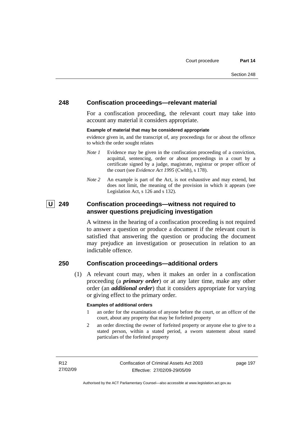# **248 Confiscation proceedings—relevant material**

For a confiscation proceeding, the relevant court may take into account any material it considers appropriate.

#### **Example of material that may be considered appropriate**

evidence given in, and the transcript of, any proceedings for or about the offence to which the order sought relates

- *Note 1* Evidence may be given in the confiscation proceeding of a conviction, acquittal, sentencing, order or about proceedings in a court by a certificate signed by a judge, magistrate, registrar or proper officer of the court (see *Evidence Act 1995* (Cwlth), s 178).
- *Note* 2 An example is part of the Act, is not exhaustive and may extend, but does not limit, the meaning of the provision in which it appears (see Legislation Act, s 126 and s 132).

# **U 249 Confiscation proceedings—witness not required to answer questions prejudicing investigation**

A witness in the hearing of a confiscation proceeding is not required to answer a question or produce a document if the relevant court is satisfied that answering the question or producing the document may prejudice an investigation or prosecution in relation to an indictable offence.

# **250 Confiscation proceedings—additional orders**

 (1) A relevant court may, when it makes an order in a confiscation proceeding (a *primary order*) or at any later time, make any other order (an *additional order*) that it considers appropriate for varying or giving effect to the primary order.

#### **Examples of additional orders**

- 1 an order for the examination of anyone before the court, or an officer of the court, about any property that may be forfeited property
- 2 an order directing the owner of forfeited property or anyone else to give to a stated person, within a stated period, a sworn statement about stated particulars of the forfeited property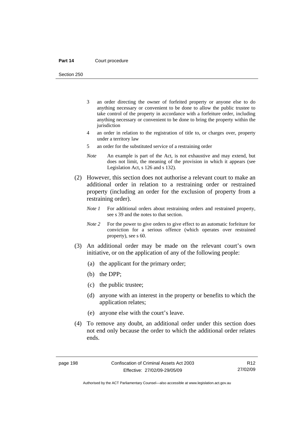Section 250

- 3 an order directing the owner of forfeited property or anyone else to do anything necessary or convenient to be done to allow the public trustee to take control of the property in accordance with a forfeiture order, including anything necessary or convenient to be done to bring the property within the jurisdiction
- 4 an order in relation to the registration of title to, or charges over, property under a territory law
- 5 an order for the substituted service of a restraining order
- *Note* An example is part of the Act, is not exhaustive and may extend, but does not limit, the meaning of the provision in which it appears (see Legislation Act, s 126 and s 132).
- (2) However, this section does not authorise a relevant court to make an additional order in relation to a restraining order or restrained property (including an order for the exclusion of property from a restraining order).
	- *Note 1* For additional orders about restraining orders and restrained property, see s 39 and the notes to that section.
	- *Note 2* For the power to give orders to give effect to an automatic forfeiture for conviction for a serious offence (which operates over restrained property), see s 60.
- (3) An additional order may be made on the relevant court's own initiative, or on the application of any of the following people:
	- (a) the applicant for the primary order;
	- (b) the DPP;
	- (c) the public trustee;
	- (d) anyone with an interest in the property or benefits to which the application relates;
	- (e) anyone else with the court's leave.
- (4) To remove any doubt, an additional order under this section does not end only because the order to which the additional order relates ends.

Authorised by the ACT Parliamentary Counsel—also accessible at www.legislation.act.gov.au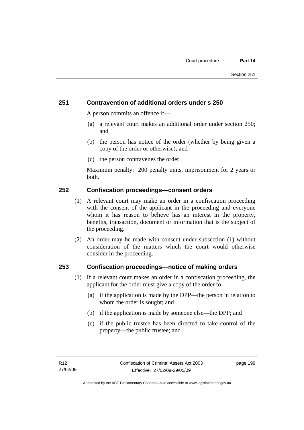# **251 Contravention of additional orders under s 250**

A person commits an offence if—

- (a) a relevant court makes an additional order under section 250; and
- (b) the person has notice of the order (whether by being given a copy of the order or otherwise); and
- (c) the person contravenes the order.

Maximum penalty: 200 penalty units, imprisonment for 2 years or both.

# **252 Confiscation proceedings—consent orders**

- (1) A relevant court may make an order in a confiscation proceeding with the consent of the applicant in the proceeding and everyone whom it has reason to believe has an interest in the property, benefits, transaction, document or information that is the subject of the proceeding.
- (2) An order may be made with consent under subsection (1) without consideration of the matters which the court would otherwise consider in the proceeding.

# **253 Confiscation proceedings—notice of making orders**

- (1) If a relevant court makes an order in a confiscation proceeding, the applicant for the order must give a copy of the order to—
	- (a) if the application is made by the DPP—the person in relation to whom the order is sought; and
	- (b) if the application is made by someone else—the DPP; and
	- (c) if the public trustee has been directed to take control of the property—the public trustee; and

page 199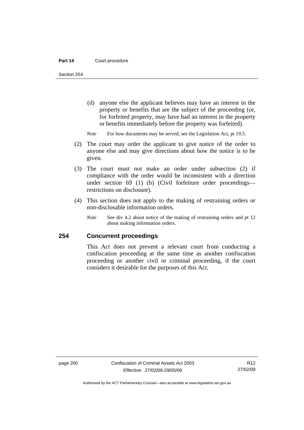Section 254

- (d) anyone else the applicant believes may have an interest in the property or benefits that are the subject of the proceeding (or, for forfeited property, may have had an interest in the property or benefits immediately before the property was forfeited).
- *Note* For how documents may be served, see the Legislation Act, pt 19.5.
- (2) The court may order the applicant to give notice of the order to anyone else and may give directions about how the notice is to be given.
- (3) The court must not make an order under subsection (2) if compliance with the order would be inconsistent with a direction under section 69 (1) (b) (Civil forfeiture order proceedings restrictions on disclosure).
- (4) This section does not apply to the making of restraining orders or non-disclosable information orders.
	- *Note* See div 4.2 about notice of the making of restraining orders and pt 12 about making information orders.

# **254 Concurrent proceedings**

This Act does not prevent a relevant court from conducting a confiscation proceeding at the same time as another confiscation proceeding or another civil or criminal proceeding, if the court considers it desirable for the purposes of this Act.

Authorised by the ACT Parliamentary Counsel—also accessible at www.legislation.act.gov.au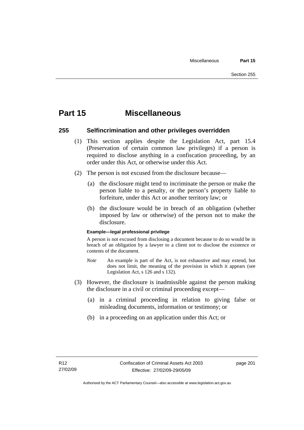# **Part 15 Miscellaneous**

# **255 Selfincrimination and other privileges overridden**

- (1) This section applies despite the Legislation Act, part 15.4 (Preservation of certain common law privileges) if a person is required to disclose anything in a confiscation proceeding, by an order under this Act, or otherwise under this Act.
- (2) The person is not excused from the disclosure because—
	- (a) the disclosure might tend to incriminate the person or make the person liable to a penalty, or the person's property liable to forfeiture, under this Act or another territory law; or
	- (b) the disclosure would be in breach of an obligation (whether imposed by law or otherwise) of the person not to make the disclosure.

#### **Example—legal professional privilege**

A person is not excused from disclosing a document because to do so would be in breach of an obligation by a lawyer to a client not to disclose the existence or contents of the document.

- *Note* An example is part of the Act, is not exhaustive and may extend, but does not limit, the meaning of the provision in which it appears (see Legislation Act, s 126 and s 132).
- (3) However, the disclosure is inadmissible against the person making the disclosure in a civil or criminal proceeding except—
	- (a) in a criminal proceeding in relation to giving false or misleading documents, information or testimony; or
	- (b) in a proceeding on an application under this Act; or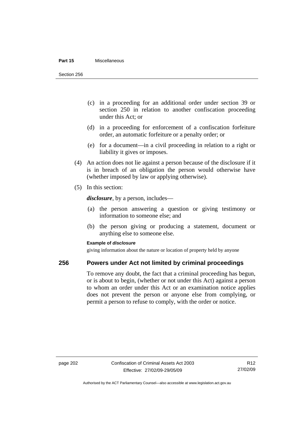#### **Part 15** Miscellaneous

Section 256

- (c) in a proceeding for an additional order under section 39 or section 250 in relation to another confiscation proceeding under this Act; or
- (d) in a proceeding for enforcement of a confiscation forfeiture order, an automatic forfeiture or a penalty order; or
- (e) for a document—in a civil proceeding in relation to a right or liability it gives or imposes.
- (4) An action does not lie against a person because of the disclosure if it is in breach of an obligation the person would otherwise have (whether imposed by law or applying otherwise).
- (5) In this section:

*disclosure*, by a person, includes—

- (a) the person answering a question or giving testimony or information to someone else; and
- (b) the person giving or producing a statement, document or anything else to someone else.

#### **Example of** *disclosure*

giving information about the nature or location of property held by anyone

#### **256 Powers under Act not limited by criminal proceedings**

To remove any doubt, the fact that a criminal proceeding has begun, or is about to begin, (whether or not under this Act) against a person to whom an order under this Act or an examination notice applies does not prevent the person or anyone else from complying, or permit a person to refuse to comply, with the order or notice.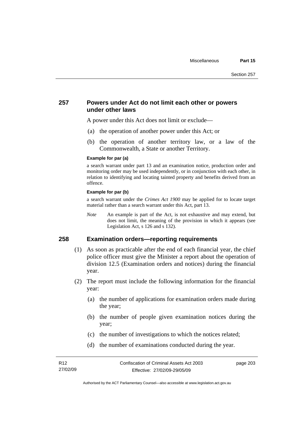## **257 Powers under Act do not limit each other or powers under other laws**

A power under this Act does not limit or exclude—

- (a) the operation of another power under this Act; or
- (b) the operation of another territory law, or a law of the Commonwealth, a State or another Territory.

#### **Example for par (a)**

a search warrant under part 13 and an examination notice, production order and monitoring order may be used independently, or in conjunction with each other, in relation to identifying and locating tainted property and benefits derived from an offence.

#### **Example for par (b)**

a search warrant under the *Crimes Act 1900* may be applied for to locate target material rather than a search warrant under this Act, part 13.

*Note* An example is part of the Act, is not exhaustive and may extend, but does not limit, the meaning of the provision in which it appears (see Legislation Act, s 126 and s 132).

## **258 Examination orders—reporting requirements**

- (1) As soon as practicable after the end of each financial year, the chief police officer must give the Minister a report about the operation of division 12.5 (Examination orders and notices) during the financial year.
- (2) The report must include the following information for the financial year:
	- (a) the number of applications for examination orders made during the year;
	- (b) the number of people given examination notices during the year;
	- (c) the number of investigations to which the notices related;
	- (d) the number of examinations conducted during the year.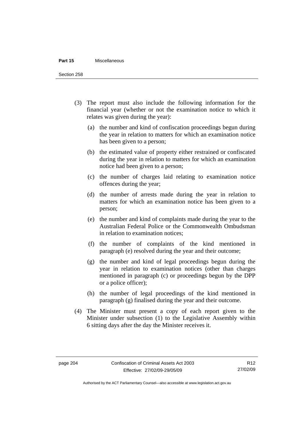#### **Part 15** Miscellaneous

Section 258

- (3) The report must also include the following information for the financial year (whether or not the examination notice to which it relates was given during the year):
	- (a) the number and kind of confiscation proceedings begun during the year in relation to matters for which an examination notice has been given to a person;
	- (b) the estimated value of property either restrained or confiscated during the year in relation to matters for which an examination notice had been given to a person;
	- (c) the number of charges laid relating to examination notice offences during the year;
	- (d) the number of arrests made during the year in relation to matters for which an examination notice has been given to a person;
	- (e) the number and kind of complaints made during the year to the Australian Federal Police or the Commonwealth Ombudsman in relation to examination notices;
	- (f) the number of complaints of the kind mentioned in paragraph (e) resolved during the year and their outcome;
	- (g) the number and kind of legal proceedings begun during the year in relation to examination notices (other than charges mentioned in paragraph (c) or proceedings begun by the DPP or a police officer);
	- (h) the number of legal proceedings of the kind mentioned in paragraph (g) finalised during the year and their outcome.
- (4) The Minister must present a copy of each report given to the Minister under subsection (1) to the Legislative Assembly within 6 sitting days after the day the Minister receives it.

Authorised by the ACT Parliamentary Counsel—also accessible at www.legislation.act.gov.au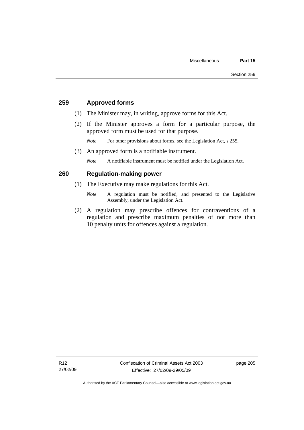## **259 Approved forms**

- (1) The Minister may, in writing, approve forms for this Act.
- (2) If the Minister approves a form for a particular purpose, the approved form must be used for that purpose.

*Note* For other provisions about forms, see the Legislation Act, s 255.

(3) An approved form is a notifiable instrument.

*Note* A notifiable instrument must be notified under the Legislation Act.

## **260 Regulation-making power**

- (1) The Executive may make regulations for this Act.
	- *Note* A regulation must be notified, and presented to the Legislative Assembly, under the Legislation Act.
- (2) A regulation may prescribe offences for contraventions of a regulation and prescribe maximum penalties of not more than 10 penalty units for offences against a regulation.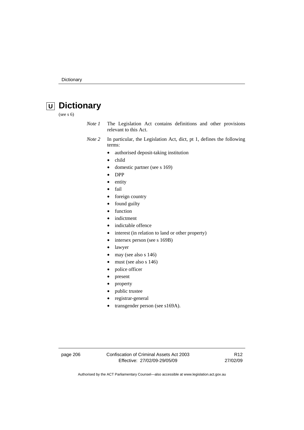# **U Dictionary**

(see s 6)

- *Note 1* The Legislation Act contains definitions and other provisions relevant to this Act.
- *Note 2* In particular, the Legislation Act, dict, pt 1, defines the following terms:
	- authorised deposit-taking institution
	- child
	- domestic partner (see s 169)
	- DPP
	- entity
	- fail
	- foreign country
	- found guilty
	- function
	- indictment
	- indictable offence
	- interest (in relation to land or other property)
	- intersex person (see s 169B)
	- lawyer
	- may (see also s 146)
	- must (see also s 146)
	- police officer
	- present
	- property
	- public trustee
	- registrar-general
	- transgender person (see s169A).

page 206 Confiscation of Criminal Assets Act 2003 Effective: 27/02/09-29/05/09

R12 27/02/09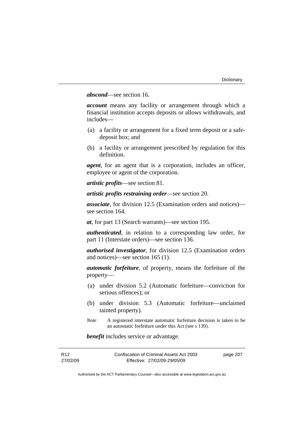## *abscond*—see section 16.

*account* means any facility or arrangement through which a financial institution accepts deposits or allows withdrawals, and includes—

- (a) a facility or arrangement for a fixed term deposit or a safedeposit box; and
- (b) a facility or arrangement prescribed by regulation for this definition.

*agent*, for an agent that is a corporation, includes an officer, employee or agent of the corporation.

*artistic profits*—see section 81.

*artistic profits restraining order*—see section 20.

*associate*, for division 12.5 (Examination orders and notices) see section 164.

*at*, for part 13 (Search warrants)—see section 195.

*authenticated*, in relation to a corresponding law order, for part 11 (Interstate orders)—see section 136.

*authorised investigator*, for division 12.5 (Examination orders and notices)—see section 165 (1).

*automatic forfeiture*, of property, means the forfeiture of the property—

- (a) under division 5.2 (Automatic forfeiture—conviction for serious offences); or
- (b) under division 5.3 (Automatic forfeiture—unclaimed tainted property).
- *Note* A registered interstate automatic forfeiture decision is taken to be an automatic forfeiture under this Act (see s 139).

*benefit* includes service or advantage.

| R <sub>12</sub> | Confiscation of Criminal Assets Act 2003 | page 207 |
|-----------------|------------------------------------------|----------|
| 27/02/09        | Effective: 27/02/09-29/05/09             |          |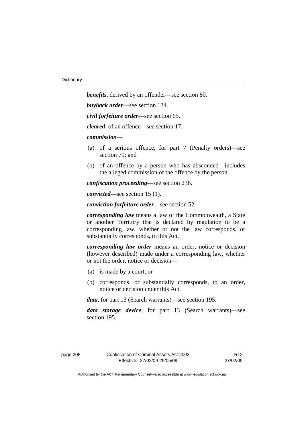*benefits*, derived by an offender—see section 80. *buyback order*—see section 124. *civil forfeiture order*—see section 65. *cleared*, of an offence—see section 17. *commission*— (a) of a serious offence, for part 7 (Penalty orders)—see section 79; and (b) of an offence by a person who has absconded—includes the alleged commission of the offence by the person. *confiscation proceeding*—see section 236.

*convicted*—see section 15 (1).

*conviction forfeiture order*—see section 52.

*corresponding law* means a law of the Commonwealth, a State or another Territory that is declared by regulation to be a corresponding law, whether or not the law corresponds, or substantially corresponds, to this Act.

*corresponding law order* means an order, notice or decision (however described) made under a corresponding law, whether or not the order, notice or decision—

- (a) is made by a court; or
- (b) corresponds, or substantially corresponds, to an order, notice or decision under this Act.

*data*, for part 13 (Search warrants)—see section 195.

*data storage device*, for part 13 (Search warrants)—see section 195.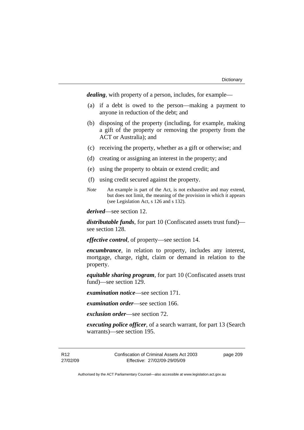*dealing*, with property of a person, includes, for example—

- (a) if a debt is owed to the person—making a payment to anyone in reduction of the debt; and
- (b) disposing of the property (including, for example, making a gift of the property or removing the property from the ACT or Australia); and
- (c) receiving the property, whether as a gift or otherwise; and
- (d) creating or assigning an interest in the property; and
- (e) using the property to obtain or extend credit; and
- (f) using credit secured against the property.
- *Note* An example is part of the Act, is not exhaustive and may extend, but does not limit, the meaning of the provision in which it appears (see Legislation Act, s 126 and s 132).

*derived*—see section 12.

*distributable funds*, for part 10 (Confiscated assets trust fund) see section 128.

*effective control*, of property—see section 14.

*encumbrance*, in relation to property, includes any interest, mortgage, charge, right, claim or demand in relation to the property.

*equitable sharing program*, for part 10 (Confiscated assets trust fund)—see section 129.

*examination notice*—see section 171.

*examination order*—see section 166.

*exclusion order*—see section 72.

*executing police officer*, of a search warrant, for part 13 (Search warrants)—see section 195.

R12 27/02/09 Confiscation of Criminal Assets Act 2003 Effective: 27/02/09-29/05/09

page 209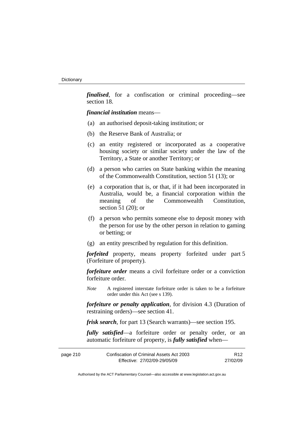*finalised*, for a confiscation or criminal proceeding—see section 18.

*financial institution* means—

- (a) an authorised deposit-taking institution; or
- (b) the Reserve Bank of Australia; or
- (c) an entity registered or incorporated as a cooperative housing society or similar society under the law of the Territory, a State or another Territory; or
- (d) a person who carries on State banking within the meaning of the Commonwealth Constitution, section 51 (13); or
- (e) a corporation that is, or that, if it had been incorporated in Australia, would be, a financial corporation within the meaning of the Commonwealth Constitution, section 51 (20); or
- (f) a person who permits someone else to deposit money with the person for use by the other person in relation to gaming or betting; or
- (g) an entity prescribed by regulation for this definition.

*forfeited* property, means property forfeited under part 5 (Forfeiture of property).

*forfeiture order* means a civil forfeiture order or a conviction forfeiture order.

*Note* A registered interstate forfeiture order is taken to be a forfeiture order under this Act (see s 139).

*forfeiture or penalty application*, for division 4.3 (Duration of restraining orders)—see section 41.

*frisk search*, for part 13 (Search warrants)—see section 195.

*fully satisfied*—a forfeiture order or penalty order, or an automatic forfeiture of property, is *fully satisfied* when—

| page 210 | Confiscation of Criminal Assets Act 2003 | R <sub>12</sub> |
|----------|------------------------------------------|-----------------|
|          | Effective: 27/02/09-29/05/09             | 27/02/09        |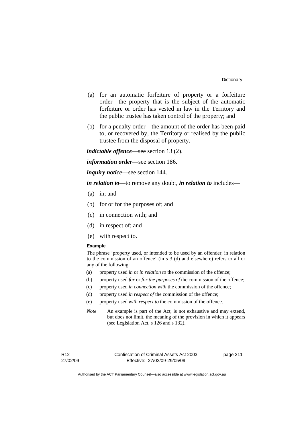- (a) for an automatic forfeiture of property or a forfeiture order—the property that is the subject of the automatic forfeiture or order has vested in law in the Territory and the public trustee has taken control of the property; and
- (b) for a penalty order—the amount of the order has been paid to, or recovered by, the Territory or realised by the public trustee from the disposal of property.

*indictable offence*—see section 13 (2).

*information order*—see section 186.

*inquiry notice*—see section 144.

*in relation to*—to remove any doubt, *in relation to* includes—

- (a) in; and
- (b) for or for the purposes of; and
- (c) in connection with; and
- (d) in respect of; and
- (e) with respect to.

#### **Example**

The phrase 'property used, or intended to be used by an offender, in relation to the commission of an offence' (in s 3 (d) and elsewhere) refers to all or any of the following:

- (a) property used *in* or *in relation to* the commission of the offence;
- (b) property used *for* or *for the purposes of* the commission of the offence;
- (c) property used *in connection with* the commission of the offence;
- (d) property used *in respect of* the commission of the offence;
- (e) property used *with respect to* the commission of the offence.
- *Note* An example is part of the Act, is not exhaustive and may extend, but does not limit, the meaning of the provision in which it appears (see Legislation Act, s 126 and s 132).

page 211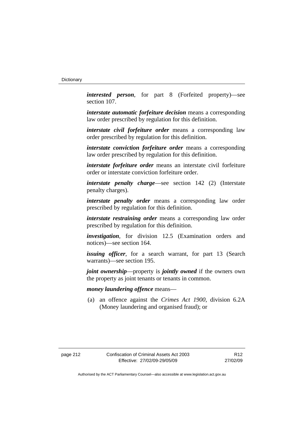*interested person*, for part 8 (Forfeited property)—see section 107.

*interstate automatic forfeiture decision* means a corresponding law order prescribed by regulation for this definition.

*interstate civil forfeiture order* means a corresponding law order prescribed by regulation for this definition.

*interstate conviction forfeiture order* means a corresponding law order prescribed by regulation for this definition.

*interstate forfeiture order* means an interstate civil forfeiture order or interstate conviction forfeiture order.

*interstate penalty charge*—see section 142 (2) (Interstate penalty charges).

*interstate penalty order* means a corresponding law order prescribed by regulation for this definition.

*interstate restraining order* means a corresponding law order prescribed by regulation for this definition.

*investigation*, for division 12.5 (Examination orders and notices)—see section 164.

*issuing officer*, for a search warrant, for part 13 (Search warrants)—see section 195.

*joint ownership*—property is *jointly owned* if the owners own the property as joint tenants or tenants in common.

## *money laundering offence* means—

 (a) an offence against the *Crimes Act 1900*, division 6.2A (Money laundering and organised fraud); or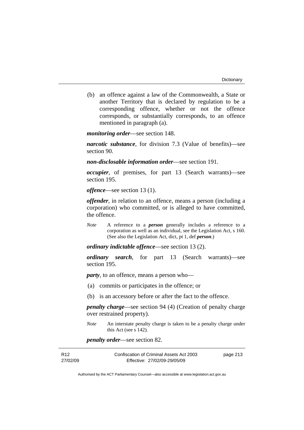(b) an offence against a law of the Commonwealth, a State or another Territory that is declared by regulation to be a corresponding offence, whether or not the offence corresponds, or substantially corresponds, to an offence mentioned in paragraph (a).

*monitoring order*—see section 148.

*narcotic substance*, for division 7.3 (Value of benefits)—see section 90.

*non-disclosable information order*—see section 191.

*occupier*, of premises, for part 13 (Search warrants)—see section 195.

*offence*—see section 13 (1).

*offender*, in relation to an offence, means a person (including a corporation) who committed, or is alleged to have committed, the offence.

*Note* A reference to a *person* generally includes a reference to a corporation as well as an individual, see the Legislation Act, s 160. (See also the Legislation Act, dict, pt 1, def *person*.)

*ordinary indictable offence*—see section 13 (2).

*ordinary search*, for part 13 (Search warrants)—see section 195.

*party*, to an offence, means a person who—

- (a) commits or participates in the offence; or
- (b) is an accessory before or after the fact to the offence.

*penalty charge*—see section 94 (4) (Creation of penalty charge over restrained property).

*Note* An interstate penalty charge is taken to be a penalty charge under this Act (see s 142).

*penalty order*—see section 82.

| R <sub>12</sub> | Confiscation of Criminal Assets Act 2003 | page 213 |
|-----------------|------------------------------------------|----------|
| 27/02/09        | Effective: 27/02/09-29/05/09             |          |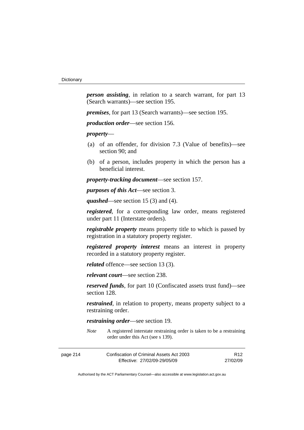*person assisting*, in relation to a search warrant, for part 13 (Search warrants)—see section 195.

*premises*, for part 13 (Search warrants)—see section 195.

*production order*—see section 156.

*property*—

- (a) of an offender, for division 7.3 (Value of benefits)—see section 90; and
- (b) of a person, includes property in which the person has a beneficial interest.

*property-tracking document*—see section 157.

*purposes of this Act*—see section 3.

*quashed*—see section 15 (3) and (4).

*registered*, for a corresponding law order, means registered under part 11 (Interstate orders).

*registrable property* means property title to which is passed by registration in a statutory property register.

*registered property interest* means an interest in property recorded in a statutory property register.

*related* offence—see section 13 (3).

*relevant court*—see section 238.

*reserved funds*, for part 10 (Confiscated assets trust fund)—see section 128.

*restrained*, in relation to property, means property subject to a restraining order.

*restraining order*—see section 19.

*Note* A registered interstate restraining order is taken to be a restraining order under this Act (see s 139).

| page 214 | Confiscation of Criminal Assets Act 2003 | R12      |
|----------|------------------------------------------|----------|
|          | Effective: 27/02/09-29/05/09             | 27/02/09 |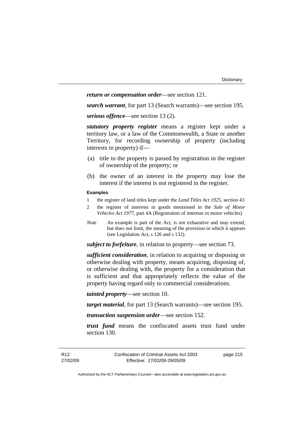#### *return or compensation order*—see section 121.

*search warrant*, for part 13 (Search warrants)—see section 195.

*serious offence*—see section 13 (2).

*statutory property register* means a register kept under a territory law, or a law of the Commonwealth, a State or another Territory, for recording ownership of property (including interests in property) if—

- (a) title to the property is passed by registration in the register of ownership of the property; or
- (b) the owner of an interest in the property may lose the interest if the interest is not registered in the register.

#### **Examples**

- 1 the register of land titles kept under the *Land Titles Act 1925*, section 43
- 2 the register of interests in goods mentioned in the *Sale of Motor Vehicles Act 1977*, part 4A (Registration of interests in motor vehicles)
- *Note* An example is part of the Act, is not exhaustive and may extend, but does not limit, the meaning of the provision in which it appears (see Legislation Act, s 126 and s 132).

*subject to forfeiture*, in relation to property—see section 73.

*sufficient consideration*, in relation to acquiring or disposing or otherwise dealing with property, means acquiring, disposing of, or otherwise dealing with, the property for a consideration that is sufficient and that appropriately reflects the value of the property having regard only to commercial considerations.

*tainted property*—see section 10.

*target material*, for part 13 (Search warrants)—see section 195.

*transaction suspension order*—see section 152.

*trust fund* means the confiscated assets trust fund under section 130.

page 215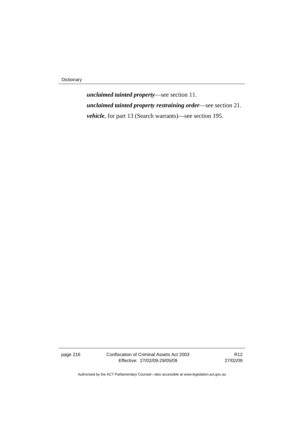Dictionary

*unclaimed tainted property*—see section 11. *unclaimed tainted property restraining order*—see section 21. *vehicle*, for part 13 (Search warrants)—see section 195.

page 216 Confiscation of Criminal Assets Act 2003 Effective: 27/02/09-29/05/09

R12 27/02/09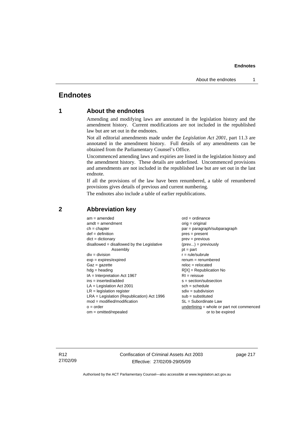## **Endnotes**

## **1 About the endnotes**

Amending and modifying laws are annotated in the legislation history and the amendment history. Current modifications are not included in the republished law but are set out in the endnotes.

Not all editorial amendments made under the *Legislation Act 2001*, part 11.3 are annotated in the amendment history. Full details of any amendments can be obtained from the Parliamentary Counsel's Office.

Uncommenced amending laws and expiries are listed in the legislation history and the amendment history. These details are underlined. Uncommenced provisions and amendments are not included in the republished law but are set out in the last endnote.

If all the provisions of the law have been renumbered, a table of renumbered provisions gives details of previous and current numbering.

The endnotes also include a table of earlier republications.

| $am = amended$                               | $ord = ordinance$                         |
|----------------------------------------------|-------------------------------------------|
| $amdt = amendment$                           | $orig = original$                         |
| $ch = chapter$                               | par = paragraph/subparagraph              |
| $def = definition$                           | $pres = present$                          |
| $dict = dictionary$                          | $prev = previous$                         |
| $disallowed = disallowed by the Legislative$ | $(\text{prev}) = \text{previously}$       |
| Assembly                                     | $pt = part$                               |
| $div = division$                             | $r = rule/subrule$                        |
| $exp = expires/expired$                      | $remum = renumbered$                      |
| $Gaz = qazette$                              | $reloc = relocated$                       |
| $hdg =$ heading                              | $R[X]$ = Republication No                 |
| $IA = Interpretation Act 1967$               | $RI = reissue$                            |
| $ins = inserted/added$                       | $s = section/subsection$                  |
| $LA =$ Legislation Act 2001                  | $sch = schedule$                          |
| $LR =$ legislation register                  | $sdiv = subdivision$                      |
| $LRA =$ Legislation (Republication) Act 1996 | $sub =$ substituted                       |
| $mod = modified/modification$                | $SL = Subordinate$ Law                    |
| $o = order$                                  | underlining = whole or part not commenced |
| $om = omitted/repealed$                      | or to be expired                          |
|                                              |                                           |

## **2 Abbreviation key**

R12 27/02/09 Confiscation of Criminal Assets Act 2003 Effective: 27/02/09-29/05/09

page 217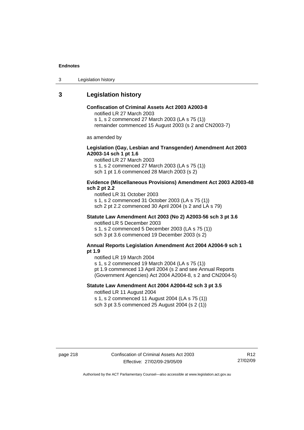3 Legislation history

## **3 Legislation history**

## **Confiscation of Criminal Assets Act 2003 A2003-8**

notified LR 27 March 2003

s 1, s 2 commenced 27 March 2003 (LA s 75 (1))

remainder commenced 15 August 2003 (s 2 and CN2003-7)

as amended by

#### **Legislation (Gay, Lesbian and Transgender) Amendment Act 2003 A2003-14 sch 1 pt 1.6**

notified LR 27 March 2003 s 1, s 2 commenced 27 March 2003 (LA s 75 (1)) sch 1 pt 1.6 commenced 28 March 2003 (s 2)

#### **Evidence (Miscellaneous Provisions) Amendment Act 2003 A2003-48 sch 2 pt 2.2**

notified LR 31 October 2003 s 1, s 2 commenced 31 October 2003 (LA s 75 (1)) sch 2 pt 2.2 commenced 30 April 2004 (s 2 and LA s 79)

## **Statute Law Amendment Act 2003 (No 2) A2003-56 sch 3 pt 3.6**

notified LR 5 December 2003 s 1, s 2 commenced 5 December 2003 (LA s 75 (1)) sch 3 pt 3.6 commenced 19 December 2003 (s 2)

#### **Annual Reports Legislation Amendment Act 2004 A2004-9 sch 1 pt 1.9**

notified LR 19 March 2004

s 1, s 2 commenced 19 March 2004 (LA s 75 (1))

pt 1.9 commenced 13 April 2004 (s 2 and see Annual Reports (Government Agencies) Act 2004 A2004-8, s 2 and CN2004-5)

## **Statute Law Amendment Act 2004 A2004-42 sch 3 pt 3.5**  notified LR 11 August 2004

s 1, s 2 commenced 11 August 2004 (LA s 75 (1)) sch 3 pt 3.5 commenced 25 August 2004 (s 2 (1))

R12 27/02/09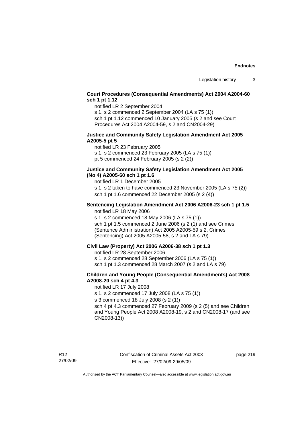## **Court Procedures (Consequential Amendments) Act 2004 A2004-60 sch 1 pt 1.12**

notified LR 2 September 2004

s 1, s 2 commenced 2 September 2004 (LA s 75 (1)) sch 1 pt 1.12 commenced 10 January 2005 (s 2 and see Court

## Procedures Act 2004 A2004-59, s 2 and CN2004-29)

#### **Justice and Community Safety Legislation Amendment Act 2005 A2005-5 pt 5**

notified LR 23 February 2005 s 1, s 2 commenced 23 February 2005 (LA s 75 (1)) pt 5 commenced 24 February 2005 (s 2 (2))

#### **Justice and Community Safety Legislation Amendment Act 2005 (No 4) A2005-60 sch 1 pt 1.6**

notified LR 1 December 2005

s 1, s 2 taken to have commenced 23 November 2005 (LA s 75 (2)) sch 1 pt 1.6 commenced 22 December 2005 (s 2 (4))

#### **Sentencing Legislation Amendment Act 2006 A2006-23 sch 1 pt 1.5**  notified LR 18 May 2006

s 1, s 2 commenced 18 May 2006 (LA s 75 (1)) sch 1 pt 1.5 commenced 2 June 2006 (s 2 (1) and see Crimes (Sentence Administration) Act 2005 A2005-59 s 2, Crimes (Sentencing) Act 2005 A2005-58, s 2 and LA s 79)

#### **Civil Law (Property) Act 2006 A2006-38 sch 1 pt 1.3**

notified LR 28 September 2006

s 1, s 2 commenced 28 September 2006 (LA s 75 (1))

sch 1 pt 1.3 commenced 28 March 2007 (s 2 and LA s 79)

## **Children and Young People (Consequential Amendments) Act 2008 A2008-20 sch 4 pt 4.3**

notified LR 17 July 2008

s 1, s 2 commenced 17 July 2008 (LA s 75 (1))

s 3 commenced 18 July 2008 (s 2 (1))

sch 4 pt 4.3 commenced 27 February 2009 (s 2 (5) and see Children and Young People Act 2008 A2008-19, s 2 and CN2008-17 (and see CN2008-13))

page 219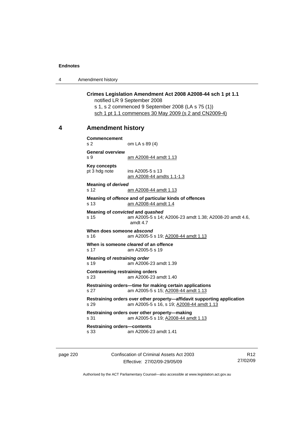4 Amendment history

#### **Crimes Legislation Amendment Act 2008 A2008-44 sch 1 pt 1.1**  notified LR 9 September 2008

s 1, s 2 commenced 9 September 2008 (LA s 75 (1)) sch 1 pt 1.1 commences 30 May 2009 (s 2 and CN2009-4)

## **4 Amendment history**

**Commencement**  s 2 om LA s 89 (4) **General overview**  s 9 am A2008-44 amdt 1.13 **Key concepts**  pt 3 hdg note ins A2005-5 s 13 am A2008-44 amdts 1.1-1.3 **Meaning of** *derived*  s 12 **am A2008-44 amdt 1.13 Meaning of** *offence* **and of particular kinds of offences**  s 13 am A2008-44 amdt 1.4 **Meaning of** *convicted* **and** *quashed* s 15 am A2005-5 s 14; A2006-23 amdt 1.38; A2008-20 amdt 4.6, amdt 4.7 **When does someone** *abscond* s 16 am A2005-5 s 19; A2008-44 amdt 1.13 **When is someone** *cleared* **of an offence**  s 17 am A2005-5 s 19 **Meaning of** *restraining order*  s 19 am A2006-23 amdt 1.39 **Contravening restraining orders**  s 23 am A2006-23 amdt 1.40 **Restraining orders—time for making certain applications**  s 27 am A2005-5 s 15; A2008-44 amdt 1.13 **Restraining orders over other property—affidavit supporting application**  s 29 am A2005-5 s 16, s 19; A2008-44 amdt 1.13 **Restraining orders over other property—making**  s 31 am A2005-5 s 19; A2008-44 amdt 1.13 **Restraining orders—contents**  s 33 am A2006-23 amdt 1.41

page 220 Confiscation of Criminal Assets Act 2003 Effective: 27/02/09-29/05/09

R12 27/02/09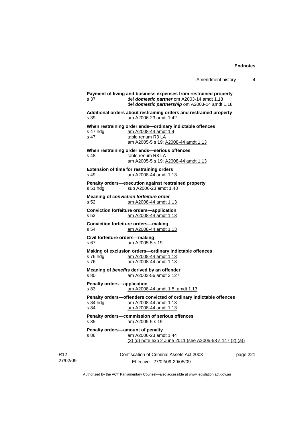|                                           | Amendment history                                                                                                                                                | 4        |
|-------------------------------------------|------------------------------------------------------------------------------------------------------------------------------------------------------------------|----------|
| s 37                                      | Payment of living and business expenses from restrained property<br>def domestic partner om A2003-14 amdt 1.18<br>def domestic partnership om A2003-14 amdt 1.18 |          |
| s 39                                      | Additional orders about restraining orders and restrained property<br>am A2006-23 amdt 1.42                                                                      |          |
| s 47 hdg<br>s 47                          | When restraining order ends-ordinary indictable offences<br>am A2008-44 amdt 1.4<br>table renum R3 LA<br>am A2005-5 s 19; A2008-44 amdt 1.13                     |          |
| s 48                                      | When restraining order ends-serious offences<br>table renum R3 LA<br>am A2005-5 s 19; A2008-44 amdt 1.13                                                         |          |
| s 49                                      | <b>Extension of time for restraining orders</b><br>am A2008-44 amdt 1.13                                                                                         |          |
| s 51 hdg                                  | Penalty orders-execution against restrained property<br>sub A2006-23 amdt 1.43                                                                                   |          |
| s 52                                      | <b>Meaning of conviction forfeiture order</b><br>am A2008-44 amdt 1.13                                                                                           |          |
| s 53                                      | <b>Conviction forfeiture orders-application</b><br>am A2008-44 amdt 1.13                                                                                         |          |
| s 54                                      | <b>Conviction forfeiture orders-making</b><br>am A2008-44 amdt 1.13                                                                                              |          |
| Civil forfeiture orders-making<br>s 67    | am A2005-5 s 19                                                                                                                                                  |          |
| s 76 hdg<br>s 76                          | Making of exclusion orders-ordinary indictable offences<br>am A2008-44 amdt 1.13<br>am A2008-44 amdt 1.13                                                        |          |
| s 80                                      | Meaning of benefits derived by an offender<br>am A2003-56 amdt 3.127                                                                                             |          |
| <b>Penalty orders-application</b><br>s 83 | am A2008-44 amdt 1.5, amdt 1.13                                                                                                                                  |          |
| s 84 hda<br>s 84                          | Penalty orders-offenders convicted of ordinary indictable offences<br>am A2008-44 amdt 1.13<br>am A2008-44 amdt 1.13                                             |          |
| s 85                                      | Penalty orders-commission of serious offences<br>am A2005-5 s 19                                                                                                 |          |
| s 86                                      | Penalty orders-amount of penalty<br>am A2006-23 amdt 1.44<br>(3) (d) note exp 2 June 2011 (see A2005-58 s 147 (2) (a))                                           |          |
|                                           | Confiscation of Criminal Assets Act 2003<br>Effective: 27/02/09-29/05/09                                                                                         | page 221 |

Authorised by the ACT Parliamentary Counsel—also accessible at www.legislation.act.gov.au

R12 27/02/09

j.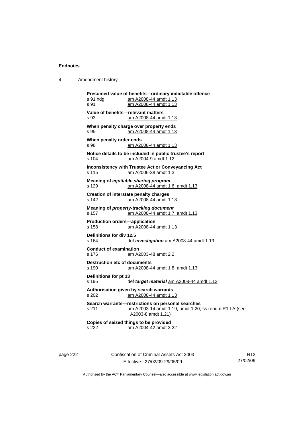| Amendment history<br>4 |  |
|------------------------|--|
|------------------------|--|

**Presumed value of benefits—ordinary indictable offence**  s 91 hdg am A2008-44 amdt 1.13 s 91 am A2008-44 amdt 1.13 **Value of benefits—relevant matters**  s 93 am A2008-44 amdt 1.13 **When penalty charge over property ends**  s 95 am A2008-44 amdt 1.13 **When penalty order ends**  s 98 am A2008-44 amdt 1.13 **Notice details to be included in public trustee's report**  s 104 am A2004-9 amdt 1.12 **Inconsistency with Trustee Act or Conveyancing Act**  s 115 am A2006-38 amdt 1.3 **Meaning of** *equitable sharing program*  s 129 am A2008-44 amdt 1.6, amdt 1.13 **Creation of interstate penalty charges**  s 142 am A2008-44 amdt 1.13 **Meaning of** *property-tracking document*  s 157 am A2008-44 amdt 1.7, amdt 1.13 **Production orders—application**  am A2008-44 amdt 1.13 **Definitions for div 12.5**  s 164 def *investigation* am A2008-44 amdt 1.13 **Conduct of examination**  s 176 am A2003-48 amdt 2.2 **Destruction etc of documents** s 190 am A2008-44 amdt 1.8, amdt 1.13 **Definitions for pt 13**  s 195 def *target material* am A2008-44 amdt 1.13 **Authorisation given by search warrants**  s 202 am A2008-44 amdt 1.13 **Search warrants—restrictions on personal searches**  s 211 am A2003-14 amdt 1.19, amdt 1.20; ss renum R1 LA (see A2003-8 amdt 1.21) **Copies of seized things to be provided**  s 222 am A2004-42 amdt 3.22

page 222 Confiscation of Criminal Assets Act 2003 Effective: 27/02/09-29/05/09

R12 27/02/09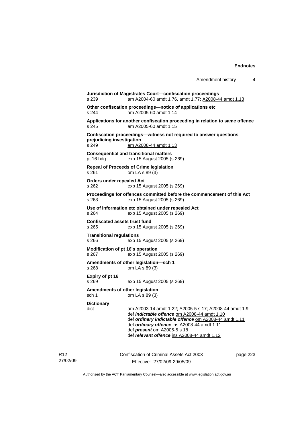| Amendment history |  |  |
|-------------------|--|--|
|-------------------|--|--|

**Jurisdiction of Magistrates Court—confiscation proceedings**  s 239 am A2004-60 amdt 1.76, amdt 1.77; A2008-44 amdt 1.13 **Other confiscation proceedings—notice of applications etc**  s 244 am A2005-60 amdt 1.14 **Applications for another confiscation proceeding in relation to same offence**  s 245 am A2005-60 amdt 1.15 **Confiscation proceedings—witness not required to answer questions prejudicing investigation**  s 249 am A2008-44 amdt 1.13 **Consequential and transitional matters**  pt 16 hdg exp 15 August 2005 (s 269) **Repeal of Proceeds of Crime legislation**  s 261 om LA s 89 (3) **Orders under repealed Act**  s 262 exp 15 August 2005 (s 269) **Proceedings for offences committed before the commencement of this Act**  s 263 exp 15 August 2005 (s 269) **Use of information etc obtained under repealed Act**  s 264 exp 15 August 2005 (s 269) **Confiscated assets trust fund**  s 265 exp 15 August 2005 (s 269) **Transitional regulations**  s 266 exp 15 August 2005 (s 269) **Modification of pt 16's operation**  s 267 exp 15 August 2005 (s 269) **Amendments of other legislation—sch 1**  s 268 om LA s 89 (3) **Expiry of pt 16**  s 269 exp 15 August 2005 (s 269) **Amendments of other legislation**  sch 1 om LA s 89 (3) **Dictionary**  dict am A2003-14 amdt 1.22; A2005-5 s 17; A2008-44 amdt 1.9 def *indictable offence* om A2008-44 amdt 1.10 def *ordinary indictable offence* om A2008-44 amdt 1.11 def *ordinary offence* ins A2008-44 amdt 1.11 def *present* om A2005-5 s 18 def *relevant offence* ins A2008-44 amdt 1.12

R12 27/02/09 Confiscation of Criminal Assets Act 2003 Effective: 27/02/09-29/05/09

page 223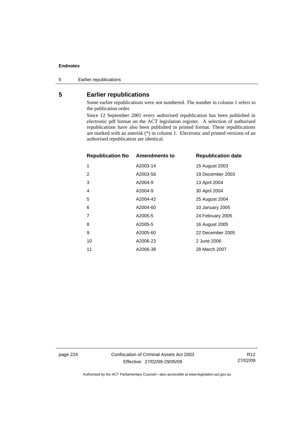5 Earlier republications

## **5 Earlier republications**

Some earlier republications were not numbered. The number in column 1 refers to the publication order.

Since 12 September 2001 every authorised republication has been published in electronic pdf format on the ACT legislation register. A selection of authorised republications have also been published in printed format. These republications are marked with an asterisk (\*) in column 1. Electronic and printed versions of an authorised republication are identical.

| <b>Republication No Amendments to</b> | <b>Republication date</b> |
|---------------------------------------|---------------------------|
| A2003-14                              | 15 August 2003            |
| A2003-56                              | 19 December 2003          |
| A2004-9                               | 13 April 2004             |
| A2004-9                               | 30 April 2004             |
| A2004-42                              | 25 August 2004            |
| A2004-60                              | 10 January 2005           |
| A2005-5                               | 24 February 2005          |
| A2005-5                               | 16 August 2005            |
| A2005-60                              | 22 December 2005          |
| A2006-23                              | 2 June 2006               |
| A2006-38                              | 28 March 2007             |
|                                       |                           |

page 224 Confiscation of Criminal Assets Act 2003 Effective: 27/02/09-29/05/09

R12 27/02/09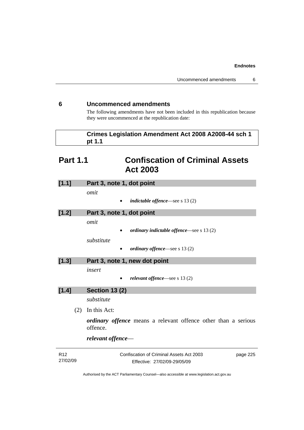## **6 Uncommenced amendments**

The following amendments have not been included in this republication because they were uncommenced at the republication date:

| Crimes Legislation Amendment Act 2008 A2008-44 sch 1 |
|------------------------------------------------------|
| pt 1.1                                               |

# **Part 1.1 Confiscation of Criminal Assets Act 2003**

| [1.1]           | Part 3, note 1, dot point                                                  |  |
|-----------------|----------------------------------------------------------------------------|--|
|                 | omit                                                                       |  |
|                 | <i>indictable offence</i> —see s $13(2)$                                   |  |
| [1.2]           | Part 3, note 1, dot point                                                  |  |
|                 | omit                                                                       |  |
|                 | ordinary indictable offence—see s 13 (2)                                   |  |
|                 | substitute                                                                 |  |
|                 | <i>ordinary offence</i> —see s $13(2)$                                     |  |
| [1.3]           | Part 3, note 1, new dot point                                              |  |
|                 | insert                                                                     |  |
|                 | relevant offence—see s 13 (2)                                              |  |
| [1.4]           | <b>Section 13 (2)</b>                                                      |  |
|                 | substitute                                                                 |  |
| (2)             | In this Act:                                                               |  |
|                 | ordinary offence means a relevant offence other than a serious<br>offence. |  |
|                 | relevant offence—                                                          |  |
| R <sub>12</sub> | Confiscation of Criminal Assets Act 2003<br>page 225                       |  |

| 27/02/09 | Effective: 27/02/09-29/05/09 |
|----------|------------------------------|
|          |                              |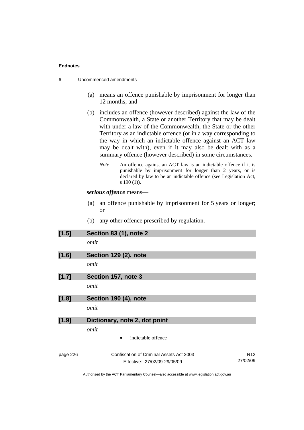| 6        |      | Uncommenced amendments                                                                                                                                                                                                                                                                                                                                                                                                                                      |  |  |
|----------|------|-------------------------------------------------------------------------------------------------------------------------------------------------------------------------------------------------------------------------------------------------------------------------------------------------------------------------------------------------------------------------------------------------------------------------------------------------------------|--|--|
|          | (a)  | means an offence punishable by imprisonment for longer than<br>12 months; and                                                                                                                                                                                                                                                                                                                                                                               |  |  |
|          | (b)  | includes an offence (however described) against the law of the<br>Commonwealth, a State or another Territory that may be dealt<br>with under a law of the Commonwealth, the State or the other<br>Territory as an indictable offence (or in a way corresponding to<br>the way in which an indictable offence against an ACT law<br>may be dealt with), even if it may also be dealt with as a<br>summary offence (however described) in some circumstances. |  |  |
|          |      | <b>Note</b><br>An offence against an ACT law is an indictable offence if it is<br>punishable by imprisonment for longer than 2 years, or is<br>declared by law to be an indictable offence (see Legislation Act,<br>$s 190(1)$ ).                                                                                                                                                                                                                           |  |  |
|          |      | serious offence means—                                                                                                                                                                                                                                                                                                                                                                                                                                      |  |  |
|          | (a)  | an offence punishable by imprisonment for 5 years or longer;<br>or                                                                                                                                                                                                                                                                                                                                                                                          |  |  |
|          | (b)  | any other offence prescribed by regulation.                                                                                                                                                                                                                                                                                                                                                                                                                 |  |  |
| [1.5]    |      | <b>Section 83 (1), note 2</b>                                                                                                                                                                                                                                                                                                                                                                                                                               |  |  |
|          |      | omit                                                                                                                                                                                                                                                                                                                                                                                                                                                        |  |  |
| [1.6]    |      | Section 129 (2), note                                                                                                                                                                                                                                                                                                                                                                                                                                       |  |  |
|          |      | omit                                                                                                                                                                                                                                                                                                                                                                                                                                                        |  |  |
| [1.7]    |      | Section 157, note 3                                                                                                                                                                                                                                                                                                                                                                                                                                         |  |  |
|          | omit |                                                                                                                                                                                                                                                                                                                                                                                                                                                             |  |  |
| [1.8]    |      | Section 190 (4), note                                                                                                                                                                                                                                                                                                                                                                                                                                       |  |  |
|          | omit |                                                                                                                                                                                                                                                                                                                                                                                                                                                             |  |  |
| [1.9]    |      | Dictionary, note 2, dot point                                                                                                                                                                                                                                                                                                                                                                                                                               |  |  |
|          | omit |                                                                                                                                                                                                                                                                                                                                                                                                                                                             |  |  |
|          |      | indictable offence                                                                                                                                                                                                                                                                                                                                                                                                                                          |  |  |
| page 226 |      | Confiscation of Criminal Assets Act 2003<br>R <sub>12</sub><br>27/02/09<br>Effective: 27/02/09-29/05/09                                                                                                                                                                                                                                                                                                                                                     |  |  |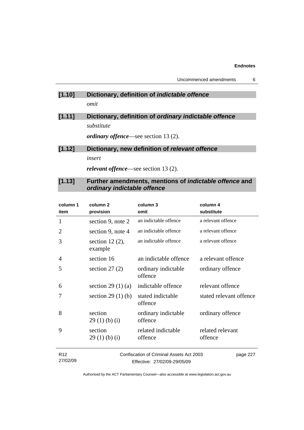## **[1.10] Dictionary, definition of** *indictable offence omit*

**[1.11] Dictionary, definition of** *ordinary indictable offence substitute* 

*ordinary offence*—see section 13 (2).

# **[1.12] Dictionary, new definition of** *relevant offence insert relevant offence*—see section 13 (2).

## **[1.13] Further amendments, mentions of** *indictable offence* **and**  *ordinary indictable offence*

| column 1<br>item | column 2<br>provision         | column 3<br>omit                         | column 4<br>substitute      |
|------------------|-------------------------------|------------------------------------------|-----------------------------|
| 1                | section 9, note 2             | an indictable offence                    | a relevant offence          |
| 2                | section 9, note 4             | an indictable offence                    | a relevant offence          |
| 3                | section 12 $(2)$ ,<br>example | an indictable offence                    | a relevant offence          |
| 4                | section 16                    | an indictable offence                    | a relevant offence          |
| 5                | section $27(2)$               | ordinary indictable<br>offence           | ordinary offence            |
| 6                | section 29 $(1)$ $(a)$        | indictable offence                       | relevant offence            |
| 7                | section $29(1)(b)$            | stated indictable<br>offence             | stated relevant offence     |
| 8                | section<br>29(1)(b)(i)        | ordinary indictable<br>offence           | ordinary offence            |
| 9                | section<br>29(1)(b)(i)        | related indictable<br>offence            | related relevant<br>offence |
| R <sub>12</sub>  |                               | Confiscation of Criminal Assets Act 2003 | page 227                    |

Effective: 27/02/09-29/05/09

27/02/09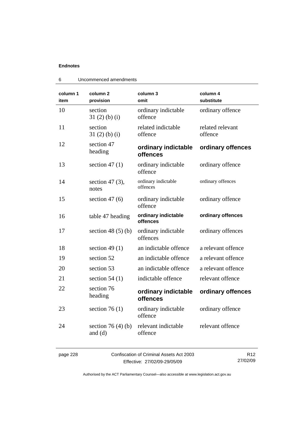| column 1<br>item | column <sub>2</sub><br>provision    | column 3<br>omit                | column 4<br>substitute      |
|------------------|-------------------------------------|---------------------------------|-----------------------------|
| 10               | section<br>$31(2)$ (b) (i)          | ordinary indictable<br>offence  | ordinary offence            |
| 11               | section<br>$31(2)$ (b) (i)          | related indictable<br>offence   | related relevant<br>offence |
| 12               | section 47<br>heading               | ordinary indictable<br>offences | ordinary offences           |
| 13               | section 47 $(1)$                    | ordinary indictable<br>offence  | ordinary offence            |
| 14               | section 47 $(3)$ ,<br>notes         | ordinary indictable<br>offences | ordinary offences           |
| 15               | section $47(6)$                     | ordinary indictable<br>offence  | ordinary offence            |
| 16               | table 47 heading                    | ordinary indictable<br>offences | ordinary offences           |
| 17               | section 48 $(5)$ $(b)$              | ordinary indictable<br>offences | ordinary offences           |
| 18               | section 49 $(1)$                    | an indictable offence           | a relevant offence          |
| 19               | section 52                          | an indictable offence           | a relevant offence          |
| 20               | section 53                          | an indictable offence           | a relevant offence          |
| 21               | section $54(1)$                     | indictable offence              | relevant offence            |
| 22               | section 76<br>heading               | ordinary indictable<br>offences | ordinary offences           |
| 23               | section 76 $(1)$                    | ordinary indictable<br>offence  | ordinary offence            |
| 24               | section 76 $(4)$ $(b)$<br>and $(d)$ | relevant indictable<br>offence  | relevant offence            |

|  | Uncommenced amendments |  |
|--|------------------------|--|
|--|------------------------|--|

page 228 Confiscation of Criminal Assets Act 2003 Effective: 27/02/09-29/05/09

R12 27/02/09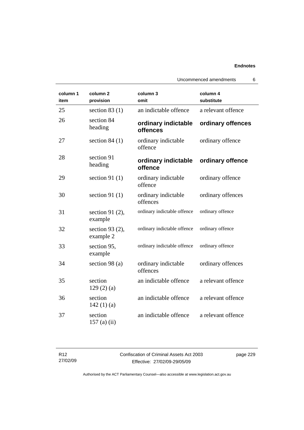|                  |                                  |                                 | Uncommenced amendments<br>6 |
|------------------|----------------------------------|---------------------------------|-----------------------------|
| column 1<br>item | column <sub>2</sub><br>provision | column 3<br>omit                | column 4<br>substitute      |
| 25               | section $83(1)$                  | an indictable offence           | a relevant offence          |
| 26               | section 84<br>heading            | ordinary indictable<br>offences | ordinary offences           |
| 27               | section $84(1)$                  | ordinary indictable<br>offence  | ordinary offence            |
| 28               | section 91<br>heading            | ordinary indictable<br>offence  | ordinary offence            |
| 29               | section 91 $(1)$                 | ordinary indictable<br>offence  | ordinary offence            |
| 30               | section 91 $(1)$                 | ordinary indictable<br>offences | ordinary offences           |
| 31               | section 91 $(2)$ ,<br>example    | ordinary indictable offence     | ordinary offence            |
| 32               | section 93 (2),<br>example 2     | ordinary indictable offence     | ordinary offence            |
| 33               | section 95,<br>example           | ordinary indictable offence     | ordinary offence            |
| 34               | section 98 (a)                   | ordinary indictable<br>offences | ordinary offences           |
| 35               | section<br>129(2)(a)             | an indictable offence           | a relevant offence          |
| 36               | section<br>142 $(1)(a)$          | an indictable offence           | a relevant offence          |
| 37               | section<br>$157$ (a) (ii)        | an indictable offence           | a relevant offence          |

| R12      |
|----------|
| 27/02/09 |

Confiscation of Criminal Assets Act 2003 Effective: 27/02/09-29/05/09

page 229